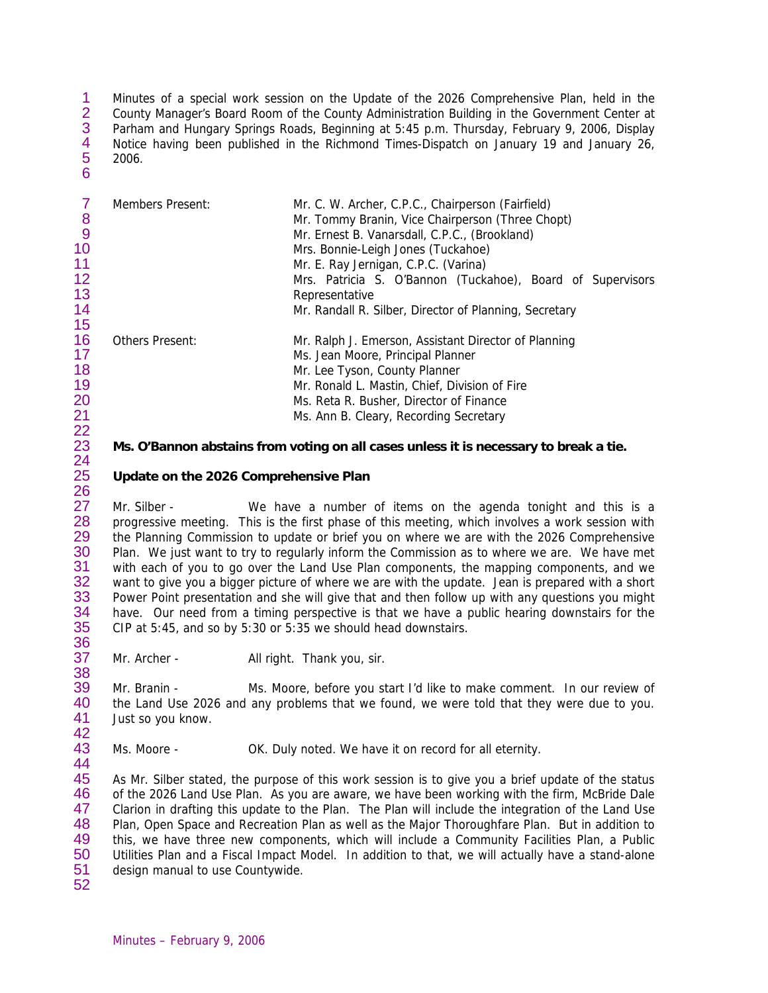1 2 3 4 5 6 Minutes of a special work session on the Update of the 2026 Comprehensive Plan, held in the County Manager's Board Room of the County Administration Building in the Government Center at Parham and Hungary Springs Roads, Beginning at 5:45 p.m. Thursday, February 9, 2006, Display Notice having been published in the Richmond Times-Dispatch on January 19 and January 26, 2006.

7 8 9 10 11 12 13 14 15 16 17 18 19 20 21 Members Present: Mr. C. W. Archer, C.P.C., Chairperson (Fairfield) Mr. Tommy Branin, Vice Chairperson (Three Chopt) Mr. Ernest B. Vanarsdall, C.P.C., (Brookland) Mrs. Bonnie-Leigh Jones (Tuckahoe) Mr. E. Ray Jernigan, C.P.C. (Varina) Mrs. Patricia S. O'Bannon (Tuckahoe), Board of Supervisors Representative Mr. Randall R. Silber, Director of Planning, Secretary Others Present: Mr. Ralph J. Emerson, Assistant Director of Planning Ms. Jean Moore, Principal Planner Mr. Lee Tyson, County Planner Mr. Ronald L. Mastin, Chief, Division of Fire Ms. Reta R. Busher, Director of Finance Ms. Ann B. Cleary, Recording Secretary

## **Ms. O'Bannon abstains from voting on all cases unless it is necessary to break a tie.**

## **Update on the 2026 Comprehensive Plan**

27 28 29 30 31 32 33 34 35 Mr. Silber - We have a number of items on the agenda tonight and this is a progressive meeting. This is the first phase of this meeting, which involves a work session with the Planning Commission to update or brief you on where we are with the 2026 Comprehensive Plan. We just want to try to regularly inform the Commission as to where we are. We have met with each of you to go over the Land Use Plan components, the mapping components, and we want to give you a bigger picture of where we are with the update. Jean is prepared with a short Power Point presentation and she will give that and then follow up with any questions you might have. Our need from a timing perspective is that we have a public hearing downstairs for the CIP at 5:45, and so by 5:30 or 5:35 we should head downstairs.

37 38 Mr. Archer - All right. Thank you, sir.

39 40 41 42 Mr. Branin - Ms. Moore, before you start I'd like to make comment. In our review of the Land Use 2026 and any problems that we found, we were told that they were due to you. Just so you know.

43 Ms. Moore - **OK.** Duly noted. We have it on record for all eternity.

45 46 47 48 49 50 51 As Mr. Silber stated, the purpose of this work session is to give you a brief update of the status of the 2026 Land Use Plan. As you are aware, we have been working with the firm, McBride Dale Clarion in drafting this update to the Plan. The Plan will include the integration of the Land Use Plan, Open Space and Recreation Plan as well as the Major Thoroughfare Plan. But in addition to this, we have three new components, which will include a Community Facilities Plan, a Public Utilities Plan and a Fiscal Impact Model. In addition to that, we will actually have a stand-alone design manual to use Countywide.

52

36

44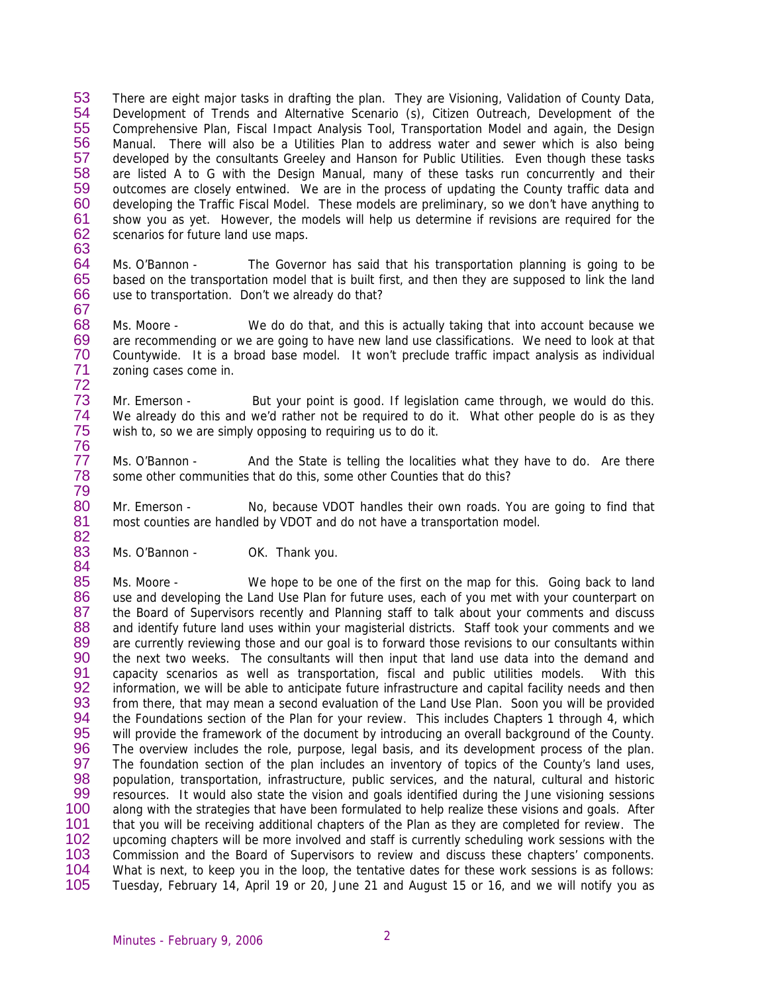53 54 55 56 57 58 59 60 61 62 63 There are eight major tasks in drafting the plan. They are Visioning, Validation of County Data, Development of Trends and Alternative Scenario (s), Citizen Outreach, Development of the Comprehensive Plan, Fiscal Impact Analysis Tool, Transportation Model and again, the Design Manual. There will also be a Utilities Plan to address water and sewer which is also being developed by the consultants Greeley and Hanson for Public Utilities. Even though these tasks are listed A to G with the Design Manual, many of these tasks run concurrently and their outcomes are closely entwined. We are in the process of updating the County traffic data and developing the Traffic Fiscal Model. These models are preliminary, so we don't have anything to show you as yet. However, the models will help us determine if revisions are required for the scenarios for future land use maps.

- 64 65 66 67 Ms. O'Bannon - The Governor has said that his transportation planning is going to be based on the transportation model that is built first, and then they are supposed to link the land use to transportation. Don't we already do that?
- 68 69 70 71 72 Ms. Moore - We do do that, and this is actually taking that into account because we are recommending or we are going to have new land use classifications. We need to look at that Countywide. It is a broad base model. It won't preclude traffic impact analysis as individual zoning cases come in.
- 73 74 75 Mr. Emerson - But your point is good. If legislation came through, we would do this. We already do this and we'd rather not be required to do it. What other people do is as they wish to, so we are simply opposing to requiring us to do it.
- 77 78 Ms. O'Bannon - And the State is telling the localities what they have to do. Are there some other communities that do this, some other Counties that do this?
- 80 81 82 Mr. Emerson - No, because VDOT handles their own roads. You are going to find that most counties are handled by VDOT and do not have a transportation model.
- 83 Ms. O'Bannon - OK. Thank you.

76

79

84

85 86 87 88 89 90 91 92 93 94 95 96 97 98 99 100 101 102 103 104 105 Ms. Moore - We hope to be one of the first on the map for this. Going back to land use and developing the Land Use Plan for future uses, each of you met with your counterpart on the Board of Supervisors recently and Planning staff to talk about your comments and discuss and identify future land uses within your magisterial districts. Staff took your comments and we are currently reviewing those and our goal is to forward those revisions to our consultants within the next two weeks. The consultants will then input that land use data into the demand and capacity scenarios as well as transportation, fiscal and public utilities models. With this information, we will be able to anticipate future infrastructure and capital facility needs and then from there, that may mean a second evaluation of the Land Use Plan. Soon you will be provided the Foundations section of the Plan for your review. This includes Chapters 1 through 4, which will provide the framework of the document by introducing an overall background of the County. The overview includes the role, purpose, legal basis, and its development process of the plan. The foundation section of the plan includes an inventory of topics of the County's land uses, population, transportation, infrastructure, public services, and the natural, cultural and historic resources. It would also state the vision and goals identified during the June visioning sessions along with the strategies that have been formulated to help realize these visions and goals. After that you will be receiving additional chapters of the Plan as they are completed for review. The upcoming chapters will be more involved and staff is currently scheduling work sessions with the Commission and the Board of Supervisors to review and discuss these chapters' components. What is next, to keep you in the loop, the tentative dates for these work sessions is as follows: Tuesday, February 14, April 19 or 20, June 21 and August 15 or 16, and we will notify you as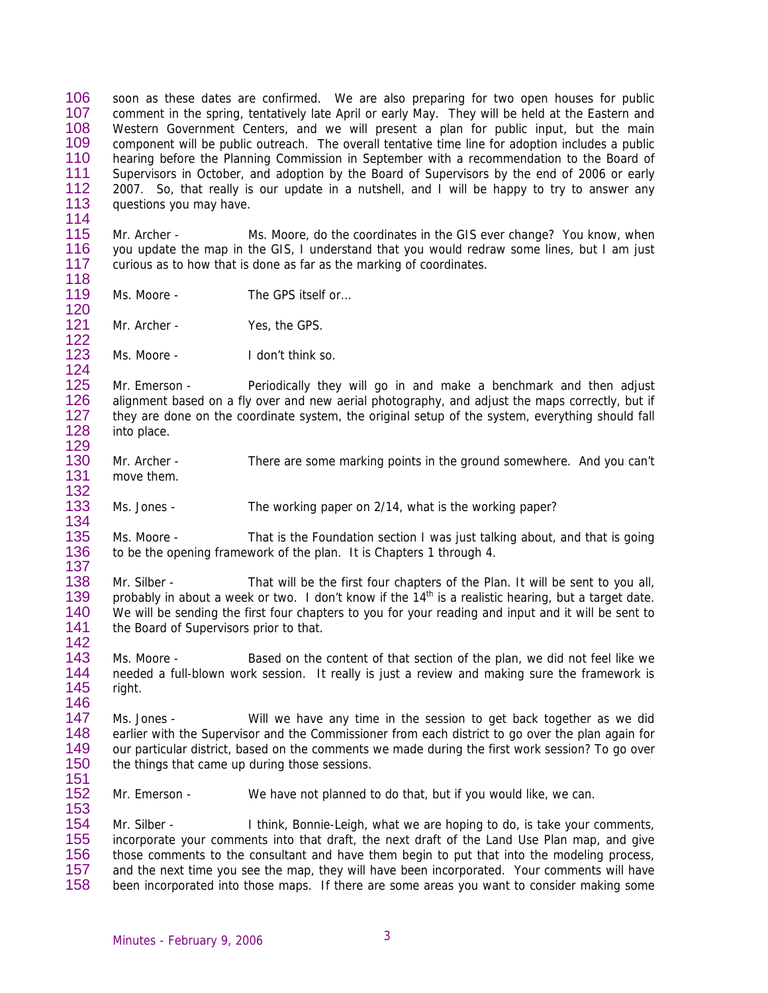106 107 108 109 110 111 112 113 soon as these dates are confirmed. We are also preparing for two open houses for public comment in the spring, tentatively late April or early May. They will be held at the Eastern and Western Government Centers, and we will present a plan for public input, but the main component will be public outreach. The overall tentative time line for adoption includes a public hearing before the Planning Commission in September with a recommendation to the Board of Supervisors in October, and adoption by the Board of Supervisors by the end of 2006 or early 2007. So, that really is our update in a nutshell, and I will be happy to try to answer any questions you may have.

115 116 117 118 Mr. Archer - Ms. Moore, do the coordinates in the GIS ever change? You know, when you update the map in the GIS, I understand that you would redraw some lines, but I am just curious as to how that is done as far as the marking of coordinates.

119 Ms. Moore - The GPS itself or...

121 Mr. Archer - Yes, the GPS.

114

120

122

153

123 124 Ms. Moore - I don't think so.

125 126 127 128 129 Mr. Emerson - Periodically they will go in and make a benchmark and then adjust alignment based on a fly over and new aerial photography, and adjust the maps correctly, but if they are done on the coordinate system, the original setup of the system, everything should fall into place.

- 130 131 132 Mr. Archer - There are some marking points in the ground somewhere. And you can't move them.
- 133 134 Ms. Jones - The working paper on 2/14, what is the working paper?

135 136 137 Ms. Moore - That is the Foundation section I was just talking about, and that is going to be the opening framework of the plan. It is Chapters 1 through 4.

138 139 140 141 142 Mr. Silber - That will be the first four chapters of the Plan. It will be sent to you all. probably in about a week or two. I don't know if the  $14<sup>th</sup>$  is a realistic hearing, but a target date. We will be sending the first four chapters to you for your reading and input and it will be sent to the Board of Supervisors prior to that.

143 144 145 146 Ms. Moore - Based on the content of that section of the plan, we did not feel like we needed a full-blown work session. It really is just a review and making sure the framework is right.

147 148 149 150 151 Ms. Jones - Will we have any time in the session to get back together as we did earlier with the Supervisor and the Commissioner from each district to go over the plan again for our particular district, based on the comments we made during the first work session? To go over the things that came up during those sessions.

152 Mr. Emerson - We have not planned to do that, but if you would like, we can.

154 155 156 157 158 Mr. Silber - I think, Bonnie-Leigh, what we are hoping to do, is take your comments, incorporate your comments into that draft, the next draft of the Land Use Plan map, and give those comments to the consultant and have them begin to put that into the modeling process, and the next time you see the map, they will have been incorporated. Your comments will have been incorporated into those maps. If there are some areas you want to consider making some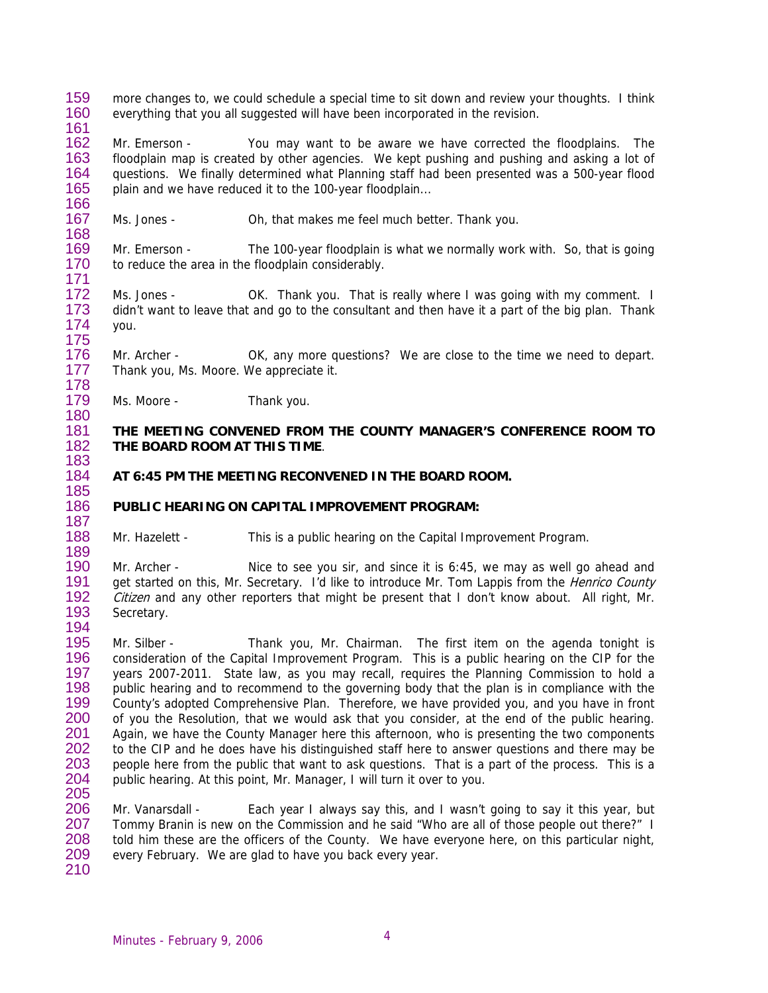159 160 161 more changes to, we could schedule a special time to sit down and review your thoughts. I think everything that you all suggested will have been incorporated in the revision.

162 163 164 165 166 Mr. Emerson - You may want to be aware we have corrected the floodplains. The floodplain map is created by other agencies. We kept pushing and pushing and asking a lot of questions. We finally determined what Planning staff had been presented was a 500-year flood plain and we have reduced it to the 100-year floodplain...

167 Ms. Jones - Oh, that makes me feel much better. Thank you.

169 170 171 Mr. Emerson - The 100-year floodplain is what we normally work with. So, that is going to reduce the area in the floodplain considerably.

172 173 174 175 Ms. Jones - OK. Thank you. That is really where I was going with my comment. I didn't want to leave that and go to the consultant and then have it a part of the big plan. Thank you.

176 177 Mr. Archer - OK, any more questions? We are close to the time we need to depart. Thank you, Ms. Moore. We appreciate it.

179 180 Ms. Moore - Thank you.

168

178

183 184 185

188 189

### 181 182 **THE MEETING CONVENED FROM THE COUNTY MANAGER'S CONFERENCE ROOM TO THE BOARD ROOM AT THIS TIME**.

- **AT 6:45 PM THE MEETING RECONVENED IN THE BOARD ROOM.**
- 186 187 **PUBLIC HEARING ON CAPITAL IMPROVEMENT PROGRAM:**

Mr. Hazelett - This is a public hearing on the Capital Improvement Program.

190 191 192 193 194 Mr. Archer - Nice to see you sir, and since it is 6:45, we may as well go ahead and get started on this, Mr. Secretary. I'd like to introduce Mr. Tom Lappis from the *Henrico County* Citizen and any other reporters that might be present that I don't know about. All right, Mr. Secretary.

195 196 197 198 199 200 201 202 203 204 205 Mr. Silber - Thank you, Mr. Chairman. The first item on the agenda tonight is consideration of the Capital Improvement Program. This is a public hearing on the CIP for the years 2007-2011. State law, as you may recall, requires the Planning Commission to hold a public hearing and to recommend to the governing body that the plan is in compliance with the County's adopted Comprehensive Plan. Therefore, we have provided you, and you have in front of you the Resolution, that we would ask that you consider, at the end of the public hearing. Again, we have the County Manager here this afternoon, who is presenting the two components to the CIP and he does have his distinguished staff here to answer questions and there may be people here from the public that want to ask questions. That is a part of the process. This is a public hearing. At this point, Mr. Manager, I will turn it over to you.

206 207 208 209 210 Mr. Vanarsdall - Each year I always say this, and I wasn't going to say it this year, but Tommy Branin is new on the Commission and he said "Who are all of those people out there?" I told him these are the officers of the County. We have everyone here, on this particular night, every February. We are glad to have you back every year.

Minutes - February 9, 2006 4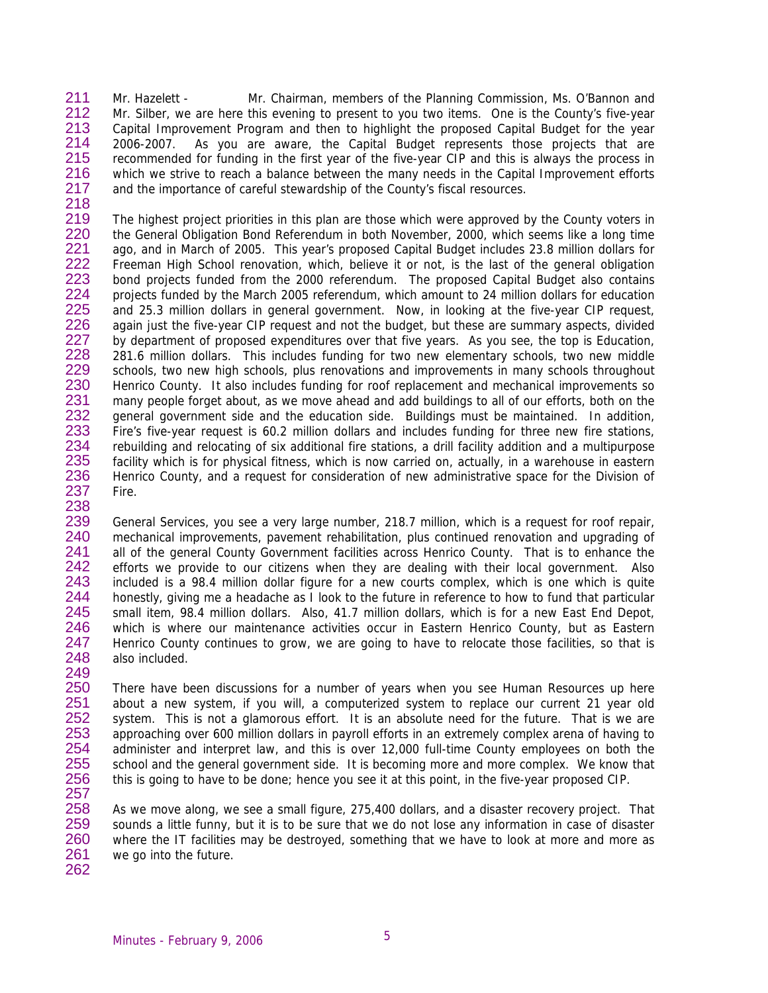211 212 213 214 215 216 217 218 Mr. Hazelett - Mr. Chairman, members of the Planning Commission, Ms. O'Bannon and Mr. Silber, we are here this evening to present to you two items. One is the County's five-year Capital Improvement Program and then to highlight the proposed Capital Budget for the year 2006-2007. As you are aware, the Capital Budget represents those projects that are recommended for funding in the first year of the five-year CIP and this is always the process in which we strive to reach a balance between the many needs in the Capital Improvement efforts and the importance of careful stewardship of the County's fiscal resources.

219 220 221 222 223 224 225 226 227 228 229 230 231 232 233 234 235 236 237 238 The highest project priorities in this plan are those which were approved by the County voters in the General Obligation Bond Referendum in both November, 2000, which seems like a long time ago, and in March of 2005. This year's proposed Capital Budget includes 23.8 million dollars for Freeman High School renovation, which, believe it or not, is the last of the general obligation bond projects funded from the 2000 referendum. The proposed Capital Budget also contains projects funded by the March 2005 referendum, which amount to 24 million dollars for education and 25.3 million dollars in general government. Now, in looking at the five-year CIP request, again just the five-year CIP request and not the budget, but these are summary aspects, divided by department of proposed expenditures over that five years. As you see, the top is Education, 281.6 million dollars. This includes funding for two new elementary schools, two new middle schools, two new high schools, plus renovations and improvements in many schools throughout Henrico County. It also includes funding for roof replacement and mechanical improvements so many people forget about, as we move ahead and add buildings to all of our efforts, both on the general government side and the education side. Buildings must be maintained. In addition, Fire's five-year request is 60.2 million dollars and includes funding for three new fire stations, rebuilding and relocating of six additional fire stations, a drill facility addition and a multipurpose facility which is for physical fitness, which is now carried on, actually, in a warehouse in eastern Henrico County, and a request for consideration of new administrative space for the Division of Fire.

239 240 241 242 243 244 245 246 247 248 249 General Services, you see a very large number, 218.7 million, which is a request for roof repair, mechanical improvements, pavement rehabilitation, plus continued renovation and upgrading of all of the general County Government facilities across Henrico County. That is to enhance the efforts we provide to our citizens when they are dealing with their local government. Also included is a 98.4 million dollar figure for a new courts complex, which is one which is quite honestly, giving me a headache as I look to the future in reference to how to fund that particular small item, 98.4 million dollars. Also, 41.7 million dollars, which is for a new East End Depot, which is where our maintenance activities occur in Eastern Henrico County, but as Eastern Henrico County continues to grow, we are going to have to relocate those facilities, so that is also included.

250 251 252 253 254 255 256 257 There have been discussions for a number of years when you see Human Resources up here about a new system, if you will, a computerized system to replace our current 21 year old system. This is not a glamorous effort. It is an absolute need for the future. That is we are approaching over 600 million dollars in payroll efforts in an extremely complex arena of having to administer and interpret law, and this is over 12,000 full-time County employees on both the school and the general government side. It is becoming more and more complex. We know that this is going to have to be done; hence you see it at this point, in the five-year proposed CIP.

258 259 260 261 262 As we move along, we see a small figure, 275,400 dollars, and a disaster recovery project. That sounds a little funny, but it is to be sure that we do not lose any information in case of disaster where the IT facilities may be destroyed, something that we have to look at more and more as we go into the future.

Minutes - February 9, 2006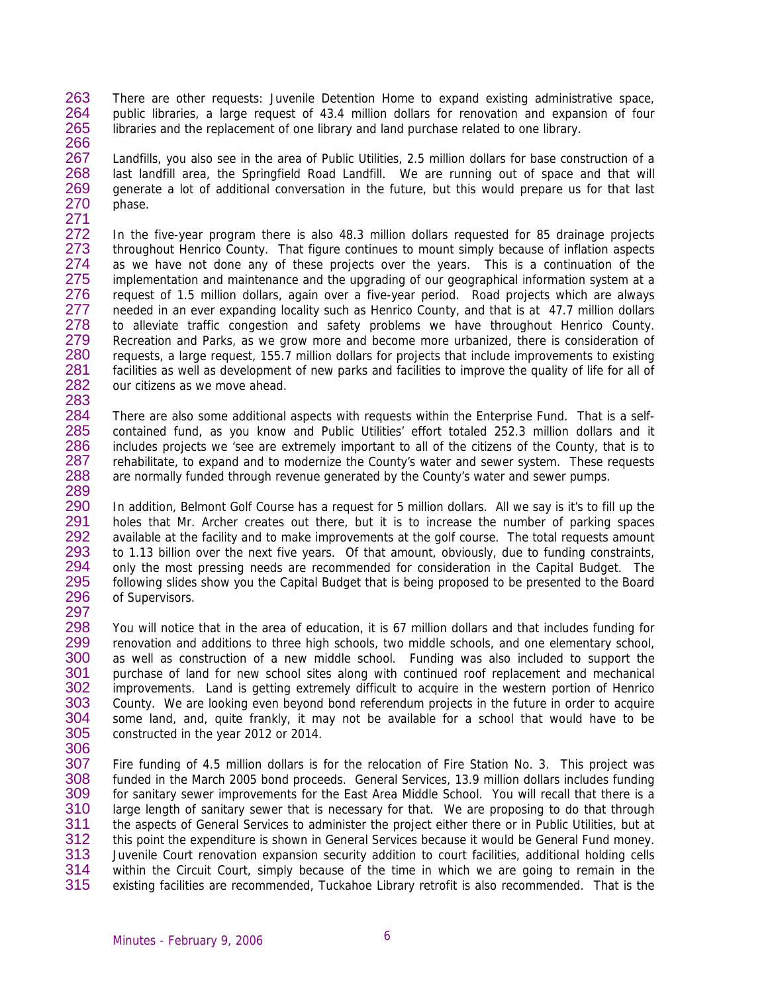263 264 265 266 There are other requests: Juvenile Detention Home to expand existing administrative space, public libraries, a large request of 43.4 million dollars for renovation and expansion of four libraries and the replacement of one library and land purchase related to one library.

267 268 269 270 271 Landfills, you also see in the area of Public Utilities, 2.5 million dollars for base construction of a last landfill area, the Springfield Road Landfill. We are running out of space and that will generate a lot of additional conversation in the future, but this would prepare us for that last phase.

272 273 274 275 276 277 278 279 280 281 282 283 In the five-year program there is also 48.3 million dollars requested for 85 drainage projects throughout Henrico County. That figure continues to mount simply because of inflation aspects as we have not done any of these projects over the years. This is a continuation of the implementation and maintenance and the upgrading of our geographical information system at a request of 1.5 million dollars, again over a five-year period. Road projects which are always needed in an ever expanding locality such as Henrico County, and that is at 47.7 million dollars to alleviate traffic congestion and safety problems we have throughout Henrico County. Recreation and Parks, as we grow more and become more urbanized, there is consideration of requests, a large request, 155.7 million dollars for projects that include improvements to existing facilities as well as development of new parks and facilities to improve the quality of life for all of our citizens as we move ahead.

284 285 286 287 288 289 There are also some additional aspects with requests within the Enterprise Fund. That is a selfcontained fund, as you know and Public Utilities' effort totaled 252.3 million dollars and it includes projects we 'see are extremely important to all of the citizens of the County, that is to rehabilitate, to expand and to modernize the County's water and sewer system. These requests are normally funded through revenue generated by the County's water and sewer pumps.

290 291 292 293 294 295 296 297 In addition, Belmont Golf Course has a request for 5 million dollars. All we say is it's to fill up the holes that Mr. Archer creates out there, but it is to increase the number of parking spaces available at the facility and to make improvements at the golf course. The total requests amount to 1.13 billion over the next five years. Of that amount, obviously, due to funding constraints, only the most pressing needs are recommended for consideration in the Capital Budget. The following slides show you the Capital Budget that is being proposed to be presented to the Board of Supervisors.

298 299 300 301 302 303 304 305 You will notice that in the area of education, it is 67 million dollars and that includes funding for renovation and additions to three high schools, two middle schools, and one elementary school, as well as construction of a new middle school. Funding was also included to support the purchase of land for new school sites along with continued roof replacement and mechanical improvements. Land is getting extremely difficult to acquire in the western portion of Henrico County. We are looking even beyond bond referendum projects in the future in order to acquire some land, and, quite frankly, it may not be available for a school that would have to be constructed in the year 2012 or 2014.

306

307 308 309 310 311 312 313 314 315 Fire funding of 4.5 million dollars is for the relocation of Fire Station No. 3. This project was funded in the March 2005 bond proceeds. General Services, 13.9 million dollars includes funding for sanitary sewer improvements for the East Area Middle School. You will recall that there is a large length of sanitary sewer that is necessary for that. We are proposing to do that through the aspects of General Services to administer the project either there or in Public Utilities, but at this point the expenditure is shown in General Services because it would be General Fund money. Juvenile Court renovation expansion security addition to court facilities, additional holding cells within the Circuit Court, simply because of the time in which we are going to remain in the existing facilities are recommended, Tuckahoe Library retrofit is also recommended. That is the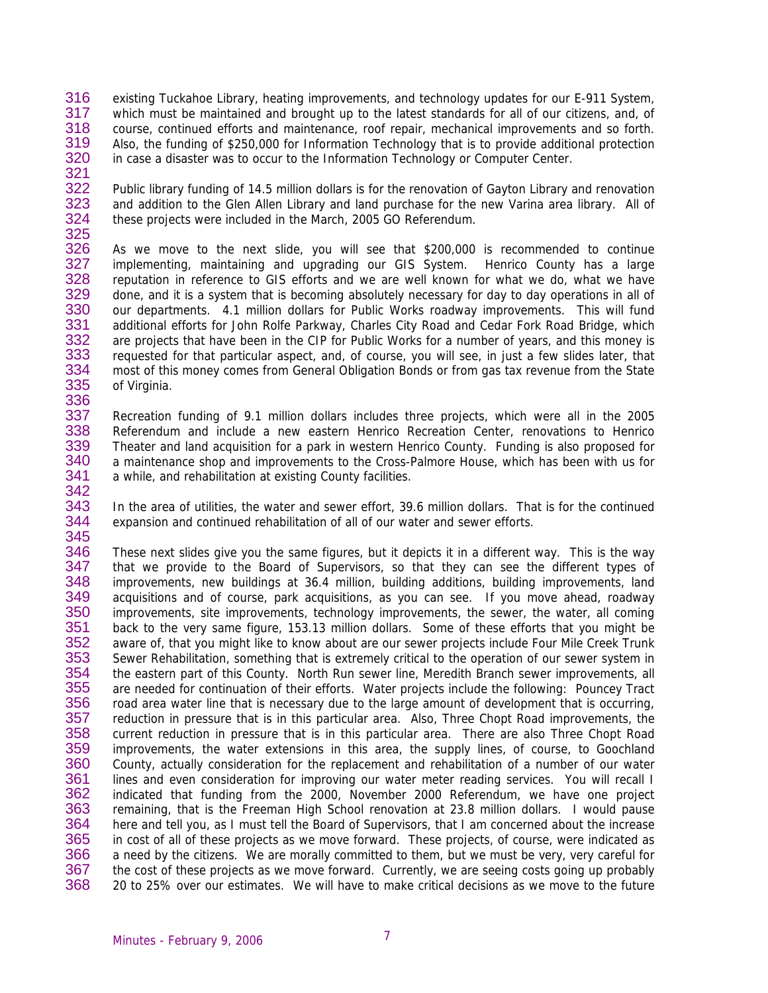- 316 317 318 319 320 321 existing Tuckahoe Library, heating improvements, and technology updates for our E-911 System, which must be maintained and brought up to the latest standards for all of our citizens, and, of course, continued efforts and maintenance, roof repair, mechanical improvements and so forth. Also, the funding of \$250,000 for Information Technology that is to provide additional protection in case a disaster was to occur to the Information Technology or Computer Center.
- 322 323 324 325 Public library funding of 14.5 million dollars is for the renovation of Gayton Library and renovation and addition to the Glen Allen Library and land purchase for the new Varina area library. All of these projects were included in the March, 2005 GO Referendum.
- 326 327 328 329 330 331 332 333 334 335 336 As we move to the next slide, you will see that \$200,000 is recommended to continue implementing, maintaining and upgrading our GIS System. Henrico County has a large reputation in reference to GIS efforts and we are well known for what we do, what we have done, and it is a system that is becoming absolutely necessary for day to day operations in all of our departments. 4.1 million dollars for Public Works roadway improvements. This will fund additional efforts for John Rolfe Parkway, Charles City Road and Cedar Fork Road Bridge, which are projects that have been in the CIP for Public Works for a number of years, and this money is requested for that particular aspect, and, of course, you will see, in just a few slides later, that most of this money comes from General Obligation Bonds or from gas tax revenue from the State of Virginia.
- 337 338 339 340 341 342 Recreation funding of 9.1 million dollars includes three projects, which were all in the 2005 Referendum and include a new eastern Henrico Recreation Center, renovations to Henrico Theater and land acquisition for a park in western Henrico County. Funding is also proposed for a maintenance shop and improvements to the Cross-Palmore House, which has been with us for a while, and rehabilitation at existing County facilities.
- 343 344 345 In the area of utilities, the water and sewer effort, 39.6 million dollars. That is for the continued expansion and continued rehabilitation of all of our water and sewer efforts.
- 346 347 348 349 350 351 352 353 354 355 356 357 358 359 360 361 362 363 364 365 366 367 368 These next slides give you the same figures, but it depicts it in a different way. This is the way that we provide to the Board of Supervisors, so that they can see the different types of improvements, new buildings at 36.4 million, building additions, building improvements, land acquisitions and of course, park acquisitions, as you can see. If you move ahead, roadway improvements, site improvements, technology improvements, the sewer, the water, all coming back to the very same figure, 153.13 million dollars. Some of these efforts that you might be aware of, that you might like to know about are our sewer projects include Four Mile Creek Trunk Sewer Rehabilitation, something that is extremely critical to the operation of our sewer system in the eastern part of this County. North Run sewer line, Meredith Branch sewer improvements, all are needed for continuation of their efforts. Water projects include the following: Pouncey Tract road area water line that is necessary due to the large amount of development that is occurring, reduction in pressure that is in this particular area. Also, Three Chopt Road improvements, the current reduction in pressure that is in this particular area. There are also Three Chopt Road improvements, the water extensions in this area, the supply lines, of course, to Goochland County, actually consideration for the replacement and rehabilitation of a number of our water lines and even consideration for improving our water meter reading services. You will recall I indicated that funding from the 2000, November 2000 Referendum, we have one project remaining, that is the Freeman High School renovation at 23.8 million dollars. I would pause here and tell you, as I must tell the Board of Supervisors, that I am concerned about the increase in cost of all of these projects as we move forward. These projects, of course, were indicated as a need by the citizens. We are morally committed to them, but we must be very, very careful for the cost of these projects as we move forward. Currently, we are seeing costs going up probably 20 to 25% over our estimates. We will have to make critical decisions as we move to the future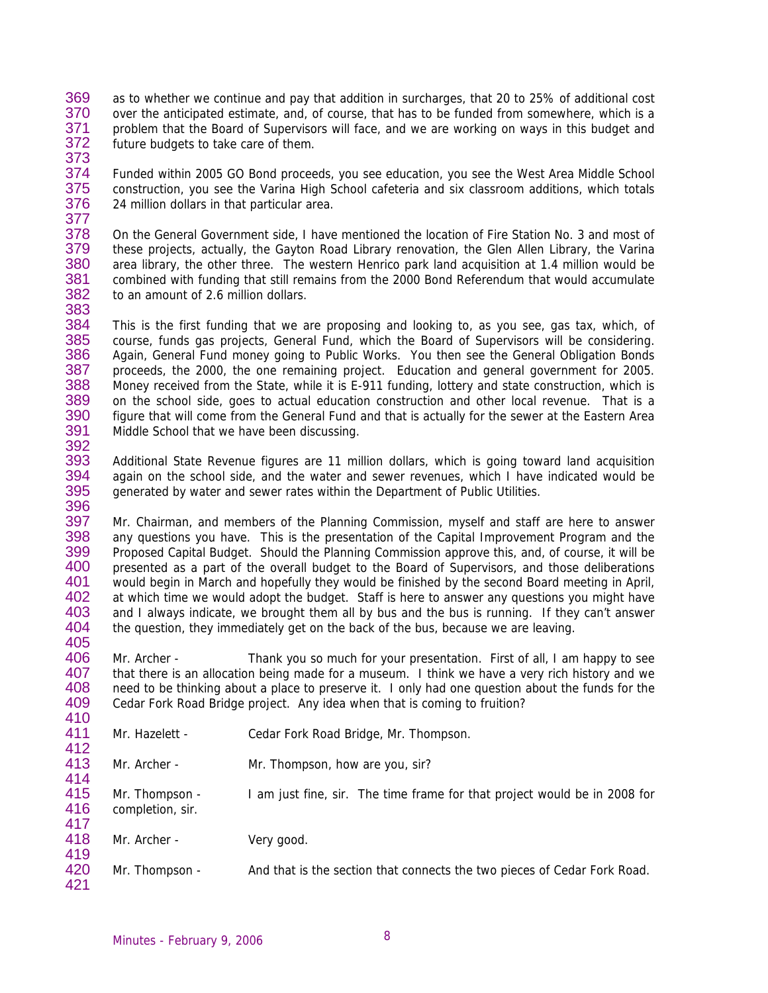- 369 370 371 372 373 as to whether we continue and pay that addition in surcharges, that 20 to 25% of additional cost over the anticipated estimate, and, of course, that has to be funded from somewhere, which is a problem that the Board of Supervisors will face, and we are working on ways in this budget and future budgets to take care of them.
- 374 375 376 377 Funded within 2005 GO Bond proceeds, you see education, you see the West Area Middle School construction, you see the Varina High School cafeteria and six classroom additions, which totals 24 million dollars in that particular area.

378 379 380 381 382 383 On the General Government side, I have mentioned the location of Fire Station No. 3 and most of these projects, actually, the Gayton Road Library renovation, the Glen Allen Library, the Varina area library, the other three. The western Henrico park land acquisition at 1.4 million would be combined with funding that still remains from the 2000 Bond Referendum that would accumulate to an amount of 2.6 million dollars.

384 385 386 387 388 389 390 391 392 This is the first funding that we are proposing and looking to, as you see, gas tax, which, of course, funds gas projects, General Fund, which the Board of Supervisors will be considering. Again, General Fund money going to Public Works. You then see the General Obligation Bonds proceeds, the 2000, the one remaining project. Education and general government for 2005. Money received from the State, while it is E-911 funding, lottery and state construction, which is on the school side, goes to actual education construction and other local revenue. That is a figure that will come from the General Fund and that is actually for the sewer at the Eastern Area Middle School that we have been discussing.

393 394 395 396 Additional State Revenue figures are 11 million dollars, which is going toward land acquisition again on the school side, and the water and sewer revenues, which I have indicated would be generated by water and sewer rates within the Department of Public Utilities.

397 398 399 400 401 402 403 404 405 Mr. Chairman, and members of the Planning Commission, myself and staff are here to answer any questions you have. This is the presentation of the Capital Improvement Program and the Proposed Capital Budget. Should the Planning Commission approve this, and, of course, it will be presented as a part of the overall budget to the Board of Supervisors, and those deliberations would begin in March and hopefully they would be finished by the second Board meeting in April, at which time we would adopt the budget. Staff is here to answer any questions you might have and I always indicate, we brought them all by bus and the bus is running. If they can't answer the question, they immediately get on the back of the bus, because we are leaving.

406 407 408 409 410 Mr. Archer - Thank you so much for your presentation. First of all, I am happy to see that there is an allocation being made for a museum. I think we have a very rich history and we need to be thinking about a place to preserve it. I only had one question about the funds for the Cedar Fork Road Bridge project. Any idea when that is coming to fruition?

| 7 I V      |                  |                                                                           |
|------------|------------------|---------------------------------------------------------------------------|
| 411        | Mr. Hazelett -   | Cedar Fork Road Bridge, Mr. Thompson.                                     |
| 412<br>413 | Mr. Archer -     | Mr. Thompson, how are you, sir?                                           |
| 414<br>415 | Mr. Thompson -   | I am just fine, sir. The time frame for that project would be in 2008 for |
| 416<br>417 | completion, sir. |                                                                           |
| 418<br>419 | Mr. Archer -     | Very good.                                                                |
| 420<br>421 | Mr. Thompson -   | And that is the section that connects the two pieces of Cedar Fork Road.  |
|            |                  |                                                                           |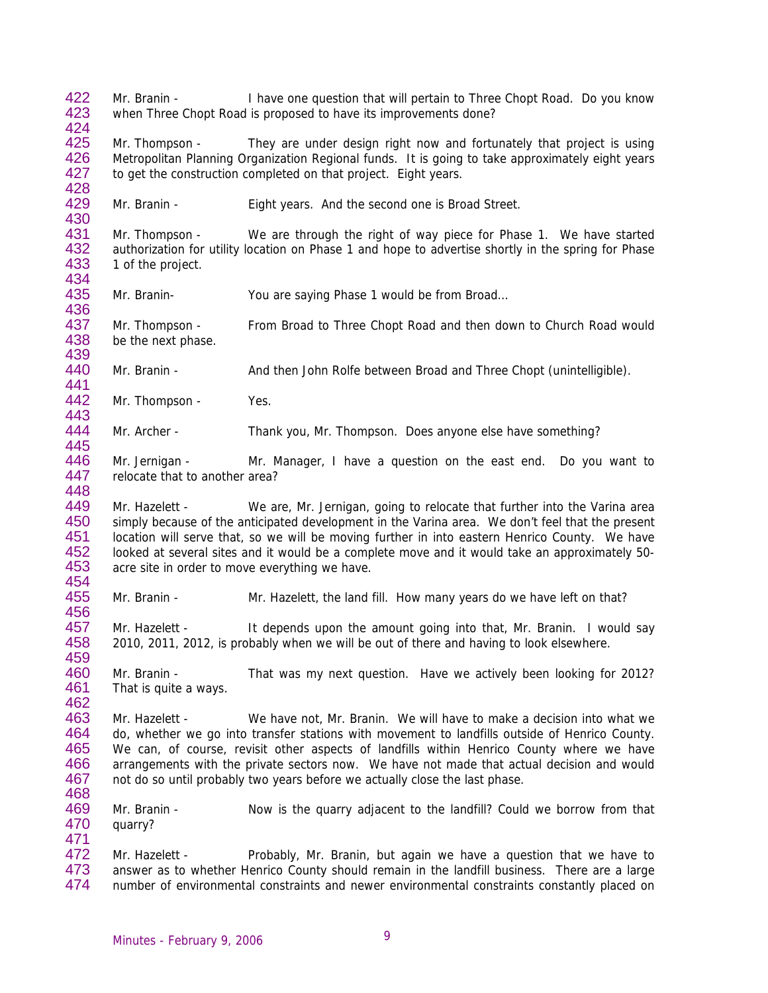422 423 Mr. Branin - I have one question that will pertain to Three Chopt Road. Do you know when Three Chopt Road is proposed to have its improvements done?

425 426 427 428 Mr. Thompson - They are under design right now and fortunately that project is using Metropolitan Planning Organization Regional funds. It is going to take approximately eight years to get the construction completed on that project. Eight years.

429 430 Mr. Branin - Eight years. And the second one is Broad Street.

431 432 433 434 Mr. Thompson - We are through the right of way piece for Phase 1. We have started authorization for utility location on Phase 1 and hope to advertise shortly in the spring for Phase 1 of the project.

435 436 Mr. Branin- You are saying Phase 1 would be from Broad…

437 438 Mr. Thompson - From Broad to Three Chopt Road and then down to Church Road would be the next phase.

440 Mr. Branin - And then John Rolfe between Broad and Three Chopt (unintelligible).

442 443 Mr. Thompson - Yes.

424

439

441

454

456

459

471

444 445 Mr. Archer - Thank you, Mr. Thompson. Does anyone else have something?

446 447 448 Mr. Jernigan - Mr. Manager, I have a question on the east end. Do you want to relocate that to another area?

449 450 451 452 453 Mr. Hazelett - We are, Mr. Jernigan, going to relocate that further into the Varina area simply because of the anticipated development in the Varina area. We don't feel that the present location will serve that, so we will be moving further in into eastern Henrico County. We have looked at several sites and it would be a complete move and it would take an approximately 50 acre site in order to move everything we have.

455 Mr. Branin - Mr. Hazelett, the land fill. How many years do we have left on that?

457 458 Mr. Hazelett - It depends upon the amount going into that, Mr. Branin. I would say 2010, 2011, 2012, is probably when we will be out of there and having to look elsewhere.

460 461 462 Mr. Branin - That was my next question. Have we actively been looking for 2012? That is quite a ways.

463 464 465 466 467 468 Mr. Hazelett - We have not, Mr. Branin. We will have to make a decision into what we do, whether we go into transfer stations with movement to landfills outside of Henrico County. We can, of course, revisit other aspects of landfills within Henrico County where we have arrangements with the private sectors now. We have not made that actual decision and would not do so until probably two years before we actually close the last phase.

469 470 Mr. Branin - Now is the quarry adjacent to the landfill? Could we borrow from that quarry?

472 473 474 Mr. Hazelett - Probably, Mr. Branin, but again we have a question that we have to answer as to whether Henrico County should remain in the landfill business. There are a large number of environmental constraints and newer environmental constraints constantly placed on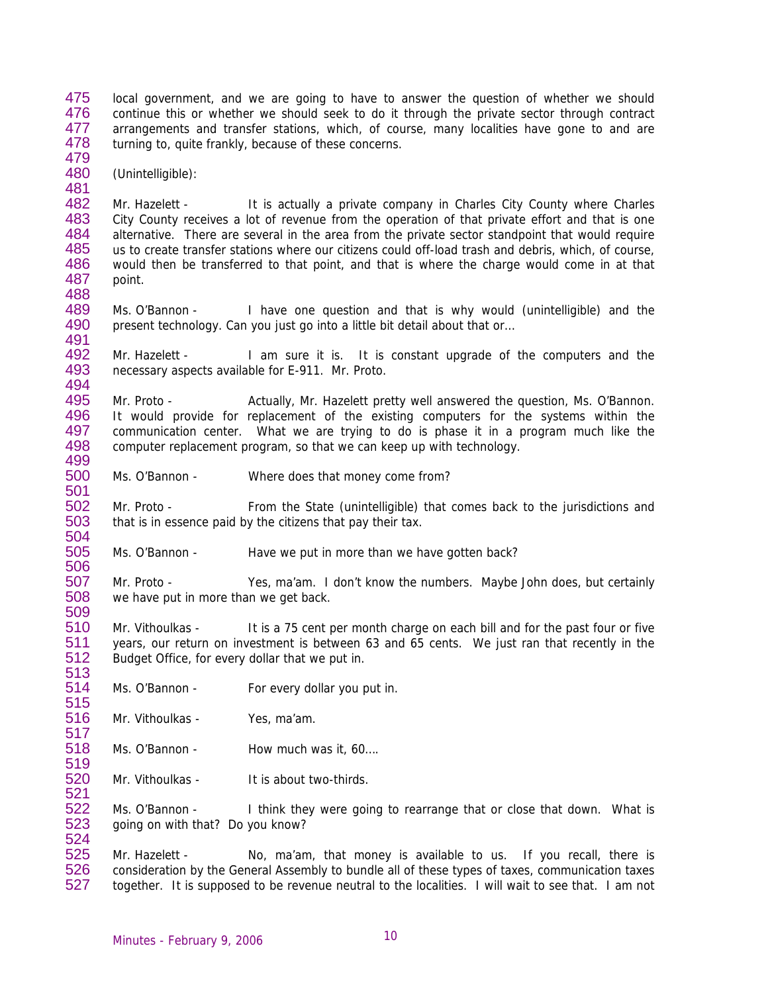475 476 477 478 479 local government, and we are going to have to answer the question of whether we should continue this or whether we should seek to do it through the private sector through contract arrangements and transfer stations, which, of course, many localities have gone to and are turning to, quite frankly, because of these concerns.

480 (Unintelligible):

481

488

494

500 501

506

509

513

517

519

482 483 484 485 486 487 Mr. Hazelett - It is actually a private company in Charles City County where Charles City County receives a lot of revenue from the operation of that private effort and that is one alternative. There are several in the area from the private sector standpoint that would require us to create transfer stations where our citizens could off-load trash and debris, which, of course, would then be transferred to that point, and that is where the charge would come in at that point.

489 490 491 Ms. O'Bannon - I have one question and that is why would (unintelligible) and the present technology. Can you just go into a little bit detail about that or…

492 493 Mr. Hazelett - I am sure it is. It is constant upgrade of the computers and the necessary aspects available for E-911. Mr. Proto.

495 496 497 498 499 Mr. Proto - Actually, Mr. Hazelett pretty well answered the question, Ms. O'Bannon. It would provide for replacement of the existing computers for the systems within the communication center. What we are trying to do is phase it in a program much like the computer replacement program, so that we can keep up with technology.

Ms. O'Bannon - Where does that money come from?

502 503 504 Mr. Proto - From the State (unintelligible) that comes back to the jurisdictions and that is in essence paid by the citizens that pay their tax.

505 Ms. O'Bannon - Have we put in more than we have gotten back?

507 508 Mr. Proto - Yes, ma'am. I don't know the numbers. Maybe John does, but certainly we have put in more than we get back.

510 511 512 Mr. Vithoulkas - It is a 75 cent per month charge on each bill and for the past four or five years, our return on investment is between 63 and 65 cents. We just ran that recently in the Budget Office, for every dollar that we put in.

514 515 Ms. O'Bannon - For every dollar you put in.

516 Mr. Vithoulkas - Yes, ma'am.

- 518 Ms. O'Bannon - How much was it, 60...
- 520 521 Mr. Vithoulkas - It is about two-thirds.

522 523 524 Ms. O'Bannon - I think they were going to rearrange that or close that down. What is going on with that? Do you know?

525 526 527 Mr. Hazelett - No, ma'am, that money is available to us. If you recall, there is consideration by the General Assembly to bundle all of these types of taxes, communication taxes together. It is supposed to be revenue neutral to the localities. I will wait to see that. I am not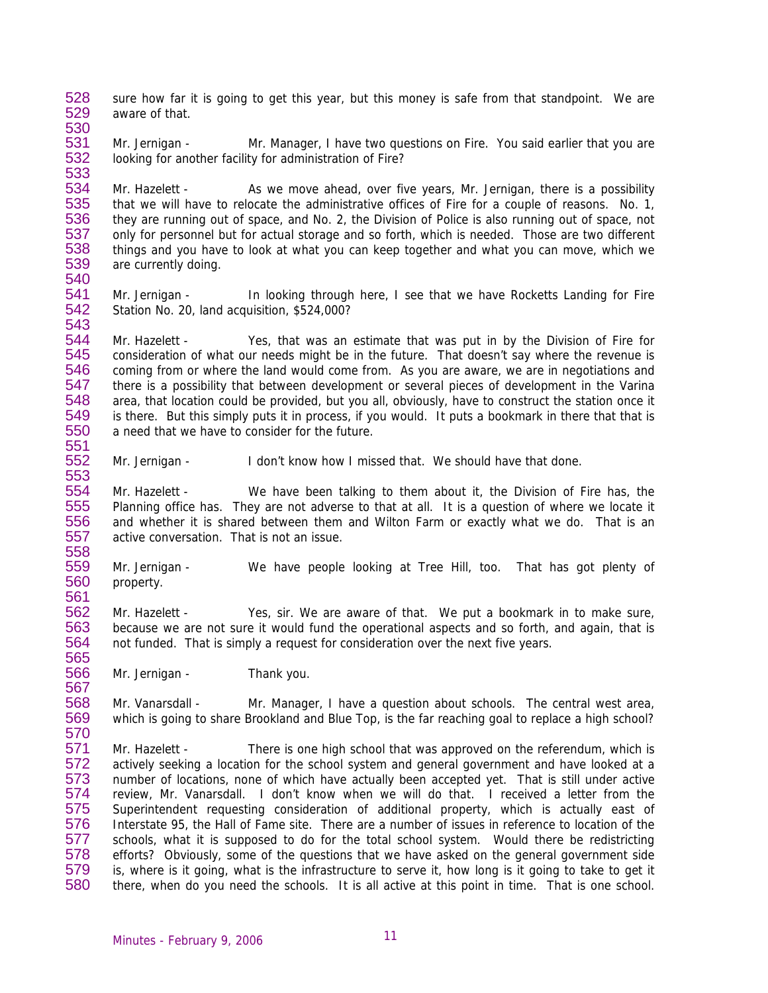- 528 529 530 sure how far it is going to get this year, but this money is safe from that standpoint. We are aware of that.
- 531 532 533 Mr. Jernigan - Mr. Manager, I have two questions on Fire. You said earlier that you are looking for another facility for administration of Fire?

534 535 536 537 538 539 540 Mr. Hazelett - As we move ahead, over five years, Mr. Jernigan, there is a possibility that we will have to relocate the administrative offices of Fire for a couple of reasons. No. 1, they are running out of space, and No. 2, the Division of Police is also running out of space, not only for personnel but for actual storage and so forth, which is needed. Those are two different things and you have to look at what you can keep together and what you can move, which we are currently doing.

541 542 543 Mr. Jernigan - In looking through here, I see that we have Rocketts Landing for Fire Station No. 20, land acquisition, \$524,000?

544 545 546 547 548 549 550 Mr. Hazelett - Yes, that was an estimate that was put in by the Division of Fire for consideration of what our needs might be in the future. That doesn't say where the revenue is coming from or where the land would come from. As you are aware, we are in negotiations and there is a possibility that between development or several pieces of development in the Varina area, that location could be provided, but you all, obviously, have to construct the station once it is there. But this simply puts it in process, if you would. It puts a bookmark in there that that is a need that we have to consider for the future.

552 553 Mr. Jernigan - I don't know how I missed that. We should have that done.

554 555 556 557 558 Mr. Hazelett - We have been talking to them about it, the Division of Fire has, the Planning office has. They are not adverse to that at all. It is a question of where we locate it and whether it is shared between them and Wilton Farm or exactly what we do. That is an active conversation. That is not an issue.

559 560 561 Mr. Jernigan - We have people looking at Tree Hill, too. That has got plenty of property.

562 563 564 565 Mr. Hazelett - Yes, sir. We are aware of that. We put a bookmark in to make sure, because we are not sure it would fund the operational aspects and so forth, and again, that is not funded. That is simply a request for consideration over the next five years.

566 Mr. Jernigan - Thank you.

551

567

568 569 570 Mr. Vanarsdall - Mr. Manager, I have a question about schools. The central west area, which is going to share Brookland and Blue Top, is the far reaching goal to replace a high school?

571 572 573 574 575 576 577 578 579 580 Mr. Hazelett - There is one high school that was approved on the referendum, which is actively seeking a location for the school system and general government and have looked at a number of locations, none of which have actually been accepted yet. That is still under active review, Mr. Vanarsdall. I don't know when we will do that. I received a letter from the Superintendent requesting consideration of additional property, which is actually east of Interstate 95, the Hall of Fame site. There are a number of issues in reference to location of the schools, what it is supposed to do for the total school system. Would there be redistricting efforts? Obviously, some of the questions that we have asked on the general government side is, where is it going, what is the infrastructure to serve it, how long is it going to take to get it there, when do you need the schools. It is all active at this point in time. That is one school.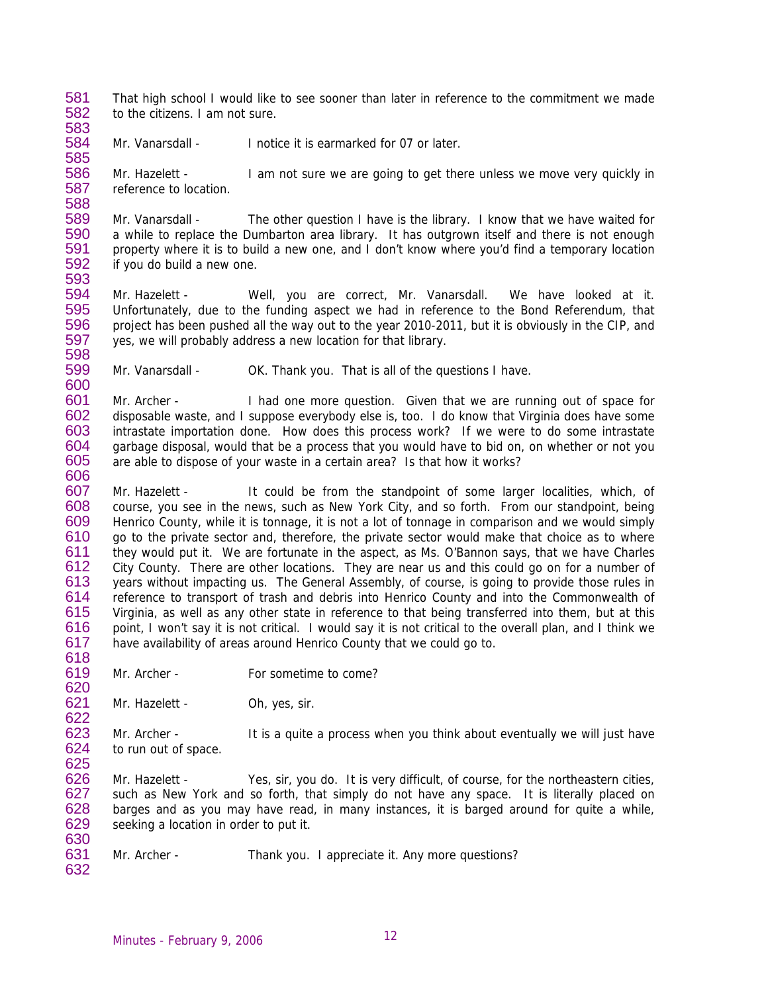581 582 583 That high school I would like to see sooner than later in reference to the commitment we made to the citizens. I am not sure.

584 585 Mr. Vanarsdall - Inotice it is earmarked for 07 or later.

586 587 588 Mr. Hazelett - I am not sure we are going to get there unless we move very quickly in reference to location.

589 590 591 592 593 Mr. Vanarsdall - The other question I have is the library. I know that we have waited for a while to replace the Dumbarton area library. It has outgrown itself and there is not enough property where it is to build a new one, and I don't know where you'd find a temporary location if you do build a new one.

594 595 596 597 Mr. Hazelett - Well, you are correct, Mr. Vanarsdall. We have looked at it. Unfortunately, due to the funding aspect we had in reference to the Bond Referendum, that project has been pushed all the way out to the year 2010-2011, but it is obviously in the CIP, and yes, we will probably address a new location for that library.

599 Mr. Vanarsdall - OK. Thank you. That is all of the questions I have.

601 602 603 604 605 606 Mr. Archer - I had one more question. Given that we are running out of space for disposable waste, and I suppose everybody else is, too. I do know that Virginia does have some intrastate importation done. How does this process work? If we were to do some intrastate garbage disposal, would that be a process that you would have to bid on, on whether or not you are able to dispose of your waste in a certain area? Is that how it works?

607 608 609 610 611 612 613 614 615 616 617 Mr. Hazelett - It could be from the standpoint of some larger localities, which, of course, you see in the news, such as New York City, and so forth. From our standpoint, being Henrico County, while it is tonnage, it is not a lot of tonnage in comparison and we would simply go to the private sector and, therefore, the private sector would make that choice as to where they would put it. We are fortunate in the aspect, as Ms. O'Bannon says, that we have Charles City County. There are other locations. They are near us and this could go on for a number of years without impacting us. The General Assembly, of course, is going to provide those rules in reference to transport of trash and debris into Henrico County and into the Commonwealth of Virginia, as well as any other state in reference to that being transferred into them, but at this point, I won't say it is not critical. I would say it is not critical to the overall plan, and I think we have availability of areas around Henrico County that we could go to.

- 619 620 Mr. Archer - For sometime to come?
- 621 622 Mr. Hazelett - Oh, yes, sir.

623 624 Mr. Archer - It is a quite a process when you think about eventually we will just have to run out of space.

626 627 628 629 630 Mr. Hazelett - Yes, sir, you do. It is very difficult, of course, for the northeastern cities, such as New York and so forth, that simply do not have any space. It is literally placed on barges and as you may have read, in many instances, it is barged around for quite a while, seeking a location in order to put it.

631 Mr. Archer - Thank you. I appreciate it. Any more questions?

632

618

625

598

600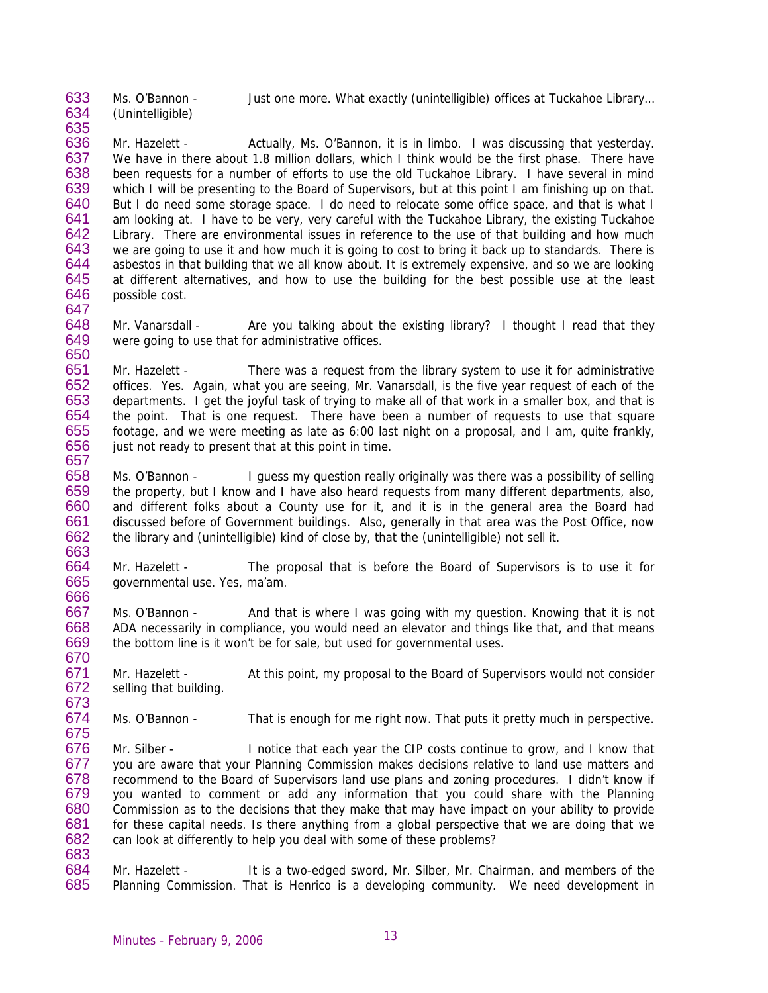633 Ms. O'Bannon - Just one more. What exactly (unintelligible) offices at Tuckahoe Library…

634 635 (Unintelligible)

647

650

636 637 638 639 640 641 642 643 644 645 646 Mr. Hazelett - Actually, Ms. O'Bannon, it is in limbo. I was discussing that yesterday. We have in there about 1.8 million dollars, which I think would be the first phase. There have been requests for a number of efforts to use the old Tuckahoe Library. I have several in mind which I will be presenting to the Board of Supervisors, but at this point I am finishing up on that. But I do need some storage space. I do need to relocate some office space, and that is what I am looking at. I have to be very, very careful with the Tuckahoe Library, the existing Tuckahoe Library. There are environmental issues in reference to the use of that building and how much we are going to use it and how much it is going to cost to bring it back up to standards. There is asbestos in that building that we all know about. It is extremely expensive, and so we are looking at different alternatives, and how to use the building for the best possible use at the least possible cost.

648 649 Mr. Vanarsdall - Are you talking about the existing library? I thought I read that they were going to use that for administrative offices.

651 652 653 654 655 656 657 Mr. Hazelett - There was a request from the library system to use it for administrative offices. Yes. Again, what you are seeing, Mr. Vanarsdall, is the five year request of each of the departments. I get the joyful task of trying to make all of that work in a smaller box, and that is the point. That is one request. There have been a number of requests to use that square footage, and we were meeting as late as 6:00 last night on a proposal, and I am, quite frankly, just not ready to present that at this point in time.

658 659 660 661 662 663 Ms. O'Bannon - I guess my question really originally was there was a possibility of selling the property, but I know and I have also heard requests from many different departments, also, and different folks about a County use for it, and it is in the general area the Board had discussed before of Government buildings. Also, generally in that area was the Post Office, now the library and (unintelligible) kind of close by, that the (unintelligible) not sell it.

664 665 666 Mr. Hazelett - The proposal that is before the Board of Supervisors is to use it for governmental use. Yes, ma'am.

667 668 669 670 Ms. O'Bannon - And that is where I was going with my question. Knowing that it is not ADA necessarily in compliance, you would need an elevator and things like that, and that means the bottom line is it won't be for sale, but used for governmental uses.

671 672 673 Mr. Hazelett - At this point, my proposal to the Board of Supervisors would not consider selling that building.

674 675 Ms. O'Bannon - That is enough for me right now. That puts it pretty much in perspective.

676 677 678 679 680 681 682 683 Mr. Silber - Inotice that each year the CIP costs continue to grow, and I know that you are aware that your Planning Commission makes decisions relative to land use matters and recommend to the Board of Supervisors land use plans and zoning procedures. I didn't know if you wanted to comment or add any information that you could share with the Planning Commission as to the decisions that they make that may have impact on your ability to provide for these capital needs. Is there anything from a global perspective that we are doing that we can look at differently to help you deal with some of these problems?

684 685 Mr. Hazelett - It is a two-edged sword, Mr. Silber, Mr. Chairman, and members of the Planning Commission. That is Henrico is a developing community. We need development in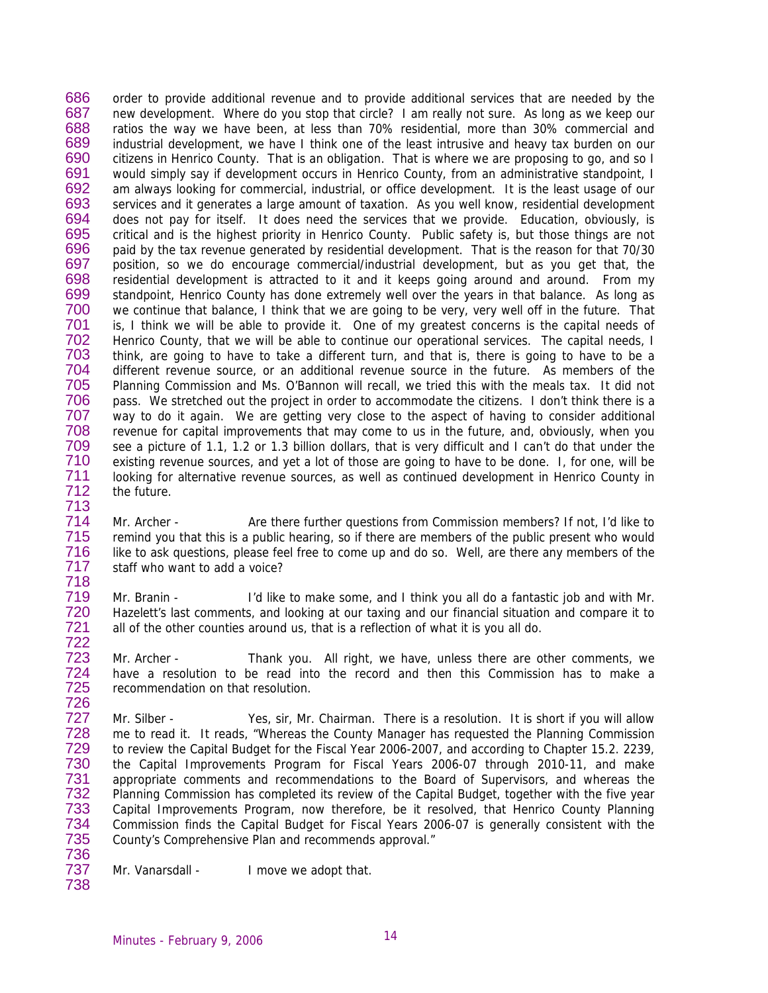686 687 688 689 690 691 692 693 694 695 696 697 698 699 700 701 702 703 704 705 706 707 708 709 710 711 712 713 order to provide additional revenue and to provide additional services that are needed by the new development. Where do you stop that circle? I am really not sure. As long as we keep our ratios the way we have been, at less than 70% residential, more than 30% commercial and industrial development, we have I think one of the least intrusive and heavy tax burden on our citizens in Henrico County. That is an obligation. That is where we are proposing to go, and so I would simply say if development occurs in Henrico County, from an administrative standpoint, I am always looking for commercial, industrial, or office development. It is the least usage of our services and it generates a large amount of taxation. As you well know, residential development does not pay for itself. It does need the services that we provide. Education, obviously, is critical and is the highest priority in Henrico County. Public safety is, but those things are not paid by the tax revenue generated by residential development. That is the reason for that 70/30 position, so we do encourage commercial/industrial development, but as you get that, the residential development is attracted to it and it keeps going around and around. From my standpoint, Henrico County has done extremely well over the years in that balance. As long as we continue that balance, I think that we are going to be very, very well off in the future. That is, I think we will be able to provide it. One of my greatest concerns is the capital needs of Henrico County, that we will be able to continue our operational services. The capital needs, I think, are going to have to take a different turn, and that is, there is going to have to be a different revenue source, or an additional revenue source in the future. As members of the Planning Commission and Ms. O'Bannon will recall, we tried this with the meals tax. It did not pass. We stretched out the project in order to accommodate the citizens. I don't think there is a way to do it again. We are getting very close to the aspect of having to consider additional revenue for capital improvements that may come to us in the future, and, obviously, when you see a picture of 1.1, 1.2 or 1.3 billion dollars, that is very difficult and I can't do that under the existing revenue sources, and yet a lot of those are going to have to be done. I, for one, will be looking for alternative revenue sources, as well as continued development in Henrico County in the future.

714 715 716 717 718 Mr. Archer - Are there further questions from Commission members? If not, I'd like to remind you that this is a public hearing, so if there are members of the public present who would like to ask questions, please feel free to come up and do so. Well, are there any members of the staff who want to add a voice?

719 720 721 722 Mr. Branin - I'd like to make some, and I think you all do a fantastic job and with Mr. Hazelett's last comments, and looking at our taxing and our financial situation and compare it to all of the other counties around us, that is a reflection of what it is you all do.

723 724 725 726 Mr. Archer - Thank you. All right, we have, unless there are other comments, we have a resolution to be read into the record and then this Commission has to make a recommendation on that resolution.

727 728 729 730 731 732 733 734 735 736 Mr. Silber - Yes, sir, Mr. Chairman. There is a resolution. It is short if you will allow me to read it. It reads, "Whereas the County Manager has requested the Planning Commission to review the Capital Budget for the Fiscal Year 2006-2007, and according to Chapter 15.2. 2239, the Capital Improvements Program for Fiscal Years 2006-07 through 2010-11, and make appropriate comments and recommendations to the Board of Supervisors, and whereas the Planning Commission has completed its review of the Capital Budget, together with the five year Capital Improvements Program, now therefore, be it resolved, that Henrico County Planning Commission finds the Capital Budget for Fiscal Years 2006-07 is generally consistent with the County's Comprehensive Plan and recommends approval."

737 Mr. Vanarsdall - I move we adopt that.

Minutes - February 9, 2006 14

738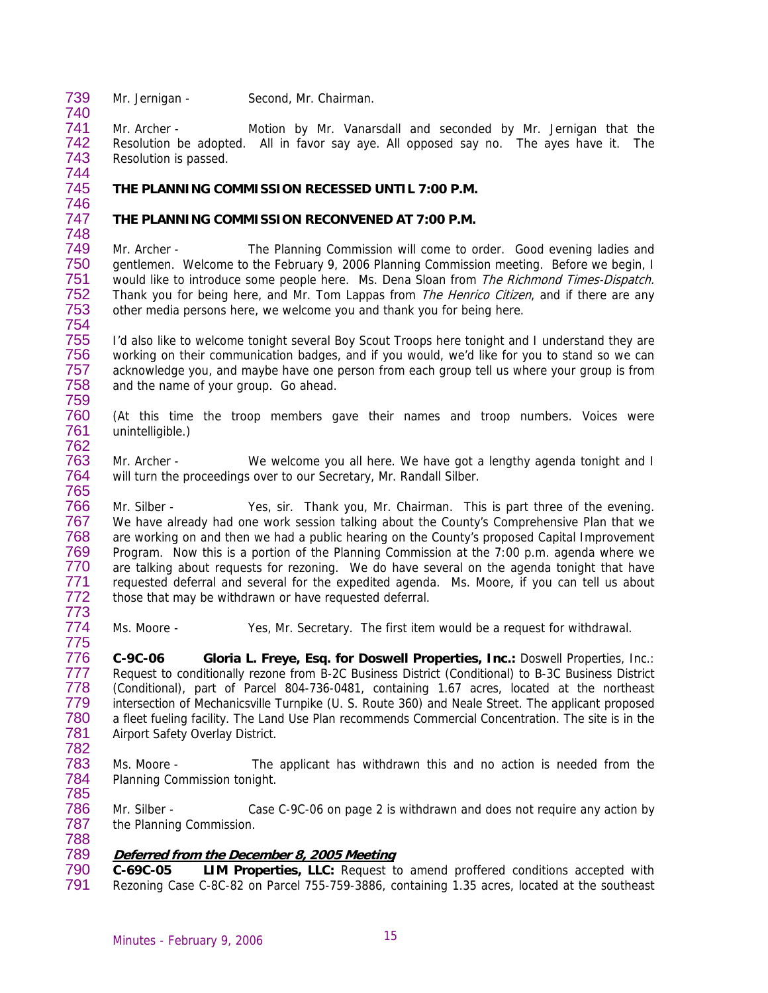739 Mr. Jernigan - Second, Mr. Chairman.

741 742 743 744 Mr. Archer - Motion by Mr. Vanarsdall and seconded by Mr. Jernigan that the Resolution be adopted. All in favor say aye. All opposed say no. The ayes have it. The Resolution is passed.

### 745 746 **THE PLANNING COMMISSION RECESSED UNTIL 7:00 P.M.**

### 747 **THE PLANNING COMMISSION RECONVENED AT 7:00 P.M.**

749 750 751 752 753 754 Mr. Archer - The Planning Commission will come to order. Good evening ladies and gentlemen. Welcome to the February 9, 2006 Planning Commission meeting. Before we begin, I would like to introduce some people here. Ms. Dena Sloan from The Richmond Times-Dispatch. Thank you for being here, and Mr. Tom Lappas from *The Henrico Citizen*, and if there are any other media persons here, we welcome you and thank you for being here.

755 756 757 758 759 I'd also like to welcome tonight several Boy Scout Troops here tonight and I understand they are working on their communication badges, and if you would, we'd like for you to stand so we can acknowledge you, and maybe have one person from each group tell us where your group is from and the name of your group. Go ahead.

760 761 (At this time the troop members gave their names and troop numbers. Voices were unintelligible.)

763 764 765 Mr. Archer - We welcome you all here. We have got a lengthy agenda tonight and I will turn the proceedings over to our Secretary, Mr. Randall Silber.

766 767 768 769 770 771 772 773 Mr. Silber - Yes, sir. Thank you, Mr. Chairman. This is part three of the evening. We have already had one work session talking about the County's Comprehensive Plan that we are working on and then we had a public hearing on the County's proposed Capital Improvement Program. Now this is a portion of the Planning Commission at the 7:00 p.m. agenda where we are talking about requests for rezoning. We do have several on the agenda tonight that have requested deferral and several for the expedited agenda. Ms. Moore, if you can tell us about those that may be withdrawn or have requested deferral.

774 775 Ms. Moore - Yes, Mr. Secretary. The first item would be a request for withdrawal.

776 777 778 779 780 781 **C-9C-06 Gloria L. Freye, Esq. for Doswell Properties, Inc.:** Doswell Properties, Inc.: Request to conditionally rezone from B-2C Business District (Conditional) to B-3C Business District (Conditional), part of Parcel 804-736-0481, containing 1.67 acres, located at the northeast intersection of Mechanicsville Turnpike (U. S. Route 360) and Neale Street. The applicant proposed a fleet fueling facility. The Land Use Plan recommends Commercial Concentration. The site is in the Airport Safety Overlay District.

782

740

748

762

783 784 785 Ms. Moore - The applicant has withdrawn this and no action is needed from the Planning Commission tonight.

786 787 788 Mr. Silber - Case C-9C-06 on page 2 is withdrawn and does not require any action by the Planning Commission.

### 789 **Deferred from the December 8, 2005 Meeting**

790 791 **C-69C-05 LIM Properties, LLC:** Request to amend proffered conditions accepted with Rezoning Case C-8C-82 on Parcel 755-759-3886, containing 1.35 acres, located at the southeast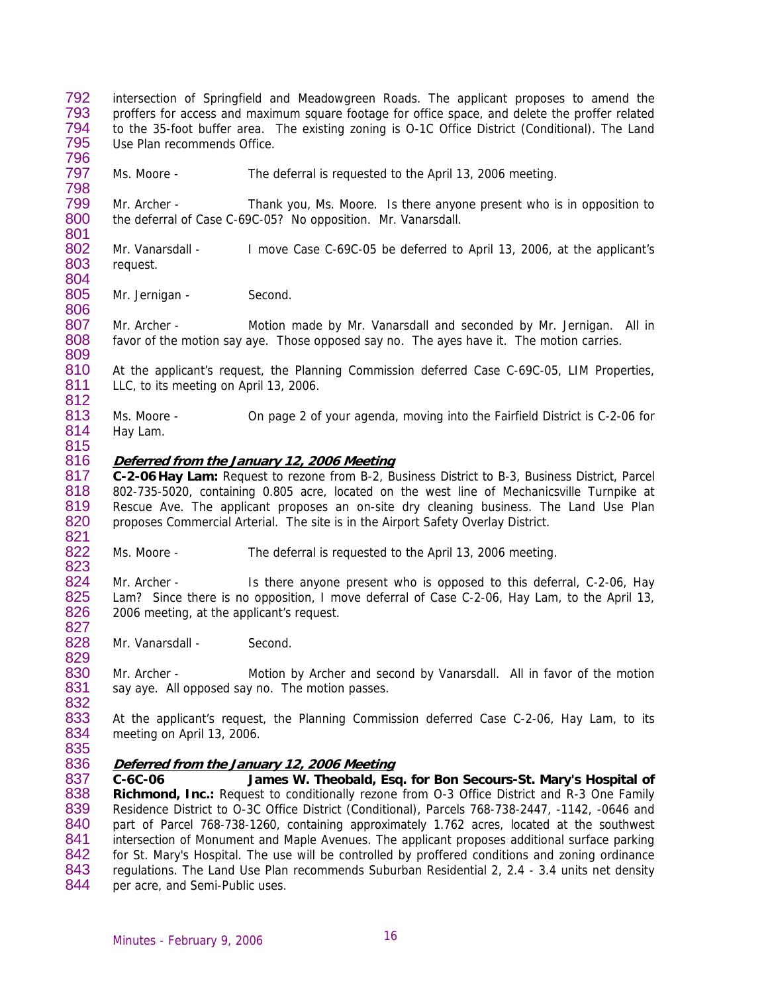792 793 794 795 796 intersection of Springfield and Meadowgreen Roads. The applicant proposes to amend the proffers for access and maximum square footage for office space, and delete the proffer related to the 35-foot buffer area. The existing zoning is O-1C Office District (Conditional). The Land Use Plan recommends Office.

797 Ms. Moore - The deferral is requested to the April 13, 2006 meeting.

799 800 801 Mr. Archer - Thank you, Ms. Moore. Is there anyone present who is in opposition to the deferral of Case C-69C-05? No opposition. Mr. Vanarsdall.

802 803 804 Mr. Vanarsdall - I move Case C-69C-05 be deferred to April 13, 2006, at the applicant's request.

805 806 Mr. Jernigan - Second.

807 808 Mr. Archer - Motion made by Mr. Vanarsdall and seconded by Mr. Jernigan. All in favor of the motion say aye. Those opposed say no. The ayes have it. The motion carries.

810 811 At the applicant's request, the Planning Commission deferred Case C-69C-05, LIM Properties, LLC, to its meeting on April 13, 2006.

813 814 Ms. Moore - On page 2 of your agenda, moving into the Fairfield District is C-2-06 for Hay Lam.

# **Deferred from the January 12, 2006 Meeting**

817 818 819 820 821 **C-2-06 Hay Lam:** Request to rezone from B-2, Business District to B-3, Business District, Parcel 802-735-5020, containing 0.805 acre, located on the west line of Mechanicsville Turnpike at Rescue Ave. The applicant proposes an on-site dry cleaning business. The Land Use Plan proposes Commercial Arterial. The site is in the Airport Safety Overlay District.

822 823 Ms. Moore - The deferral is requested to the April 13, 2006 meeting.

824 825 826 827 Mr. Archer - Is there anyone present who is opposed to this deferral, C-2-06, Hay Lam? Since there is no opposition, I move deferral of Case C-2-06, Hay Lam, to the April 13, 2006 meeting, at the applicant's request.

828 Mr. Vanarsdall - Second.

830 831 832 Mr. Archer - Motion by Archer and second by Vanarsdall. All in favor of the motion say aye. All opposed say no. The motion passes.

833 834 At the applicant's request, the Planning Commission deferred Case C-2-06, Hay Lam, to its meeting on April 13, 2006.

835

829

798

809

812

815

816

#### 836 **Deferred from the January 12, 2006 Meeting**

837 838 839 840 841 842 843 844 **C-6C-06 James W. Theobald, Esq. for Bon Secours-St. Mary's Hospital of Richmond, Inc.:** Request to conditionally rezone from O-3 Office District and R-3 One Family Residence District to O-3C Office District (Conditional), Parcels 768-738-2447, -1142, -0646 and part of Parcel 768-738-1260, containing approximately 1.762 acres, located at the southwest intersection of Monument and Maple Avenues. The applicant proposes additional surface parking for St. Mary's Hospital. The use will be controlled by proffered conditions and zoning ordinance regulations. The Land Use Plan recommends Suburban Residential 2, 2.4 - 3.4 units net density per acre, and Semi-Public uses.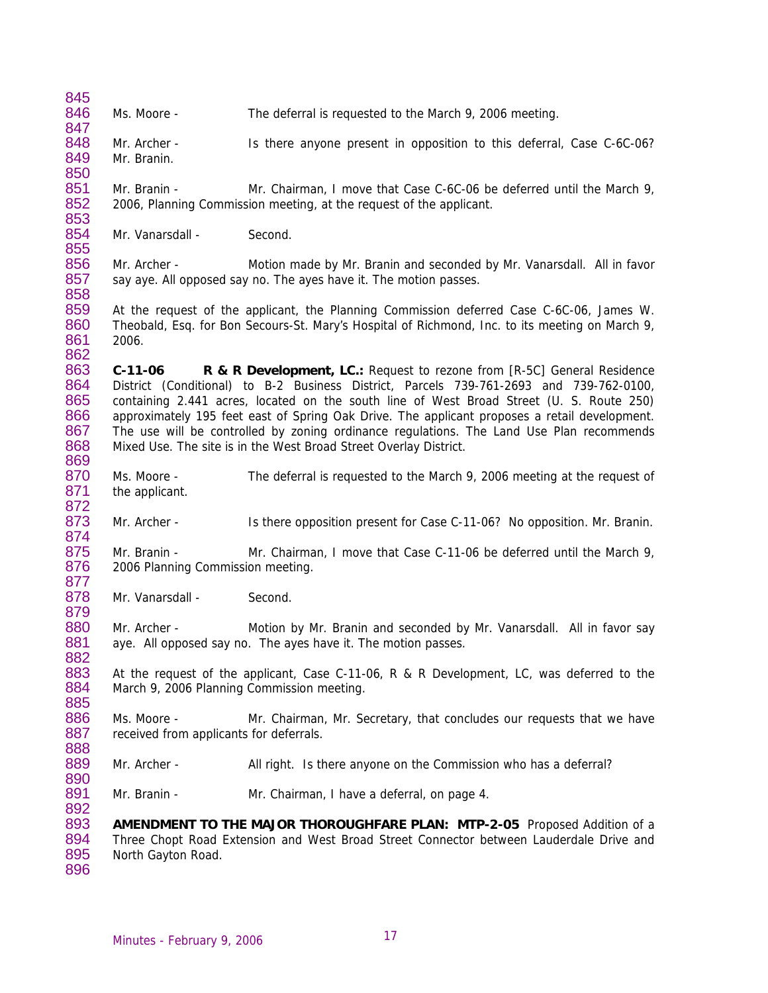845 846 847 848 849 850 851 852 853 854 855 856 857 858 859 860 861 862 863 864 865 866 867 868 869 870 871 872 873 874 875 876 877 878 879 880 881 882 883 884 885 886 887 888 889 890 891 892 893 894 895 896 Ms. Moore - The deferral is requested to the March 9, 2006 meeting. Mr. Archer - Is there anyone present in opposition to this deferral, Case C-6C-06? Mr. Branin. Mr. Branin - Mr. Chairman, I move that Case C-6C-06 be deferred until the March 9, 2006, Planning Commission meeting, at the request of the applicant. Mr. Vanarsdall - Second. Mr. Archer - Motion made by Mr. Branin and seconded by Mr. Vanarsdall. All in favor say aye. All opposed say no. The ayes have it. The motion passes. At the request of the applicant, the Planning Commission deferred Case C-6C-06, James W. Theobald, Esq. for Bon Secours-St. Mary's Hospital of Richmond, Inc. to its meeting on March 9, 2006. **C-11-06 R & R Development, LC.:** Request to rezone from [R-5C] General Residence District (Conditional) to B-2 Business District, Parcels 739-761-2693 and 739-762-0100, containing 2.441 acres, located on the south line of West Broad Street (U. S. Route 250) approximately 195 feet east of Spring Oak Drive. The applicant proposes a retail development. The use will be controlled by zoning ordinance regulations. The Land Use Plan recommends Mixed Use. The site is in the West Broad Street Overlay District. Ms. Moore - The deferral is requested to the March 9, 2006 meeting at the request of the applicant. Mr. Archer - Is there opposition present for Case C-11-06? No opposition. Mr. Branin. Mr. Branin - Mr. Chairman, I move that Case C-11-06 be deferred until the March 9, 2006 Planning Commission meeting. Mr. Vanarsdall - Second. Mr. Archer - **Motion by Mr. Branin and seconded by Mr. Vanarsdall.** All in favor say aye. All opposed say no. The ayes have it. The motion passes. At the request of the applicant, Case C-11-06, R & R Development, LC, was deferred to the March 9, 2006 Planning Commission meeting. Ms. Moore - Mr. Chairman, Mr. Secretary, that concludes our requests that we have received from applicants for deferrals. Mr. Archer - All right. Is there anyone on the Commission who has a deferral? Mr. Branin - Mr. Chairman, I have a deferral, on page 4. **AMENDMENT TO THE MAJOR THOROUGHFARE PLAN: MTP-2-05** Proposed Addition of a Three Chopt Road Extension and West Broad Street Connector between Lauderdale Drive and North Gayton Road.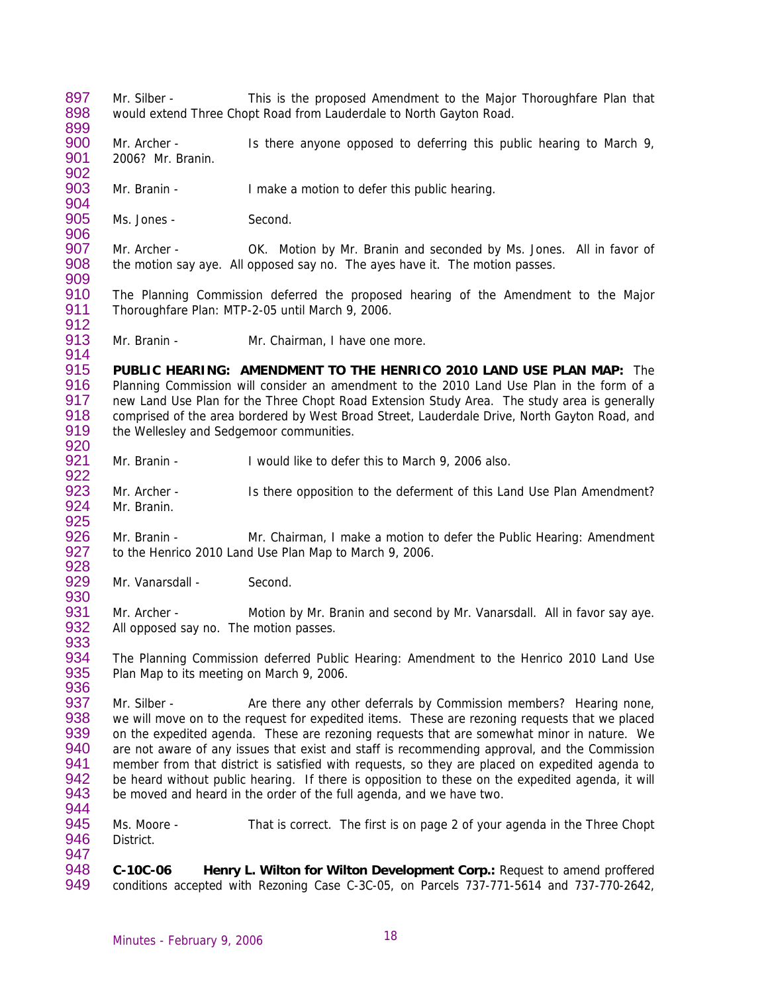897 898 899 900 901 902 903 904 905 906 907 908 909 910 911 912 913 914 915 916 917 918 919 920 921 922 923 924 925 926 927 928 929 930 931 932 933 934 935 936 937 938 939 940 941 942 943 944 945 946 947 948 949 Mr. Silber - This is the proposed Amendment to the Major Thoroughfare Plan that would extend Three Chopt Road from Lauderdale to North Gayton Road. Mr. Archer - Is there anyone opposed to deferring this public hearing to March 9, 2006? Mr. Branin. Mr. Branin - I make a motion to defer this public hearing. Ms. Jones - Second. Mr. Archer - OK. Motion by Mr. Branin and seconded by Ms. Jones. All in favor of the motion say aye. All opposed say no. The ayes have it. The motion passes. The Planning Commission deferred the proposed hearing of the Amendment to the Major Thoroughfare Plan: MTP-2-05 until March 9, 2006. Mr. Branin - **Mr. Chairman, I have one more. PUBLIC HEARING: AMENDMENT TO THE HENRICO 2010 LAND USE PLAN MAP:** The Planning Commission will consider an amendment to the 2010 Land Use Plan in the form of a new Land Use Plan for the Three Chopt Road Extension Study Area. The study area is generally comprised of the area bordered by West Broad Street, Lauderdale Drive, North Gayton Road, and the Wellesley and Sedgemoor communities. Mr. Branin - I would like to defer this to March 9, 2006 also. Mr. Archer - Is there opposition to the deferment of this Land Use Plan Amendment? Mr. Branin. Mr. Branin - Mr. Chairman, I make a motion to defer the Public Hearing: Amendment to the Henrico 2010 Land Use Plan Map to March 9, 2006. Mr. Vanarsdall - Second. Mr. Archer - Motion by Mr. Branin and second by Mr. Vanarsdall. All in favor say aye. All opposed say no. The motion passes. The Planning Commission deferred Public Hearing: Amendment to the Henrico 2010 Land Use Plan Map to its meeting on March 9, 2006. Mr. Silber - Are there any other deferrals by Commission members? Hearing none, we will move on to the request for expedited items. These are rezoning requests that we placed on the expedited agenda. These are rezoning requests that are somewhat minor in nature. We are not aware of any issues that exist and staff is recommending approval, and the Commission member from that district is satisfied with requests, so they are placed on expedited agenda to be heard without public hearing. If there is opposition to these on the expedited agenda, it will be moved and heard in the order of the full agenda, and we have two. Ms. Moore - That is correct. The first is on page 2 of your agenda in the Three Chopt District. **C-10C-06 Henry L. Wilton for Wilton Development Corp.:** Request to amend proffered conditions accepted with Rezoning Case C-3C-05, on Parcels 737-771-5614 and 737-770-2642,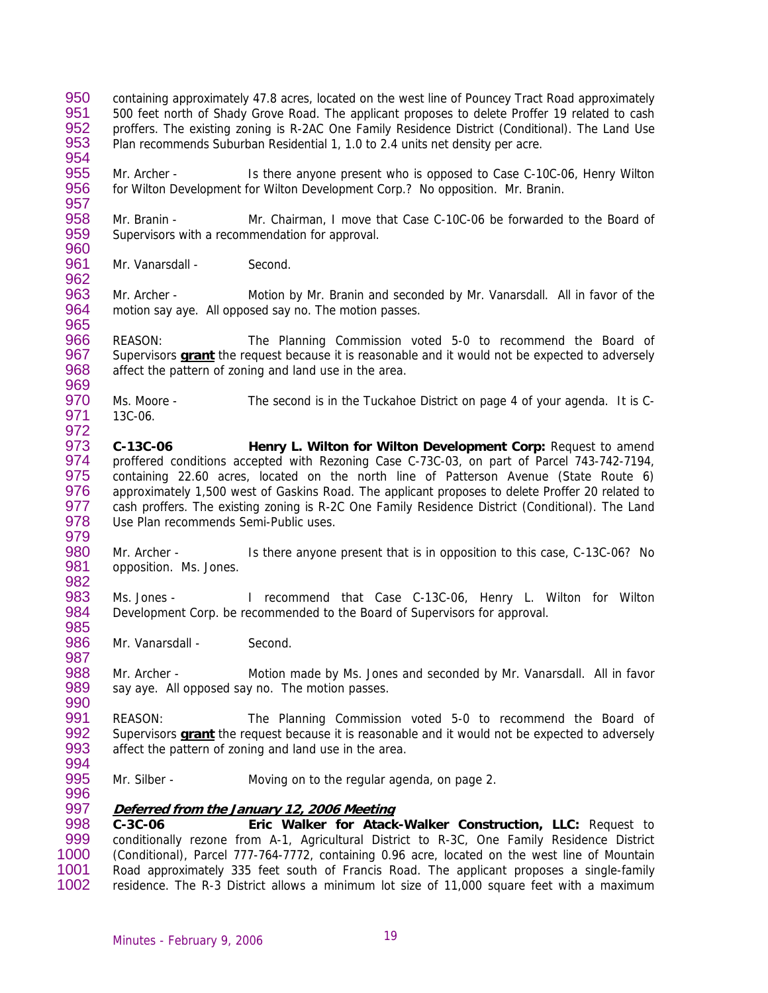- 950 951 952 953 954 containing approximately 47.8 acres, located on the west line of Pouncey Tract Road approximately 500 feet north of Shady Grove Road. The applicant proposes to delete Proffer 19 related to cash proffers. The existing zoning is R-2AC One Family Residence District (Conditional). The Land Use Plan recommends Suburban Residential 1, 1.0 to 2.4 units net density per acre.
- 955 956 Mr. Archer - Is there anyone present who is opposed to Case C-10C-06, Henry Wilton for Wilton Development for Wilton Development Corp.? No opposition. Mr. Branin.
- 958 959 960 Mr. Branin - Mr. Chairman, I move that Case C-10C-06 be forwarded to the Board of Supervisors with a recommendation for approval.
- 961 Mr. Vanarsdall - Second.

957

962

972

979

987

996

963 964 965 Mr. Archer - Motion by Mr. Branin and seconded by Mr. Vanarsdall. All in favor of the motion say aye. All opposed say no. The motion passes.

966 REASON: The Planning Commission voted 5-0 to recommend the Board of Supervisors **grant** the request because it is reasonable and it would not be expected to adversely affect the pattern of zoning and land use in the area. 967 968 969

970 971 Ms. Moore - The second is in the Tuckahoe District on page 4 of your agenda. It is C-13C-06.

973 974 975 976 977 978 **C-13C-06 Henry L. Wilton for Wilton Development Corp:** Request to amend proffered conditions accepted with Rezoning Case C-73C-03, on part of Parcel 743-742-7194, containing 22.60 acres, located on the north line of Patterson Avenue (State Route 6) approximately 1,500 west of Gaskins Road. The applicant proposes to delete Proffer 20 related to cash proffers. The existing zoning is R-2C One Family Residence District (Conditional). The Land Use Plan recommends Semi-Public uses.

980 981 982 Mr. Archer - Is there anyone present that is in opposition to this case, C-13C-06? No opposition. Ms. Jones.

983 984 985 Ms. Jones - I recommend that Case C-13C-06, Henry L. Wilton for Wilton Development Corp. be recommended to the Board of Supervisors for approval.

986 Mr. Vanarsdall - Second.

988 989 990 Mr. Archer - Motion made by Ms. Jones and seconded by Mr. Vanarsdall. All in favor say aye. All opposed say no. The motion passes.

991 REASON: The Planning Commission voted 5-0 to recommend the Board of Supervisors **grant** the request because it is reasonable and it would not be expected to adversely affect the pattern of zoning and land use in the area. 992 993 994

995 Mr. Silber - Moving on to the regular agenda, on page 2.

### 997 **Deferred from the January 12, 2006 Meeting**

998 999 1000 1001 1002 **C-3C-06 Eric Walker for Atack-Walker Construction, LLC:** Request to conditionally rezone from A-1, Agricultural District to R-3C, One Family Residence District (Conditional), Parcel 777-764-7772, containing 0.96 acre, located on the west line of Mountain Road approximately 335 feet south of Francis Road. The applicant proposes a single-family residence. The R-3 District allows a minimum lot size of 11,000 square feet with a maximum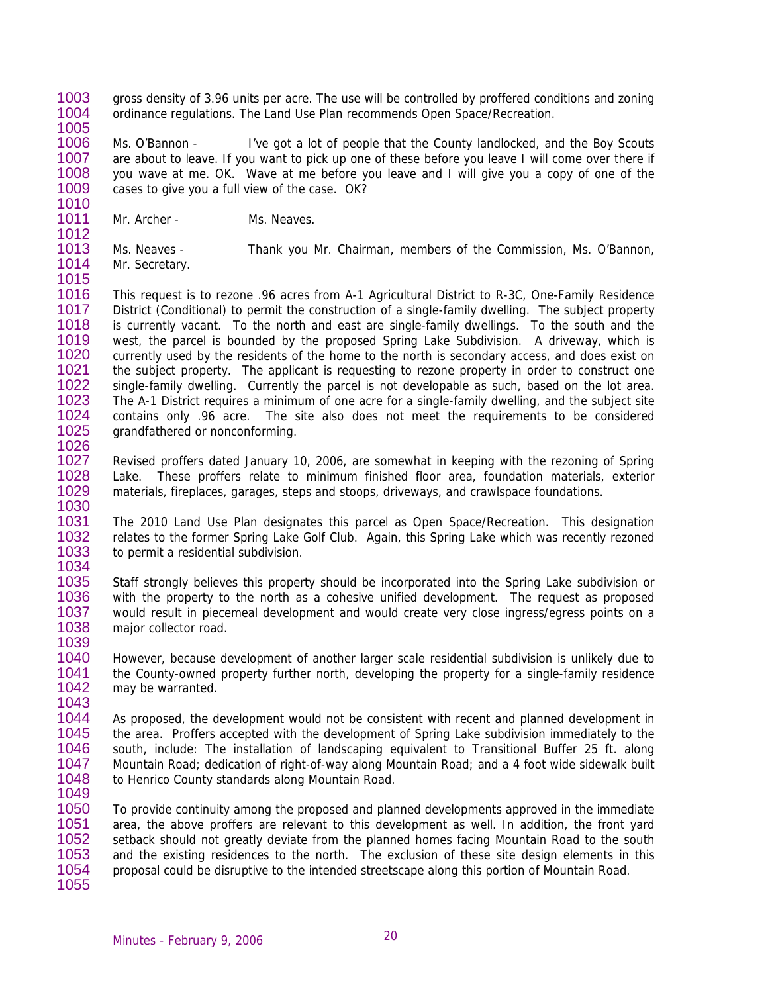1003 1004 1005 gross density of 3.96 units per acre. The use will be controlled by proffered conditions and zoning ordinance regulations. The Land Use Plan recommends Open Space/Recreation.

1006 1007 1008 1009 1010 Ms. O'Bannon - I've got a lot of people that the County landlocked, and the Boy Scouts are about to leave. If you want to pick up one of these before you leave I will come over there if you wave at me. OK. Wave at me before you leave and I will give you a copy of one of the cases to give you a full view of the case. OK?

- 1011 Mr. Archer - Ms. Neaves.
- 1013 1014 Ms. Neaves - Thank you Mr. Chairman, members of the Commission, Ms. O'Bannon, Mr. Secretary.
- 1015

1039

1012

1016 1017 1018 1019 1020 1021 1022 1023 1024 1025 1026 This request is to rezone .96 acres from A-1 Agricultural District to R-3C, One-Family Residence District (Conditional) to permit the construction of a single-family dwelling. The subject property is currently vacant. To the north and east are single-family dwellings. To the south and the west, the parcel is bounded by the proposed Spring Lake Subdivision. A driveway, which is currently used by the residents of the home to the north is secondary access, and does exist on the subject property. The applicant is requesting to rezone property in order to construct one single-family dwelling. Currently the parcel is not developable as such, based on the lot area. The A-1 District requires a minimum of one acre for a single-family dwelling, and the subject site contains only .96 acre. The site also does not meet the requirements to be considered grandfathered or nonconforming.

1027 1028 1029 1030 Revised proffers dated January 10, 2006, are somewhat in keeping with the rezoning of Spring Lake. These proffers relate to minimum finished floor area, foundation materials, exterior materials, fireplaces, garages, steps and stoops, driveways, and crawlspace foundations.

1031 1032 1033 1034 The 2010 Land Use Plan designates this parcel as Open Space/Recreation. This designation relates to the former Spring Lake Golf Club. Again, this Spring Lake which was recently rezoned to permit a residential subdivision.

1035 1036 1037 1038 Staff strongly believes this property should be incorporated into the Spring Lake subdivision or with the property to the north as a cohesive unified development. The request as proposed would result in piecemeal development and would create very close ingress/egress points on a major collector road.

1040 1041 1042 1043 However, because development of another larger scale residential subdivision is unlikely due to the County-owned property further north, developing the property for a single-family residence may be warranted.

1044 1045 1046 1047 1048 1049 As proposed, the development would not be consistent with recent and planned development in the area. Proffers accepted with the development of Spring Lake subdivision immediately to the south, include: The installation of landscaping equivalent to Transitional Buffer 25 ft. along Mountain Road; dedication of right-of-way along Mountain Road; and a 4 foot wide sidewalk built to Henrico County standards along Mountain Road.

1050 1051 1052 1053 1054 1055 To provide continuity among the proposed and planned developments approved in the immediate area, the above proffers are relevant to this development as well. In addition, the front yard setback should not greatly deviate from the planned homes facing Mountain Road to the south and the existing residences to the north. The exclusion of these site design elements in this proposal could be disruptive to the intended streetscape along this portion of Mountain Road.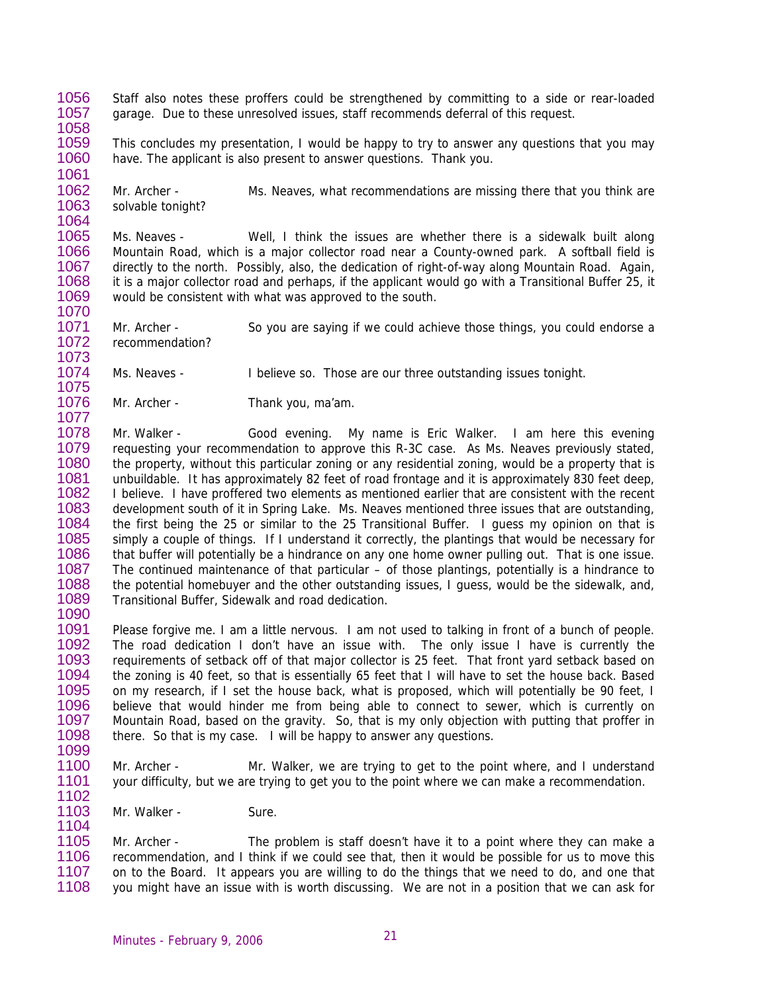- 1056 1057 Staff also notes these proffers could be strengthened by committing to a side or rear-loaded garage. Due to these unresolved issues, staff recommends deferral of this request.
- 1058

1061

1073

1077

1099

1104

1059 1060 This concludes my presentation, I would be happy to try to answer any questions that you may have. The applicant is also present to answer questions. Thank you.

1062 1063 1064 Mr. Archer - Ms. Neaves, what recommendations are missing there that you think are solvable tonight?

1065 1066 1067 1068 1069 1070 Ms. Neaves - Well, I think the issues are whether there is a sidewalk built along Mountain Road, which is a major collector road near a County-owned park. A softball field is directly to the north. Possibly, also, the dedication of right-of-way along Mountain Road. Again, it is a major collector road and perhaps, if the applicant would go with a Transitional Buffer 25, it would be consistent with what was approved to the south.

- 1071 1072 Mr. Archer - So you are saying if we could achieve those things, you could endorse a recommendation?
- 1074 1075 Ms. Neaves - I believe so. Those are our three outstanding issues tonight.
- 1076 Mr. Archer - Thank you, ma'am.

1078 1079 1080 1081 1082 1083 1084 1085 1086 1087 1088 1089 1090 Mr. Walker - Good evening. My name is Eric Walker. I am here this evening requesting your recommendation to approve this R-3C case. As Ms. Neaves previously stated, the property, without this particular zoning or any residential zoning, would be a property that is unbuildable. It has approximately 82 feet of road frontage and it is approximately 830 feet deep, I believe. I have proffered two elements as mentioned earlier that are consistent with the recent development south of it in Spring Lake. Ms. Neaves mentioned three issues that are outstanding, the first being the 25 or similar to the 25 Transitional Buffer. I guess my opinion on that is simply a couple of things. If I understand it correctly, the plantings that would be necessary for that buffer will potentially be a hindrance on any one home owner pulling out. That is one issue. The continued maintenance of that particular – of those plantings, potentially is a hindrance to the potential homebuyer and the other outstanding issues, I guess, would be the sidewalk, and, Transitional Buffer, Sidewalk and road dedication.

- 1091 1092 1093 1094 1095 1096 1097 1098 Please forgive me. I am a little nervous. I am not used to talking in front of a bunch of people. The road dedication I don't have an issue with. The only issue I have is currently the requirements of setback off of that major collector is 25 feet. That front yard setback based on the zoning is 40 feet, so that is essentially 65 feet that I will have to set the house back. Based on my research, if I set the house back, what is proposed, which will potentially be 90 feet, I believe that would hinder me from being able to connect to sewer, which is currently on Mountain Road, based on the gravity. So, that is my only objection with putting that proffer in there. So that is my case. I will be happy to answer any questions.
- 1100 1101 1102 Mr. Archer - Mr. Walker, we are trying to get to the point where, and I understand your difficulty, but we are trying to get you to the point where we can make a recommendation.
- 1103 Mr. Walker - Sure.

1105 1106 1107 1108 Mr. Archer - The problem is staff doesn't have it to a point where they can make a recommendation, and I think if we could see that, then it would be possible for us to move this on to the Board. It appears you are willing to do the things that we need to do, and one that you might have an issue with is worth discussing. We are not in a position that we can ask for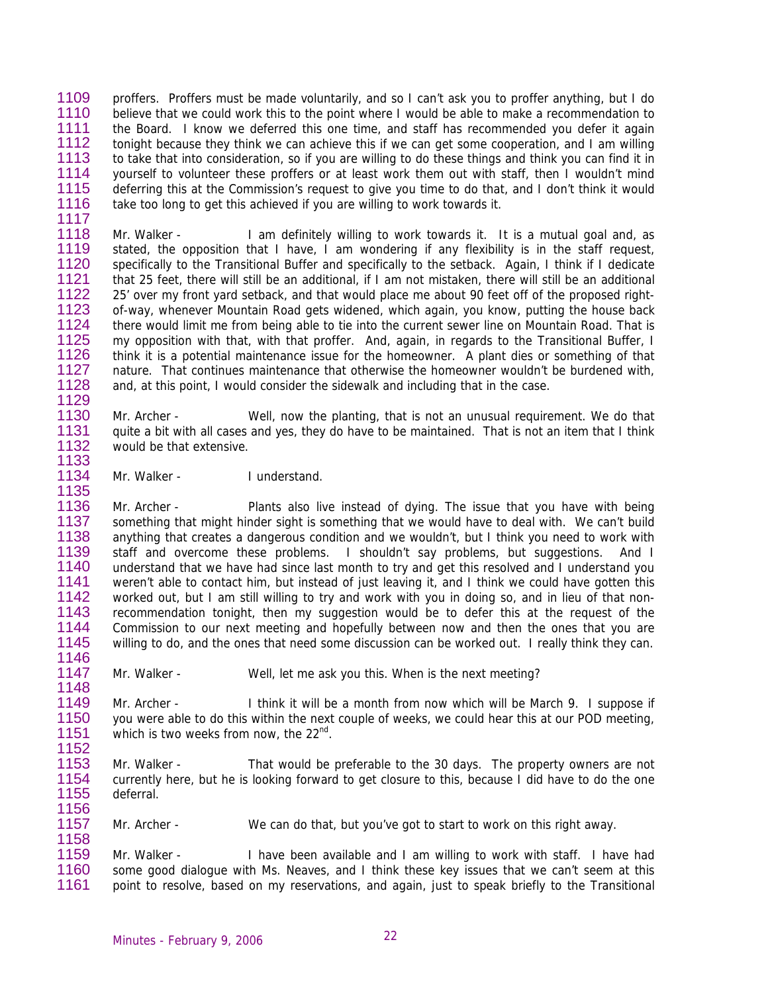1109 1110 1111 1112 1113 1114 1115 1116 1117 proffers. Proffers must be made voluntarily, and so I can't ask you to proffer anything, but I do believe that we could work this to the point where I would be able to make a recommendation to the Board. I know we deferred this one time, and staff has recommended you defer it again tonight because they think we can achieve this if we can get some cooperation, and I am willing to take that into consideration, so if you are willing to do these things and think you can find it in yourself to volunteer these proffers or at least work them out with staff, then I wouldn't mind deferring this at the Commission's request to give you time to do that, and I don't think it would take too long to get this achieved if you are willing to work towards it.

1118 1119 1120 1121 1122 1123 1124 1125 1126 1127 1128 1129 Mr. Walker - I am definitely willing to work towards it. It is a mutual goal and, as stated, the opposition that I have, I am wondering if any flexibility is in the staff request, specifically to the Transitional Buffer and specifically to the setback. Again, I think if I dedicate that 25 feet, there will still be an additional, if I am not mistaken, there will still be an additional 25' over my front yard setback, and that would place me about 90 feet off of the proposed rightof-way, whenever Mountain Road gets widened, which again, you know, putting the house back there would limit me from being able to tie into the current sewer line on Mountain Road. That is my opposition with that, with that proffer. And, again, in regards to the Transitional Buffer, I think it is a potential maintenance issue for the homeowner. A plant dies or something of that nature. That continues maintenance that otherwise the homeowner wouldn't be burdened with, and, at this point, I would consider the sidewalk and including that in the case.

1130 1131 1132 Mr. Archer - Well, now the planting, that is not an unusual requirement. We do that quite a bit with all cases and yes, they do have to be maintained. That is not an item that I think would be that extensive.

1134 1135 Mr. Walker - I understand.

1133

1148

1158

1136 1137 1138 1139 1140 1141 1142 1143 1144 1145 1146 Mr. Archer - Plants also live instead of dying. The issue that you have with being something that might hinder sight is something that we would have to deal with. We can't build anything that creates a dangerous condition and we wouldn't, but I think you need to work with staff and overcome these problems. I shouldn't say problems, but suggestions. And I understand that we have had since last month to try and get this resolved and I understand you weren't able to contact him, but instead of just leaving it, and I think we could have gotten this worked out, but I am still willing to try and work with you in doing so, and in lieu of that nonrecommendation tonight, then my suggestion would be to defer this at the request of the Commission to our next meeting and hopefully between now and then the ones that you are willing to do, and the ones that need some discussion can be worked out. I really think they can.

1147 Mr. Walker - Well, let me ask you this. When is the next meeting?

1149 1150 1151 1152 Mr. Archer - I think it will be a month from now which will be March 9. I suppose if you were able to do this within the next couple of weeks, we could hear this at our POD meeting, which is two weeks from now, the 22<sup>nd</sup>.

1153 1154 1155 1156 Mr. Walker - That would be preferable to the 30 days. The property owners are not currently here, but he is looking forward to get closure to this, because I did have to do the one deferral.

1157 Mr. Archer - We can do that, but you've got to start to work on this right away.

1159 1160 1161 Mr. Walker - I have been available and I am willing to work with staff. I have had some good dialogue with Ms. Neaves, and I think these key issues that we can't seem at this point to resolve, based on my reservations, and again, just to speak briefly to the Transitional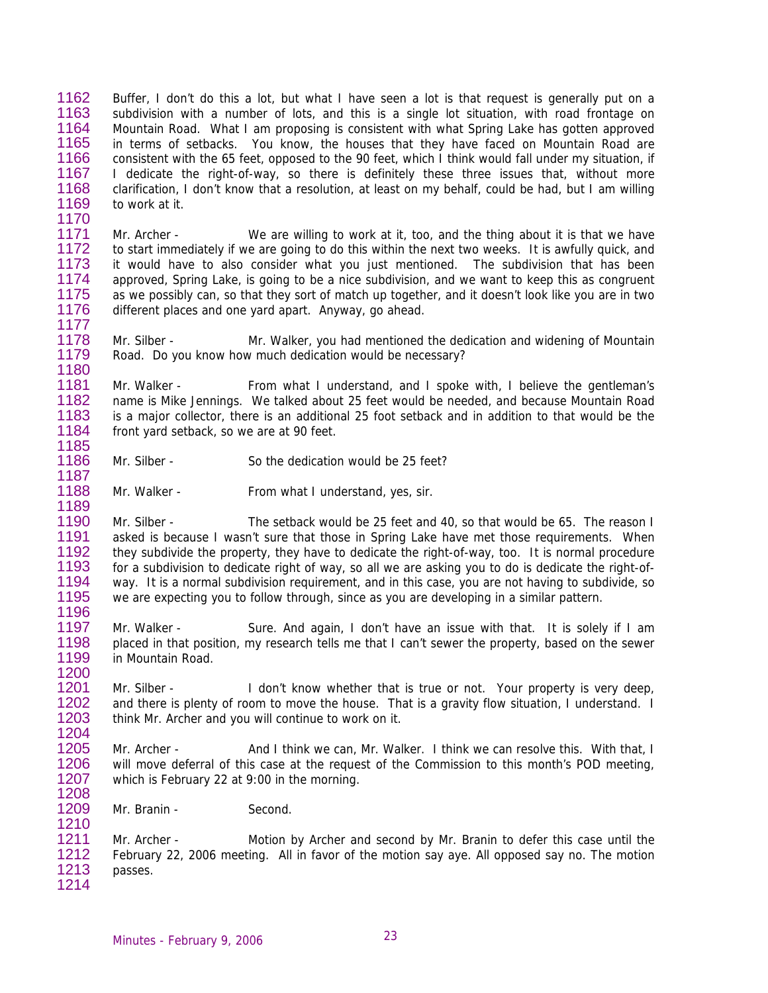1162 1163 1164 1165 1166 1167 1168 1169 1170 Buffer, I don't do this a lot, but what I have seen a lot is that request is generally put on a subdivision with a number of lots, and this is a single lot situation, with road frontage on Mountain Road. What I am proposing is consistent with what Spring Lake has gotten approved in terms of setbacks. You know, the houses that they have faced on Mountain Road are consistent with the 65 feet, opposed to the 90 feet, which I think would fall under my situation, if I dedicate the right-of-way, so there is definitely these three issues that, without more clarification, I don't know that a resolution, at least on my behalf, could be had, but I am willing to work at it.

1171 1172 1173 1174 1175 1176 1177 Mr. Archer - We are willing to work at it, too, and the thing about it is that we have to start immediately if we are going to do this within the next two weeks. It is awfully quick, and it would have to also consider what you just mentioned. The subdivision that has been approved, Spring Lake, is going to be a nice subdivision, and we want to keep this as congruent as we possibly can, so that they sort of match up together, and it doesn't look like you are in two different places and one yard apart. Anyway, go ahead.

1178 1179 1180 Mr. Silber - The Mr. Walker, you had mentioned the dedication and widening of Mountain Road. Do you know how much dedication would be necessary?

1181 1182 1183 1184 1185 Mr. Walker - From what I understand, and I spoke with, I believe the gentleman's name is Mike Jennings. We talked about 25 feet would be needed, and because Mountain Road is a major collector, there is an additional 25 foot setback and in addition to that would be the front yard setback, so we are at 90 feet.

- Mr. Silber So the dedication would be 25 feet?
- 1188 Mr. Walker - From what I understand, yes, sir.

1190 1191 1192 1193 1194 1195 Mr. Silber - The setback would be 25 feet and 40, so that would be 65. The reason I asked is because I wasn't sure that those in Spring Lake have met those requirements. When they subdivide the property, they have to dedicate the right-of-way, too. It is normal procedure for a subdivision to dedicate right of way, so all we are asking you to do is dedicate the right-ofway. It is a normal subdivision requirement, and in this case, you are not having to subdivide, so we are expecting you to follow through, since as you are developing in a similar pattern.

1197 1198 1199 Mr. Walker - Sure. And again, I don't have an issue with that. It is solely if I am placed in that position, my research tells me that I can't sewer the property, based on the sewer in Mountain Road.

1201 1202 1203 1204 Mr. Silber - I don't know whether that is true or not. Your property is very deep, and there is plenty of room to move the house. That is a gravity flow situation, I understand. I think Mr. Archer and you will continue to work on it.

1205 1206 1207 1208 Mr. Archer - And I think we can, Mr. Walker. I think we can resolve this. With that, I will move deferral of this case at the request of the Commission to this month's POD meeting, which is February 22 at 9:00 in the morning.

1209 Mr. Branin - Second.

1186 1187

1189

1196

1200

1210

1211 1212 1213 1214 Mr. Archer - Motion by Archer and second by Mr. Branin to defer this case until the February 22, 2006 meeting. All in favor of the motion say aye. All opposed say no. The motion passes.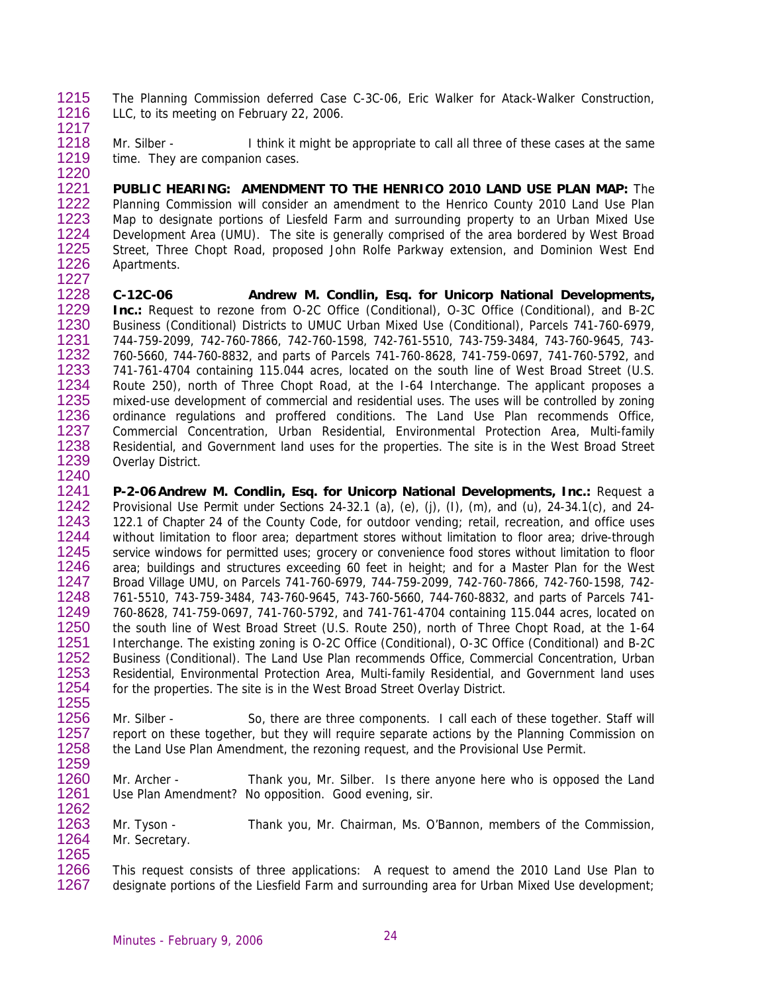- 1215 1216 The Planning Commission deferred Case C-3C-06, Eric Walker for Atack-Walker Construction, LLC, to its meeting on February 22, 2006.
- 1217
- 1218 1219 1220 Mr. Silber - I think it might be appropriate to call all three of these cases at the same time. They are companion cases.

1221 1222 1223 1224 1225 1226 1227 **PUBLIC HEARING: AMENDMENT TO THE HENRICO 2010 LAND USE PLAN MAP:** The Planning Commission will consider an amendment to the Henrico County 2010 Land Use Plan Map to designate portions of Liesfeld Farm and surrounding property to an Urban Mixed Use Development Area (UMU). The site is generally comprised of the area bordered by West Broad Street, Three Chopt Road, proposed John Rolfe Parkway extension, and Dominion West End Apartments.

1228 1229 1230 1231 1232 1233 1234 1235 1236 1237 1238 1239 1240 **C-12C-06 Andrew M. Condlin, Esq. for Unicorp National Developments, Inc.:** Request to rezone from O-2C Office (Conditional), O-3C Office (Conditional), and B-2C Business (Conditional) Districts to UMUC Urban Mixed Use (Conditional), Parcels 741-760-6979, 744-759-2099, 742-760-7866, 742-760-1598, 742-761-5510, 743-759-3484, 743-760-9645, 743- 760-5660, 744-760-8832, and parts of Parcels 741-760-8628, 741-759-0697, 741-760-5792, and 741-761-4704 containing 115.044 acres, located on the south line of West Broad Street (U.S. Route 250), north of Three Chopt Road, at the I-64 Interchange. The applicant proposes a mixed-use development of commercial and residential uses. The uses will be controlled by zoning ordinance regulations and proffered conditions. The Land Use Plan recommends Office, Commercial Concentration, Urban Residential, Environmental Protection Area, Multi-family Residential, and Government land uses for the properties. The site is in the West Broad Street Overlay District.

1241 1242 1243 1244 1245 1246 1247 1248 1249 1250 1251 1252 1253 1254 1255 **P-2-06 Andrew M. Condlin, Esq. for Unicorp National Developments, Inc.:** Request a Provisional Use Permit under Sections 24-32.1 (a), (e), (i), (l), (m), and (u), 24-34.1(c), and 24-122.1 of Chapter 24 of the County Code, for outdoor vending; retail, recreation, and office uses without limitation to floor area; department stores without limitation to floor area; drive-through service windows for permitted uses; grocery or convenience food stores without limitation to floor area; buildings and structures exceeding 60 feet in height; and for a Master Plan for the West Broad Village UMU, on Parcels 741-760-6979, 744-759-2099, 742-760-7866, 742-760-1598, 742- 761-5510, 743-759-3484, 743-760-9645, 743-760-5660, 744-760-8832, and parts of Parcels 741- 760-8628, 741-759-0697, 741-760-5792, and 741-761-4704 containing 115.044 acres, located on the south line of West Broad Street (U.S. Route 250), north of Three Chopt Road, at the 1-64 Interchange. The existing zoning is O-2C Office (Conditional), O-3C Office (Conditional) and B-2C Business (Conditional). The Land Use Plan recommends Office, Commercial Concentration, Urban Residential, Environmental Protection Area, Multi-family Residential, and Government land uses for the properties. The site is in the West Broad Street Overlay District.

- 1256 1257 1258 1259 Mr. Silber - So, there are three components. I call each of these together. Staff will report on these together, but they will require separate actions by the Planning Commission on the Land Use Plan Amendment, the rezoning request, and the Provisional Use Permit.
- 1260 1261 1262 Mr. Archer - Thank you, Mr. Silber. Is there anyone here who is opposed the Land Use Plan Amendment? No opposition. Good evening, sir.
- 1263 1264 1265 Mr. Tyson - Thank you, Mr. Chairman, Ms. O'Bannon, members of the Commission, Mr. Secretary.
- 1266 1267 This request consists of three applications: A request to amend the 2010 Land Use Plan to designate portions of the Liesfield Farm and surrounding area for Urban Mixed Use development;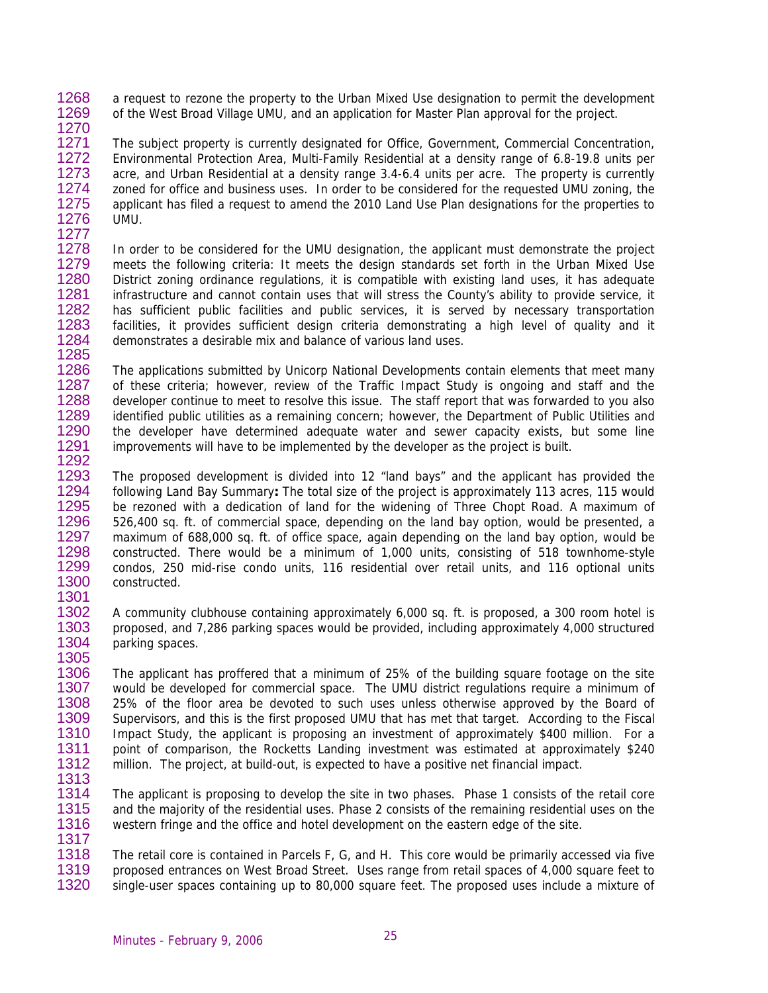1268 1269 a request to rezone the property to the Urban Mixed Use designation to permit the development of the West Broad Village UMU, and an application for Master Plan approval for the project.

1270

1271 1272 1273 1274 1275 1276 1277 The subject property is currently designated for Office, Government, Commercial Concentration, Environmental Protection Area, Multi-Family Residential at a density range of 6.8-19.8 units per acre, and Urban Residential at a density range 3.4-6.4 units per acre. The property is currently zoned for office and business uses. In order to be considered for the requested UMU zoning, the applicant has filed a request to amend the 2010 Land Use Plan designations for the properties to UMU.

1278 1279 1280 1281 1282 1283 1284 1285 In order to be considered for the UMU designation, the applicant must demonstrate the project meets the following criteria: It meets the design standards set forth in the Urban Mixed Use District zoning ordinance regulations, it is compatible with existing land uses, it has adequate infrastructure and cannot contain uses that will stress the County's ability to provide service, it has sufficient public facilities and public services, it is served by necessary transportation facilities, it provides sufficient design criteria demonstrating a high level of quality and it demonstrates a desirable mix and balance of various land uses.

1286 1287 1288 1289 1290 1291 1292 The applications submitted by Unicorp National Developments contain elements that meet many of these criteria; however, review of the Traffic Impact Study is ongoing and staff and the developer continue to meet to resolve this issue. The staff report that was forwarded to you also identified public utilities as a remaining concern; however, the Department of Public Utilities and the developer have determined adequate water and sewer capacity exists, but some line improvements will have to be implemented by the developer as the project is built.

1293 1294 1295 1296 1297 1298 1299 1300 1301 The proposed development is divided into 12 "land bays" and the applicant has provided the following Land Bay Summary**:** The total size of the project is approximately 113 acres, 115 would be rezoned with a dedication of land for the widening of Three Chopt Road. A maximum of 526,400 sq. ft. of commercial space, depending on the land bay option, would be presented, a maximum of 688,000 sq. ft. of office space, again depending on the land bay option, would be constructed. There would be a minimum of 1,000 units, consisting of 518 townhome-style condos, 250 mid-rise condo units, 116 residential over retail units, and 116 optional units constructed.

1302 1303 1304 1305 A community clubhouse containing approximately 6,000 sq. ft. is proposed, a 300 room hotel is proposed, and 7,286 parking spaces would be provided, including approximately 4,000 structured parking spaces.

1306 1307 1308 1309 1310 1311 1312 1313 The applicant has proffered that a minimum of 25% of the building square footage on the site would be developed for commercial space. The UMU district regulations require a minimum of 25% of the floor area be devoted to such uses unless otherwise approved by the Board of Supervisors, and this is the first proposed UMU that has met that target. According to the Fiscal Impact Study, the applicant is proposing an investment of approximately \$400 million. For a point of comparison, the Rocketts Landing investment was estimated at approximately \$240 million. The project, at build-out, is expected to have a positive net financial impact.

1314 1315 1316 1317 The applicant is proposing to develop the site in two phases. Phase 1 consists of the retail core and the majority of the residential uses. Phase 2 consists of the remaining residential uses on the western fringe and the office and hotel development on the eastern edge of the site.

1318 1319 1320 The retail core is contained in Parcels F, G, and H. This core would be primarily accessed via five proposed entrances on West Broad Street. Uses range from retail spaces of 4,000 square feet to single-user spaces containing up to 80,000 square feet. The proposed uses include a mixture of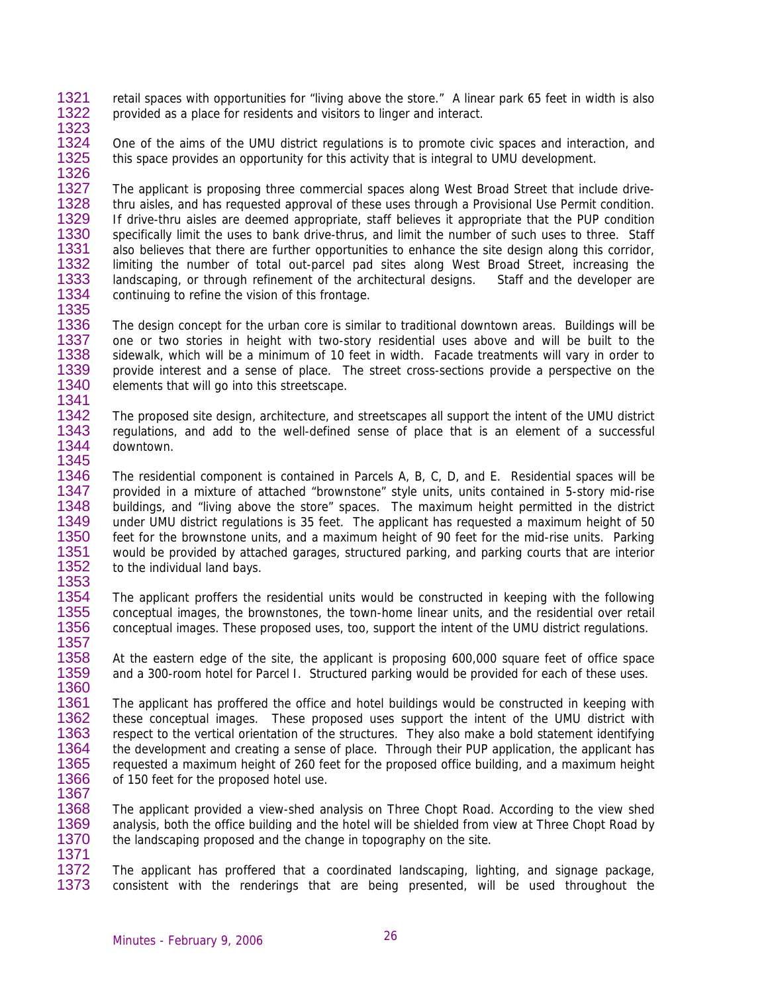1321 1322 retail spaces with opportunities for "living above the store." A linear park 65 feet in width is also provided as a place for residents and visitors to linger and interact.

1323

1324 1325 1326 One of the aims of the UMU district regulations is to promote civic spaces and interaction, and this space provides an opportunity for this activity that is integral to UMU development.

1327 1328 1329 1330 1331 1332 1333 1334 1335 The applicant is proposing three commercial spaces along West Broad Street that include drivethru aisles, and has requested approval of these uses through a Provisional Use Permit condition. If drive-thru aisles are deemed appropriate, staff believes it appropriate that the PUP condition specifically limit the uses to bank drive-thrus, and limit the number of such uses to three. Staff also believes that there are further opportunities to enhance the site design along this corridor, limiting the number of total out-parcel pad sites along West Broad Street, increasing the landscaping, or through refinement of the architectural designs. Staff and the developer are continuing to refine the vision of this frontage.

1336 1337 1338 1339 1340 1341 The design concept for the urban core is similar to traditional downtown areas. Buildings will be one or two stories in height with two-story residential uses above and will be built to the sidewalk, which will be a minimum of 10 feet in width. Facade treatments will vary in order to provide interest and a sense of place. The street cross-sections provide a perspective on the elements that will go into this streetscape.

1342 1343 1344 1345 The proposed site design, architecture, and streetscapes all support the intent of the UMU district regulations, and add to the well-defined sense of place that is an element of a successful downtown.

1346 1347 1348 1349 1350 1351 1352 1353 The residential component is contained in Parcels A, B, C, D, and E. Residential spaces will be provided in a mixture of attached "brownstone" style units, units contained in 5-story mid-rise buildings, and "living above the store" spaces. The maximum height permitted in the district under UMU district regulations is 35 feet. The applicant has requested a maximum height of 50 feet for the brownstone units, and a maximum height of 90 feet for the mid-rise units. Parking would be provided by attached garages, structured parking, and parking courts that are interior to the individual land bays.

1354 1355 1356 1357 The applicant proffers the residential units would be constructed in keeping with the following conceptual images, the brownstones, the town-home linear units, and the residential over retail conceptual images. These proposed uses, too, support the intent of the UMU district regulations.

1358 1359 1360 At the eastern edge of the site, the applicant is proposing 600,000 square feet of office space and a 300-room hotel for Parcel I. Structured parking would be provided for each of these uses.

1361 1362 1363 1364 1365 1366 1367 The applicant has proffered the office and hotel buildings would be constructed in keeping with these conceptual images. These proposed uses support the intent of the UMU district with respect to the vertical orientation of the structures. They also make a bold statement identifying the development and creating a sense of place. Through their PUP application, the applicant has requested a maximum height of 260 feet for the proposed office building, and a maximum height of 150 feet for the proposed hotel use.

1368 1369 1370 1371 The applicant provided a view-shed analysis on Three Chopt Road. According to the view shed analysis, both the office building and the hotel will be shielded from view at Three Chopt Road by the landscaping proposed and the change in topography on the site.

1372 1373 The applicant has proffered that a coordinated landscaping, lighting, and signage package, consistent with the renderings that are being presented, will be used throughout the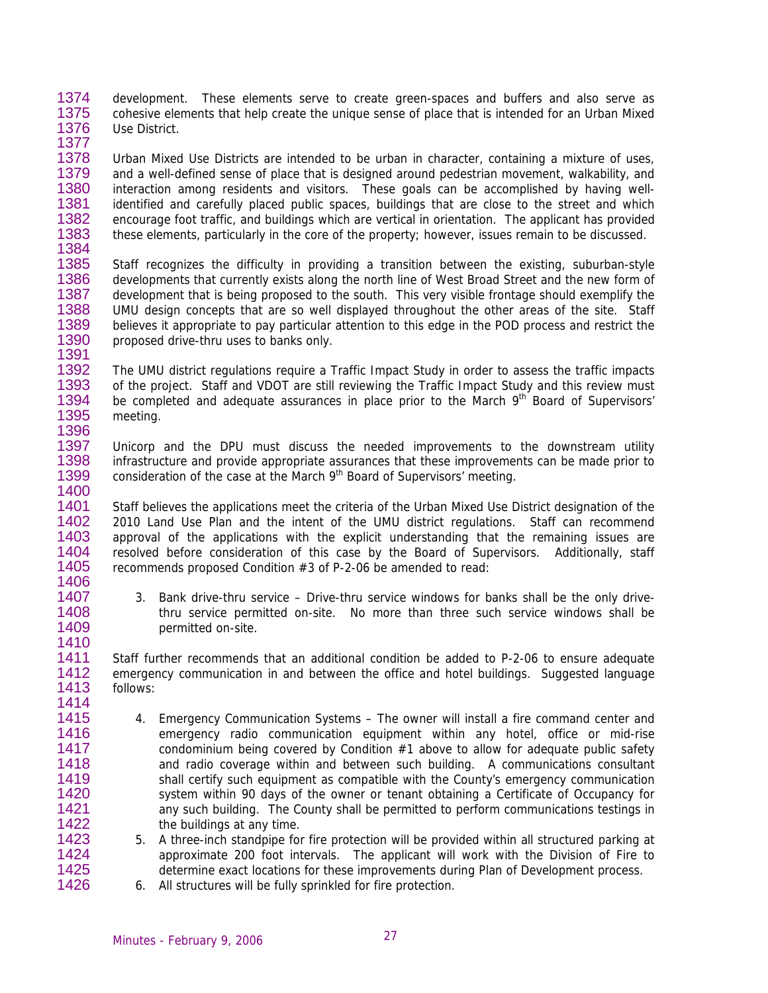1374 1375 1376 development. These elements serve to create green-spaces and buffers and also serve as cohesive elements that help create the unique sense of place that is intended for an Urban Mixed Use District.

1377

1391

1378 1379 1380 1381 1382 1383 1384 Urban Mixed Use Districts are intended to be urban in character, containing a mixture of uses, and a well-defined sense of place that is designed around pedestrian movement, walkability, and interaction among residents and visitors. These goals can be accomplished by having wellidentified and carefully placed public spaces, buildings that are close to the street and which encourage foot traffic, and buildings which are vertical in orientation. The applicant has provided these elements, particularly in the core of the property; however, issues remain to be discussed.

1385 1386 1387 1388 1389 1390 Staff recognizes the difficulty in providing a transition between the existing, suburban-style developments that currently exists along the north line of West Broad Street and the new form of development that is being proposed to the south. This very visible frontage should exemplify the UMU design concepts that are so well displayed throughout the other areas of the site. Staff believes it appropriate to pay particular attention to this edge in the POD process and restrict the proposed drive-thru uses to banks only.

1392 1393 1394 1395 1396 The UMU district regulations require a Traffic Impact Study in order to assess the traffic impacts of the project. Staff and VDOT are still reviewing the Traffic Impact Study and this review must be completed and adequate assurances in place prior to the March 9<sup>th</sup> Board of Supervisors' meeting.

1397 1398 1399 1400 Unicorp and the DPU must discuss the needed improvements to the downstream utility infrastructure and provide appropriate assurances that these improvements can be made prior to consideration of the case at the March  $9<sup>th</sup>$  Board of Supervisors' meeting.

1401 1402 1403 1404 1405 1406 Staff believes the applications meet the criteria of the Urban Mixed Use District designation of the 2010 Land Use Plan and the intent of the UMU district regulations. Staff can recommend approval of the applications with the explicit understanding that the remaining issues are resolved before consideration of this case by the Board of Supervisors. Additionally, staff recommends proposed Condition #3 of P-2-06 be amended to read:

> 3. Bank drive-thru service – Drive-thru service windows for banks shall be the only drivethru service permitted on-site. No more than three such service windows shall be permitted on-site.

1411 1412 1413 1414 Staff further recommends that an additional condition be added to P-2-06 to ensure adequate emergency communication in and between the office and hotel buildings. Suggested language follows:

- 1415 1416 1417 1418 1419 1420 1421 1422 4. Emergency Communication Systems – The owner will install a fire command center and emergency radio communication equipment within any hotel, office or mid-rise condominium being covered by Condition  $#1$  above to allow for adequate public safety and radio coverage within and between such building. A communications consultant shall certify such equipment as compatible with the County's emergency communication system within 90 days of the owner or tenant obtaining a Certificate of Occupancy for any such building. The County shall be permitted to perform communications testings in the buildings at any time.
- 1423 1424 1425 1426 5. A three-inch standpipe for fire protection will be provided within all structured parking at approximate 200 foot intervals. The applicant will work with the Division of Fire to determine exact locations for these improvements during Plan of Development process.
	- 6. All structures will be fully sprinkled for fire protection.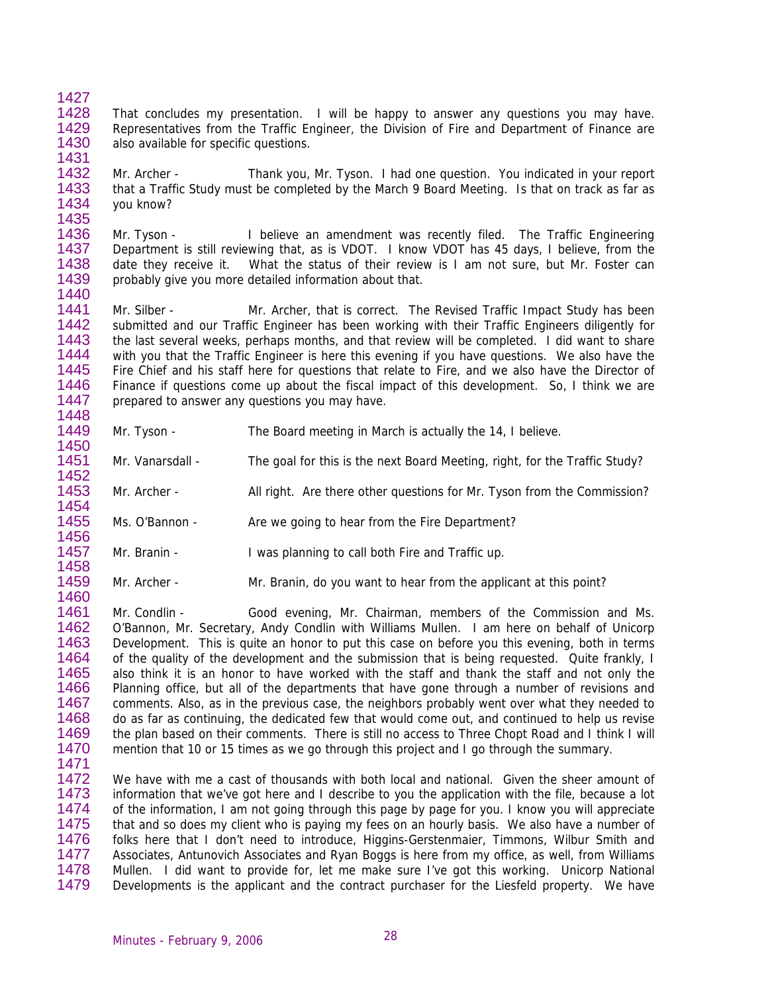- 1428 1429 1430 1431 That concludes my presentation. I will be happy to answer any questions you may have. Representatives from the Traffic Engineer, the Division of Fire and Department of Finance are also available for specific questions.
- 1432 1433 1434 1435 Mr. Archer - Thank you, Mr. Tyson. I had one question. You indicated in your report that a Traffic Study must be completed by the March 9 Board Meeting. Is that on track as far as you know?
- 1436 1437 1438 1439 Mr. Tyson - I believe an amendment was recently filed. The Traffic Engineering Department is still reviewing that, as is VDOT. I know VDOT has 45 days, I believe, from the date they receive it. What the status of their review is I am not sure, but Mr. Foster can probably give you more detailed information about that.
- 1441 1442 1443 1444 1445 1446 1447 1448 Mr. Silber - Mr. Archer, that is correct. The Revised Traffic Impact Study has been submitted and our Traffic Engineer has been working with their Traffic Engineers diligently for the last several weeks, perhaps months, and that review will be completed. I did want to share with you that the Traffic Engineer is here this evening if you have questions. We also have the Fire Chief and his staff here for questions that relate to Fire, and we also have the Director of Finance if questions come up about the fiscal impact of this development. So, I think we are prepared to answer any questions you may have.
- 1449 1450 Mr. Tyson - The Board meeting in March is actually the 14, I believe.
- 1451 1452 Mr. Vanarsdall - The goal for this is the next Board Meeting, right, for the Traffic Study?
- 1453 Mr. Archer - All right. Are there other questions for Mr. Tyson from the Commission?
- 1455 Ms. O'Bannon - Are we going to hear from the Fire Department?
- 1457 1458 Mr. Branin - I was planning to call both Fire and Traffic up.
- 1459 Mr. Archer - Mr. Branin, do you want to hear from the applicant at this point?
- 1461 1462 1463 1464 1465 1466 1467 1468 1469 1470 Mr. Condlin - Good evening, Mr. Chairman, members of the Commission and Ms. O'Bannon, Mr. Secretary, Andy Condlin with Williams Mullen. I am here on behalf of Unicorp Development. This is quite an honor to put this case on before you this evening, both in terms of the quality of the development and the submission that is being requested. Quite frankly, I also think it is an honor to have worked with the staff and thank the staff and not only the Planning office, but all of the departments that have gone through a number of revisions and comments. Also, as in the previous case, the neighbors probably went over what they needed to do as far as continuing, the dedicated few that would come out, and continued to help us revise the plan based on their comments. There is still no access to Three Chopt Road and I think I will mention that 10 or 15 times as we go through this project and I go through the summary.
- 1471

1427

1440

1454

1456

1460

1472 1473 1474 1475 1476 1477 1478 1479 We have with me a cast of thousands with both local and national. Given the sheer amount of information that we've got here and I describe to you the application with the file, because a lot of the information, I am not going through this page by page for you. I know you will appreciate that and so does my client who is paying my fees on an hourly basis. We also have a number of folks here that I don't need to introduce, Higgins-Gerstenmaier, Timmons, Wilbur Smith and Associates, Antunovich Associates and Ryan Boggs is here from my office, as well, from Williams Mullen. I did want to provide for, let me make sure I've got this working. Unicorp National Developments is the applicant and the contract purchaser for the Liesfeld property. We have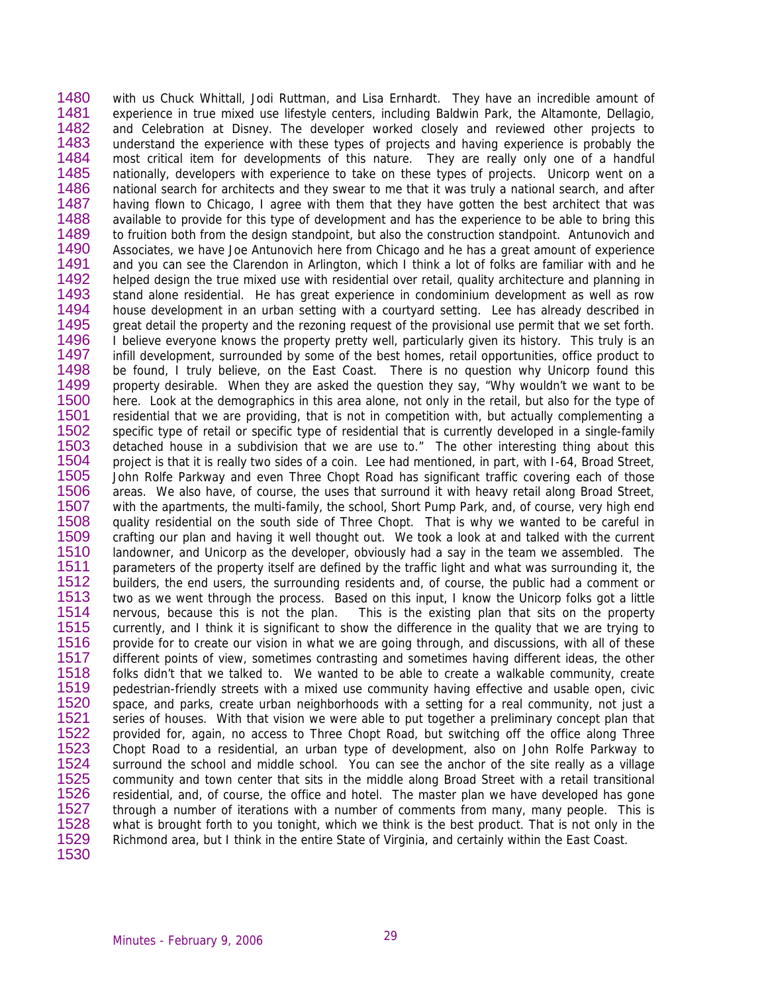1480 1481 1482 1483 1484 1485 1486 1487 1488 1489 1490 1491 1492 1493 1494 1495 1496 1497 1498 1499 1500 1501 1502 1503 1504 1505 1506 1507 1508 1509 1510 1511 1512 1513 1514 1515 1516 1517 1518 1519 1520 1521 1522 1523 1524 1525 1526 1527 1528 1529 1530 with us Chuck Whittall, Jodi Ruttman, and Lisa Ernhardt. They have an incredible amount of experience in true mixed use lifestyle centers, including Baldwin Park, the Altamonte, Dellagio, and Celebration at Disney. The developer worked closely and reviewed other projects to understand the experience with these types of projects and having experience is probably the most critical item for developments of this nature. They are really only one of a handful nationally, developers with experience to take on these types of projects. Unicorp went on a national search for architects and they swear to me that it was truly a national search, and after having flown to Chicago, I agree with them that they have gotten the best architect that was available to provide for this type of development and has the experience to be able to bring this to fruition both from the design standpoint, but also the construction standpoint. Antunovich and Associates, we have Joe Antunovich here from Chicago and he has a great amount of experience and you can see the Clarendon in Arlington, which I think a lot of folks are familiar with and he helped design the true mixed use with residential over retail, quality architecture and planning in stand alone residential. He has great experience in condominium development as well as row house development in an urban setting with a courtyard setting. Lee has already described in great detail the property and the rezoning request of the provisional use permit that we set forth. I believe everyone knows the property pretty well, particularly given its history. This truly is an infill development, surrounded by some of the best homes, retail opportunities, office product to be found, I truly believe, on the East Coast. There is no question why Unicorp found this property desirable. When they are asked the question they say, "Why wouldn't we want to be here. Look at the demographics in this area alone, not only in the retail, but also for the type of residential that we are providing, that is not in competition with, but actually complementing a specific type of retail or specific type of residential that is currently developed in a single-family detached house in a subdivision that we are use to." The other interesting thing about this project is that it is really two sides of a coin. Lee had mentioned, in part, with I-64, Broad Street, John Rolfe Parkway and even Three Chopt Road has significant traffic covering each of those areas. We also have, of course, the uses that surround it with heavy retail along Broad Street, with the apartments, the multi-family, the school, Short Pump Park, and, of course, very high end quality residential on the south side of Three Chopt. That is why we wanted to be careful in crafting our plan and having it well thought out. We took a look at and talked with the current landowner, and Unicorp as the developer, obviously had a say in the team we assembled. The parameters of the property itself are defined by the traffic light and what was surrounding it, the builders, the end users, the surrounding residents and, of course, the public had a comment or two as we went through the process. Based on this input, I know the Unicorp folks got a little nervous, because this is not the plan. This is the existing plan that sits on the property currently, and I think it is significant to show the difference in the quality that we are trying to provide for to create our vision in what we are going through, and discussions, with all of these different points of view, sometimes contrasting and sometimes having different ideas, the other folks didn't that we talked to. We wanted to be able to create a walkable community, create pedestrian-friendly streets with a mixed use community having effective and usable open, civic space, and parks, create urban neighborhoods with a setting for a real community, not just a series of houses. With that vision we were able to put together a preliminary concept plan that provided for, again, no access to Three Chopt Road, but switching off the office along Three Chopt Road to a residential, an urban type of development, also on John Rolfe Parkway to surround the school and middle school. You can see the anchor of the site really as a village community and town center that sits in the middle along Broad Street with a retail transitional residential, and, of course, the office and hotel. The master plan we have developed has gone through a number of iterations with a number of comments from many, many people. This is what is brought forth to you tonight, which we think is the best product. That is not only in the Richmond area, but I think in the entire State of Virginia, and certainly within the East Coast.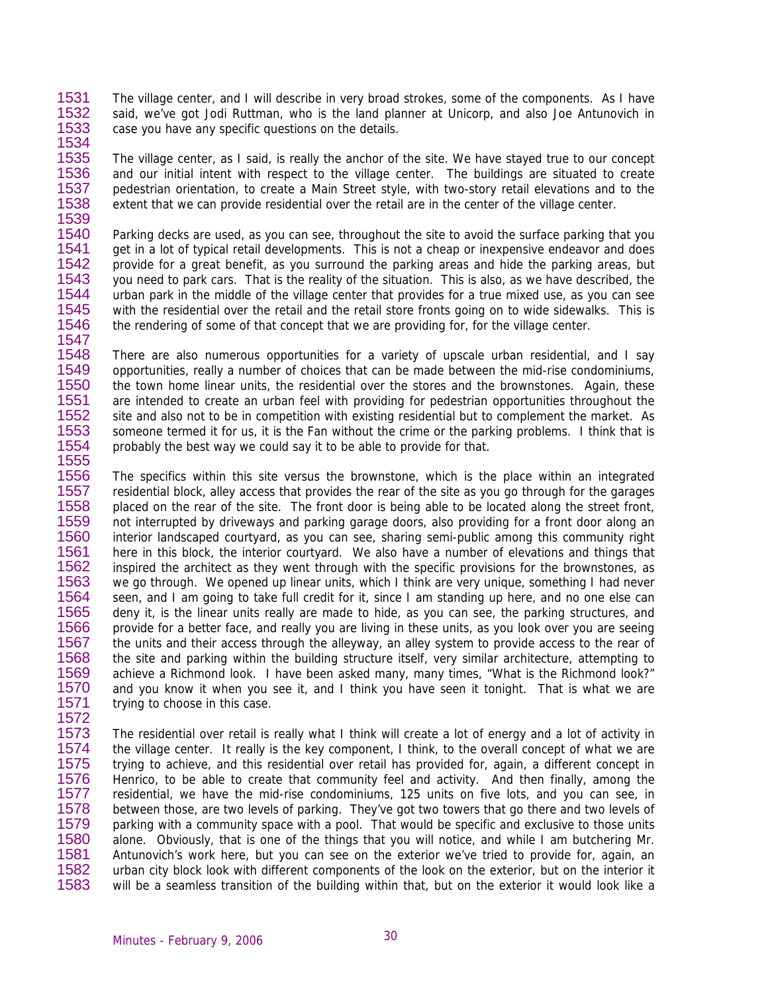1531 1532 1533 The village center, and I will describe in very broad strokes, some of the components. As I have said, we've got Jodi Ruttman, who is the land planner at Unicorp, and also Joe Antunovich in case you have any specific questions on the details.

1535 1536 1537 1538 1539 The village center, as I said, is really the anchor of the site. We have stayed true to our concept and our initial intent with respect to the village center. The buildings are situated to create pedestrian orientation, to create a Main Street style, with two-story retail elevations and to the extent that we can provide residential over the retail are in the center of the village center.

1540 1541 1542 1543 1544 1545 1546 1547 Parking decks are used, as you can see, throughout the site to avoid the surface parking that you get in a lot of typical retail developments. This is not a cheap or inexpensive endeavor and does provide for a great benefit, as you surround the parking areas and hide the parking areas, but you need to park cars. That is the reality of the situation. This is also, as we have described, the urban park in the middle of the village center that provides for a true mixed use, as you can see with the residential over the retail and the retail store fronts going on to wide sidewalks. This is the rendering of some of that concept that we are providing for, for the village center.

1548 1549 1550 1551 1552 1553 1554 There are also numerous opportunities for a variety of upscale urban residential, and I say opportunities, really a number of choices that can be made between the mid-rise condominiums, the town home linear units, the residential over the stores and the brownstones. Again, these are intended to create an urban feel with providing for pedestrian opportunities throughout the site and also not to be in competition with existing residential but to complement the market. As someone termed it for us, it is the Fan without the crime or the parking problems. I think that is probably the best way we could say it to be able to provide for that.

1556 1557 1558 1559 1560 1561 1562 1563 1564 1565 1566 1567 1568 1569 1570 1571 1572 The specifics within this site versus the brownstone, which is the place within an integrated residential block, alley access that provides the rear of the site as you go through for the garages placed on the rear of the site. The front door is being able to be located along the street front, not interrupted by driveways and parking garage doors, also providing for a front door along an interior landscaped courtyard, as you can see, sharing semi-public among this community right here in this block, the interior courtyard. We also have a number of elevations and things that inspired the architect as they went through with the specific provisions for the brownstones, as we go through. We opened up linear units, which I think are very unique, something I had never seen, and I am going to take full credit for it, since I am standing up here, and no one else can deny it, is the linear units really are made to hide, as you can see, the parking structures, and provide for a better face, and really you are living in these units, as you look over you are seeing the units and their access through the alleyway, an alley system to provide access to the rear of the site and parking within the building structure itself, very similar architecture, attempting to achieve a Richmond look. I have been asked many, many times, "What is the Richmond look?" and you know it when you see it, and I think you have seen it tonight. That is what we are trying to choose in this case.

1573 1574 1575 1576 1577 1578 1579 1580 1581 1582 1583 The residential over retail is really what I think will create a lot of energy and a lot of activity in the village center. It really is the key component, I think, to the overall concept of what we are trying to achieve, and this residential over retail has provided for, again, a different concept in Henrico, to be able to create that community feel and activity. And then finally, among the residential, we have the mid-rise condominiums, 125 units on five lots, and you can see, in between those, are two levels of parking. They've got two towers that go there and two levels of parking with a community space with a pool. That would be specific and exclusive to those units alone. Obviously, that is one of the things that you will notice, and while I am butchering Mr. Antunovich's work here, but you can see on the exterior we've tried to provide for, again, an urban city block look with different components of the look on the exterior, but on the interior it will be a seamless transition of the building within that, but on the exterior it would look like a

1534

1555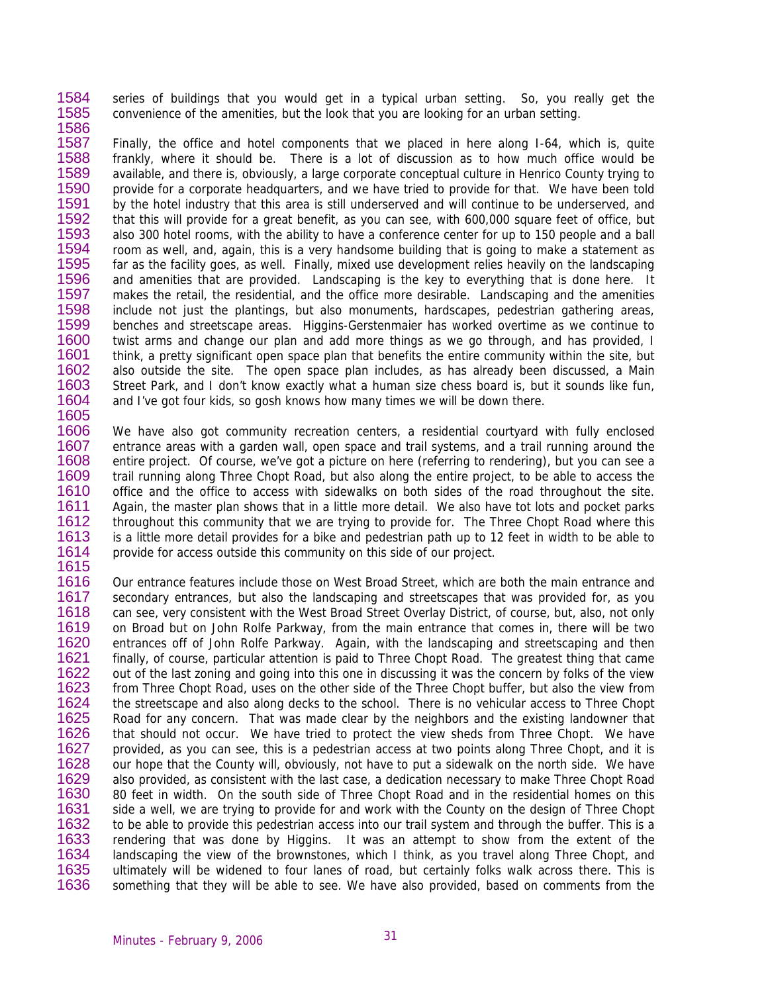1584 1585 1586 series of buildings that you would get in a typical urban setting. So, you really get the convenience of the amenities, but the look that you are looking for an urban setting.

1587 1588 1589 1590 1591 1592 1593 1594 1595 1596 1597 1598 1599 1600 1601 1602 1603 1604 1605 Finally, the office and hotel components that we placed in here along I-64, which is, quite frankly, where it should be. There is a lot of discussion as to how much office would be available, and there is, obviously, a large corporate conceptual culture in Henrico County trying to provide for a corporate headquarters, and we have tried to provide for that. We have been told by the hotel industry that this area is still underserved and will continue to be underserved, and that this will provide for a great benefit, as you can see, with 600,000 square feet of office, but also 300 hotel rooms, with the ability to have a conference center for up to 150 people and a ball room as well, and, again, this is a very handsome building that is going to make a statement as far as the facility goes, as well. Finally, mixed use development relies heavily on the landscaping and amenities that are provided. Landscaping is the key to everything that is done here. It makes the retail, the residential, and the office more desirable. Landscaping and the amenities include not just the plantings, but also monuments, hardscapes, pedestrian gathering areas, benches and streetscape areas. Higgins-Gerstenmaier has worked overtime as we continue to twist arms and change our plan and add more things as we go through, and has provided, I think, a pretty significant open space plan that benefits the entire community within the site, but also outside the site. The open space plan includes, as has already been discussed, a Main Street Park, and I don't know exactly what a human size chess board is, but it sounds like fun, and I've got four kids, so gosh knows how many times we will be down there.

1606 1607 1608 1609 1610 1611 1612 1613 1614 1615 We have also got community recreation centers, a residential courtyard with fully enclosed entrance areas with a garden wall, open space and trail systems, and a trail running around the entire project. Of course, we've got a picture on here (referring to rendering), but you can see a trail running along Three Chopt Road, but also along the entire project, to be able to access the office and the office to access with sidewalks on both sides of the road throughout the site. Again, the master plan shows that in a little more detail. We also have tot lots and pocket parks throughout this community that we are trying to provide for. The Three Chopt Road where this is a little more detail provides for a bike and pedestrian path up to 12 feet in width to be able to provide for access outside this community on this side of our project.

1616 1617 1618 1619 1620 1621 1622 1623 1624 1625 1626 1627 1628 1629 1630 1631 1632 1633 1634 1635 1636 Our entrance features include those on West Broad Street, which are both the main entrance and secondary entrances, but also the landscaping and streetscapes that was provided for, as you can see, very consistent with the West Broad Street Overlay District, of course, but, also, not only on Broad but on John Rolfe Parkway, from the main entrance that comes in, there will be two entrances off of John Rolfe Parkway. Again, with the landscaping and streetscaping and then finally, of course, particular attention is paid to Three Chopt Road. The greatest thing that came out of the last zoning and going into this one in discussing it was the concern by folks of the view from Three Chopt Road, uses on the other side of the Three Chopt buffer, but also the view from the streetscape and also along decks to the school. There is no vehicular access to Three Chopt Road for any concern. That was made clear by the neighbors and the existing landowner that that should not occur. We have tried to protect the view sheds from Three Chopt. We have provided, as you can see, this is a pedestrian access at two points along Three Chopt, and it is our hope that the County will, obviously, not have to put a sidewalk on the north side. We have also provided, as consistent with the last case, a dedication necessary to make Three Chopt Road 80 feet in width. On the south side of Three Chopt Road and in the residential homes on this side a well, we are trying to provide for and work with the County on the design of Three Chopt to be able to provide this pedestrian access into our trail system and through the buffer. This is a rendering that was done by Higgins. It was an attempt to show from the extent of the landscaping the view of the brownstones, which I think, as you travel along Three Chopt, and ultimately will be widened to four lanes of road, but certainly folks walk across there. This is something that they will be able to see. We have also provided, based on comments from the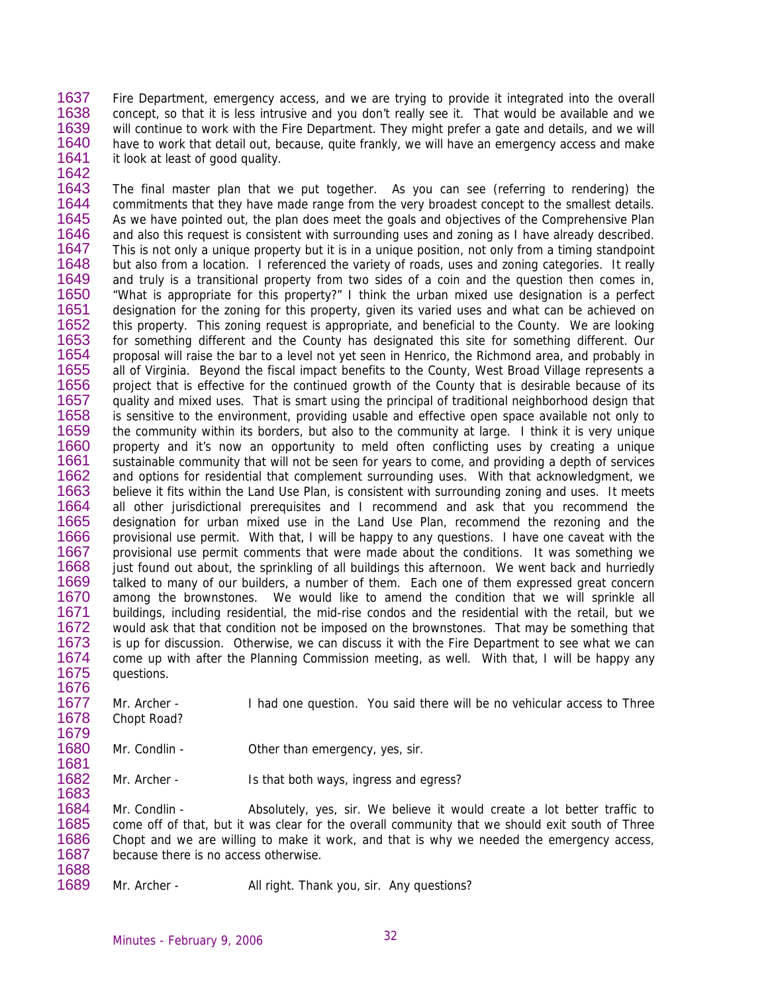1637 1638 1639 1640 1641 1642 Fire Department, emergency access, and we are trying to provide it integrated into the overall concept, so that it is less intrusive and you don't really see it. That would be available and we will continue to work with the Fire Department. They might prefer a gate and details, and we will have to work that detail out, because, quite frankly, we will have an emergency access and make it look at least of good quality.

1643 1644 1645 1646 1647 1648 1649 1650 1651 1652 1653 1654 1655 1656 1657 1658 1659 1660 1661 1662 1663 1664 1665 1666 1667 1668 1669 1670 1671 1672 1673 1674 1675 The final master plan that we put together. As you can see (referring to rendering) the commitments that they have made range from the very broadest concept to the smallest details. As we have pointed out, the plan does meet the goals and objectives of the Comprehensive Plan and also this request is consistent with surrounding uses and zoning as I have already described. This is not only a unique property but it is in a unique position, not only from a timing standpoint but also from a location. I referenced the variety of roads, uses and zoning categories. It really and truly is a transitional property from two sides of a coin and the question then comes in, "What is appropriate for this property?" I think the urban mixed use designation is a perfect designation for the zoning for this property, given its varied uses and what can be achieved on this property. This zoning request is appropriate, and beneficial to the County. We are looking for something different and the County has designated this site for something different. Our proposal will raise the bar to a level not yet seen in Henrico, the Richmond area, and probably in all of Virginia. Beyond the fiscal impact benefits to the County, West Broad Village represents a project that is effective for the continued growth of the County that is desirable because of its quality and mixed uses. That is smart using the principal of traditional neighborhood design that is sensitive to the environment, providing usable and effective open space available not only to the community within its borders, but also to the community at large. I think it is very unique property and it's now an opportunity to meld often conflicting uses by creating a unique sustainable community that will not be seen for years to come, and providing a depth of services and options for residential that complement surrounding uses. With that acknowledgment, we believe it fits within the Land Use Plan, is consistent with surrounding zoning and uses. It meets all other jurisdictional prerequisites and I recommend and ask that you recommend the designation for urban mixed use in the Land Use Plan, recommend the rezoning and the provisional use permit. With that, I will be happy to any questions. I have one caveat with the provisional use permit comments that were made about the conditions. It was something we just found out about, the sprinkling of all buildings this afternoon. We went back and hurriedly talked to many of our builders, a number of them. Each one of them expressed great concern among the brownstones. We would like to amend the condition that we will sprinkle all buildings, including residential, the mid-rise condos and the residential with the retail, but we would ask that that condition not be imposed on the brownstones. That may be something that is up for discussion. Otherwise, we can discuss it with the Fire Department to see what we can come up with after the Planning Commission meeting, as well. With that, I will be happy any questions.

1677 1678 Mr. Archer - I had one question. You said there will be no vehicular access to Three Chopt Road?

1680 Mr. Condlin - Condin - Other than emergency, yes, sir.

1682 1683 Mr. Archer - Is that both ways, ingress and egress?

1684 1685 1686 1687 1688 Mr. Condlin - Absolutely, yes, sir. We believe it would create a lot better traffic to come off of that, but it was clear for the overall community that we should exit south of Three Chopt and we are willing to make it work, and that is why we needed the emergency access, because there is no access otherwise.

1689 Mr. Archer - All right. Thank you, sir. Any questions?

1676

1679

1681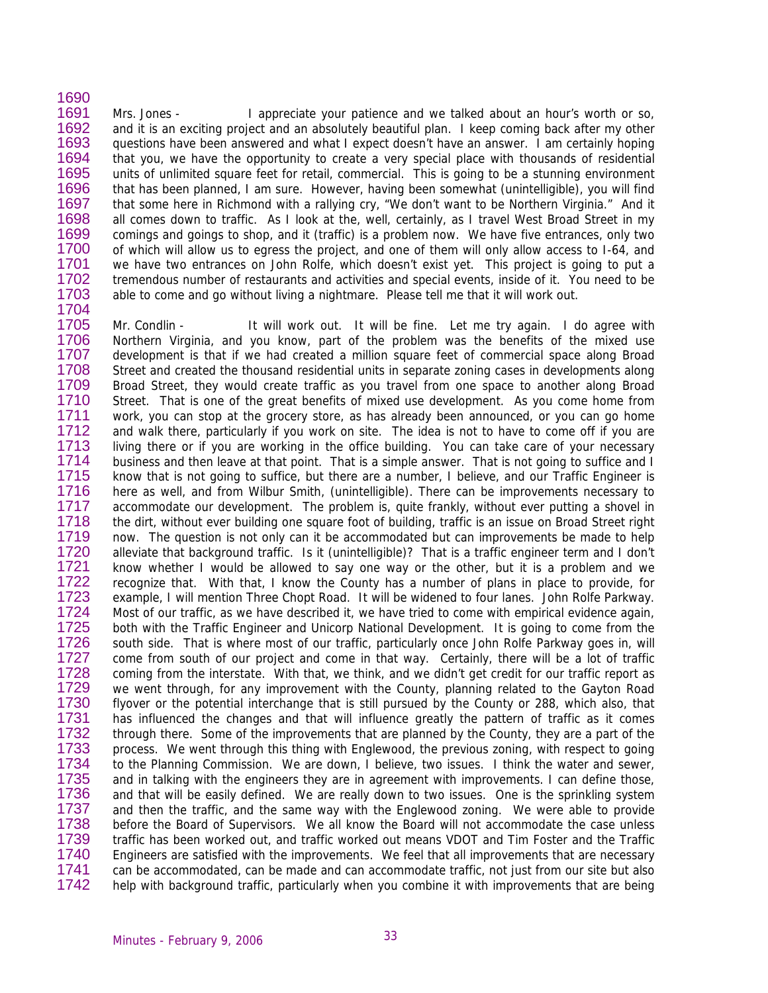1691 1692 1693 1694 1695 1696 1697 1698 1699 1700 1701 1702 1703 1704 Mrs. Jones - I appreciate your patience and we talked about an hour's worth or so, and it is an exciting project and an absolutely beautiful plan. I keep coming back after my other questions have been answered and what I expect doesn't have an answer. I am certainly hoping that you, we have the opportunity to create a very special place with thousands of residential units of unlimited square feet for retail, commercial. This is going to be a stunning environment that has been planned, I am sure. However, having been somewhat (unintelligible), you will find that some here in Richmond with a rallying cry, "We don't want to be Northern Virginia." And it all comes down to traffic. As I look at the, well, certainly, as I travel West Broad Street in my comings and goings to shop, and it (traffic) is a problem now. We have five entrances, only two of which will allow us to egress the project, and one of them will only allow access to I-64, and we have two entrances on John Rolfe, which doesn't exist yet. This project is going to put a tremendous number of restaurants and activities and special events, inside of it. You need to be able to come and go without living a nightmare. Please tell me that it will work out.

1705 1706 1707 1708 1709 1710 1711 1712 1713 1714 1715 1716 1717 1718 1719 1720 1721 1722 1723 1724 1725 1726 1727 1728 1729 1730 1731 1732 1733 1734 1735 1736 1737 1738 1739 1740 1741 1742 Mr. Condlin - It will work out. It will be fine. Let me try again. I do agree with Northern Virginia, and you know, part of the problem was the benefits of the mixed use development is that if we had created a million square feet of commercial space along Broad Street and created the thousand residential units in separate zoning cases in developments along Broad Street, they would create traffic as you travel from one space to another along Broad Street. That is one of the great benefits of mixed use development. As you come home from work, you can stop at the grocery store, as has already been announced, or you can go home and walk there, particularly if you work on site. The idea is not to have to come off if you are living there or if you are working in the office building. You can take care of your necessary business and then leave at that point. That is a simple answer. That is not going to suffice and I know that is not going to suffice, but there are a number, I believe, and our Traffic Engineer is here as well, and from Wilbur Smith, (unintelligible). There can be improvements necessary to accommodate our development. The problem is, quite frankly, without ever putting a shovel in the dirt, without ever building one square foot of building, traffic is an issue on Broad Street right now. The question is not only can it be accommodated but can improvements be made to help alleviate that background traffic. Is it (unintelligible)? That is a traffic engineer term and I don't know whether I would be allowed to say one way or the other, but it is a problem and we recognize that. With that, I know the County has a number of plans in place to provide, for example, I will mention Three Chopt Road. It will be widened to four lanes. John Rolfe Parkway. Most of our traffic, as we have described it, we have tried to come with empirical evidence again, both with the Traffic Engineer and Unicorp National Development. It is going to come from the south side. That is where most of our traffic, particularly once John Rolfe Parkway goes in, will come from south of our project and come in that way. Certainly, there will be a lot of traffic coming from the interstate. With that, we think, and we didn't get credit for our traffic report as we went through, for any improvement with the County, planning related to the Gayton Road flyover or the potential interchange that is still pursued by the County or 288, which also, that has influenced the changes and that will influence greatly the pattern of traffic as it comes through there. Some of the improvements that are planned by the County, they are a part of the process. We went through this thing with Englewood, the previous zoning, with respect to going to the Planning Commission. We are down, I believe, two issues. I think the water and sewer, and in talking with the engineers they are in agreement with improvements. I can define those, and that will be easily defined. We are really down to two issues. One is the sprinkling system and then the traffic, and the same way with the Englewood zoning. We were able to provide before the Board of Supervisors. We all know the Board will not accommodate the case unless traffic has been worked out, and traffic worked out means VDOT and Tim Foster and the Traffic Engineers are satisfied with the improvements. We feel that all improvements that are necessary can be accommodated, can be made and can accommodate traffic, not just from our site but also help with background traffic, particularly when you combine it with improvements that are being

1690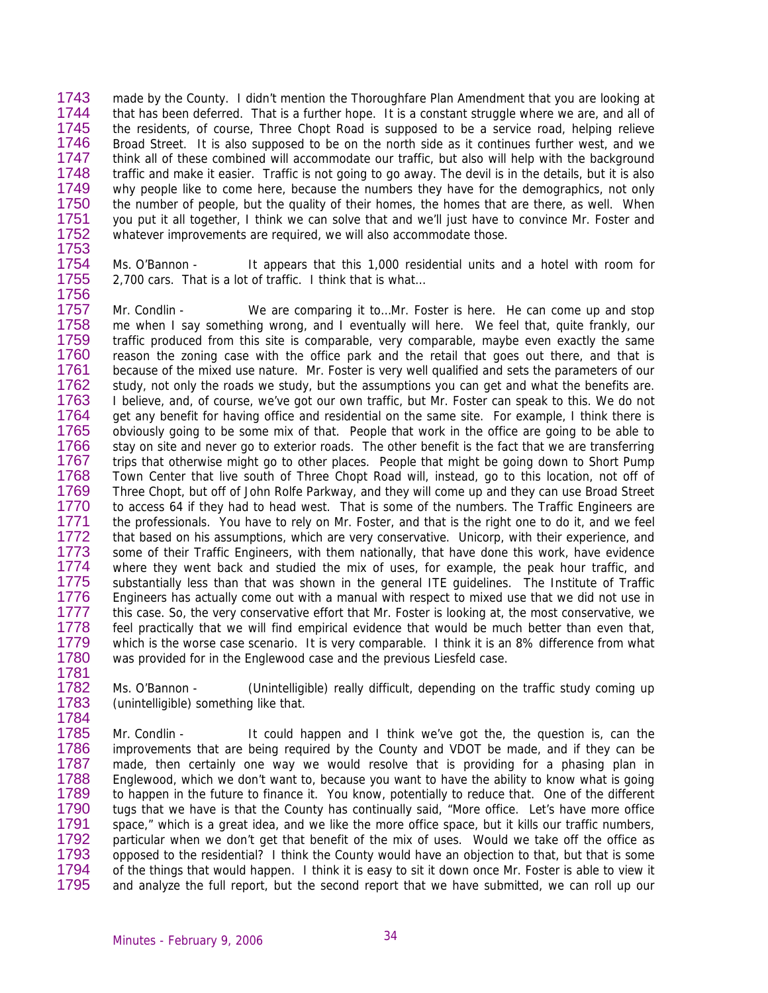1743 1744 1745 1746 1747 1748 1749 1750 1751 1752 made by the County. I didn't mention the Thoroughfare Plan Amendment that you are looking at that has been deferred. That is a further hope. It is a constant struggle where we are, and all of the residents, of course, Three Chopt Road is supposed to be a service road, helping relieve Broad Street. It is also supposed to be on the north side as it continues further west, and we think all of these combined will accommodate our traffic, but also will help with the background traffic and make it easier. Traffic is not going to go away. The devil is in the details, but it is also why people like to come here, because the numbers they have for the demographics, not only the number of people, but the quality of their homes, the homes that are there, as well. When you put it all together, I think we can solve that and we'll just have to convince Mr. Foster and whatever improvements are required, we will also accommodate those.

1753 1754

1755 1756

1781

Ms. O'Bannon - It appears that this 1,000 residential units and a hotel with room for 2,700 cars. That is a lot of traffic. I think that is what…

1757 1758 1759 1760 1761 1762 1763 1764 1765 1766 1767 1768 1769 1770 1771 1772 1773 1774 1775 1776 1777 1778 1779 1780 Mr. Condlin - We are comparing it to…Mr. Foster is here. He can come up and stop me when I say something wrong, and I eventually will here. We feel that, quite frankly, our traffic produced from this site is comparable, very comparable, maybe even exactly the same reason the zoning case with the office park and the retail that goes out there, and that is because of the mixed use nature. Mr. Foster is very well qualified and sets the parameters of our study, not only the roads we study, but the assumptions you can get and what the benefits are. I believe, and, of course, we've got our own traffic, but Mr. Foster can speak to this. We do not get any benefit for having office and residential on the same site. For example, I think there is obviously going to be some mix of that. People that work in the office are going to be able to stay on site and never go to exterior roads. The other benefit is the fact that we are transferring trips that otherwise might go to other places. People that might be going down to Short Pump Town Center that live south of Three Chopt Road will, instead, go to this location, not off of Three Chopt, but off of John Rolfe Parkway, and they will come up and they can use Broad Street to access 64 if they had to head west. That is some of the numbers. The Traffic Engineers are the professionals. You have to rely on Mr. Foster, and that is the right one to do it, and we feel that based on his assumptions, which are very conservative. Unicorp, with their experience, and some of their Traffic Engineers, with them nationally, that have done this work, have evidence where they went back and studied the mix of uses, for example, the peak hour traffic, and substantially less than that was shown in the general ITE guidelines. The Institute of Traffic Engineers has actually come out with a manual with respect to mixed use that we did not use in this case. So, the very conservative effort that Mr. Foster is looking at, the most conservative, we feel practically that we will find empirical evidence that would be much better than even that, which is the worse case scenario. It is very comparable. I think it is an 8% difference from what was provided for in the Englewood case and the previous Liesfeld case.

1782 1783 1784 Ms. O'Bannon - (Unintelligible) really difficult, depending on the traffic study coming up (unintelligible) something like that.

1785 1786 1787 1788 1789 1790 1791 1792 1793 1794 1795 Mr. Condlin - It could happen and I think we've got the, the question is, can the improvements that are being required by the County and VDOT be made, and if they can be made, then certainly one way we would resolve that is providing for a phasing plan in Englewood, which we don't want to, because you want to have the ability to know what is going to happen in the future to finance it. You know, potentially to reduce that. One of the different tugs that we have is that the County has continually said, "More office. Let's have more office space," which is a great idea, and we like the more office space, but it kills our traffic numbers, particular when we don't get that benefit of the mix of uses. Would we take off the office as opposed to the residential? I think the County would have an objection to that, but that is some of the things that would happen. I think it is easy to sit it down once Mr. Foster is able to view it and analyze the full report, but the second report that we have submitted, we can roll up our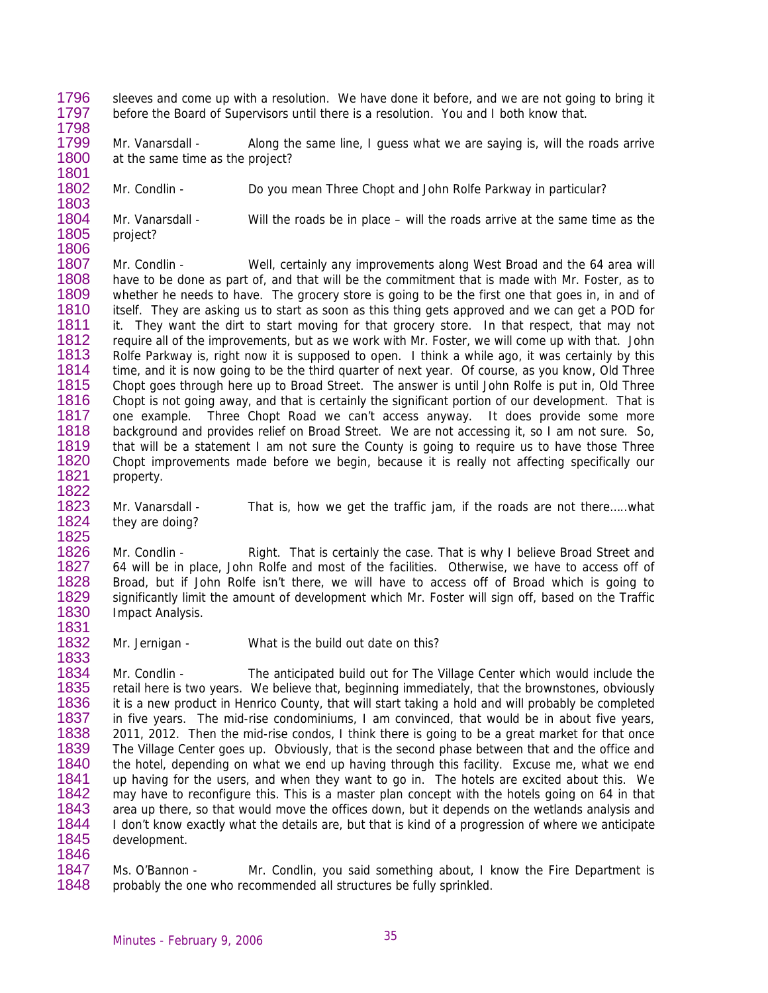1796 1797 sleeves and come up with a resolution. We have done it before, and we are not going to bring it before the Board of Supervisors until there is a resolution. You and I both know that.

1799 1800 1801 Mr. Vanarsdall - Along the same line, I guess what we are saying is, will the roads arrive at the same time as the project?

1802 1803 Mr. Condlin - Do you mean Three Chopt and John Rolfe Parkway in particular?

1804 1805 1806 Mr. Vanarsdall - Will the roads be in place – will the roads arrive at the same time as the project?

1807 1808 1809 1810 1811 1812 1813 1814 1815 1816 1817 1818 1819 1820 1821 1822 Mr. Condlin - Well, certainly any improvements along West Broad and the 64 area will have to be done as part of, and that will be the commitment that is made with Mr. Foster, as to whether he needs to have. The grocery store is going to be the first one that goes in, in and of itself. They are asking us to start as soon as this thing gets approved and we can get a POD for it. They want the dirt to start moving for that grocery store. In that respect, that may not require all of the improvements, but as we work with Mr. Foster, we will come up with that. John Rolfe Parkway is, right now it is supposed to open. I think a while ago, it was certainly by this time, and it is now going to be the third quarter of next year. Of course, as you know, Old Three Chopt goes through here up to Broad Street. The answer is until John Rolfe is put in, Old Three Chopt is not going away, and that is certainly the significant portion of our development. That is one example. Three Chopt Road we can't access anyway. It does provide some more background and provides relief on Broad Street. We are not accessing it, so I am not sure. So, that will be a statement I am not sure the County is going to require us to have those Three Chopt improvements made before we begin, because it is really not affecting specifically our property.

1823 1824 Mr. Vanarsdall - That is, how we get the traffic jam, if the roads are not there…..what they are doing?

1826 1827 1828 1829 1830 1831 Mr. Condlin - Right. That is certainly the case. That is why I believe Broad Street and 64 will be in place, John Rolfe and most of the facilities. Otherwise, we have to access off of Broad, but if John Rolfe isn't there, we will have to access off of Broad which is going to significantly limit the amount of development which Mr. Foster will sign off, based on the Traffic Impact Analysis.

1832 1833 Mr. Jernigan - What is the build out date on this?

1834 1835 1836 1837 1838 1839 1840 1841 1842 1843 1844 1845 1846 Mr. Condlin - The anticipated build out for The Village Center which would include the retail here is two years. We believe that, beginning immediately, that the brownstones, obviously it is a new product in Henrico County, that will start taking a hold and will probably be completed in five years. The mid-rise condominiums, I am convinced, that would be in about five years, 2011, 2012. Then the mid-rise condos, I think there is going to be a great market for that once The Village Center goes up. Obviously, that is the second phase between that and the office and the hotel, depending on what we end up having through this facility. Excuse me, what we end up having for the users, and when they want to go in. The hotels are excited about this. We may have to reconfigure this. This is a master plan concept with the hotels going on 64 in that area up there, so that would move the offices down, but it depends on the wetlands analysis and I don't know exactly what the details are, but that is kind of a progression of where we anticipate development.

1847 1848 Ms. O'Bannon - Mr. Condlin, you said something about, I know the Fire Department is probably the one who recommended all structures be fully sprinkled.

1798

1825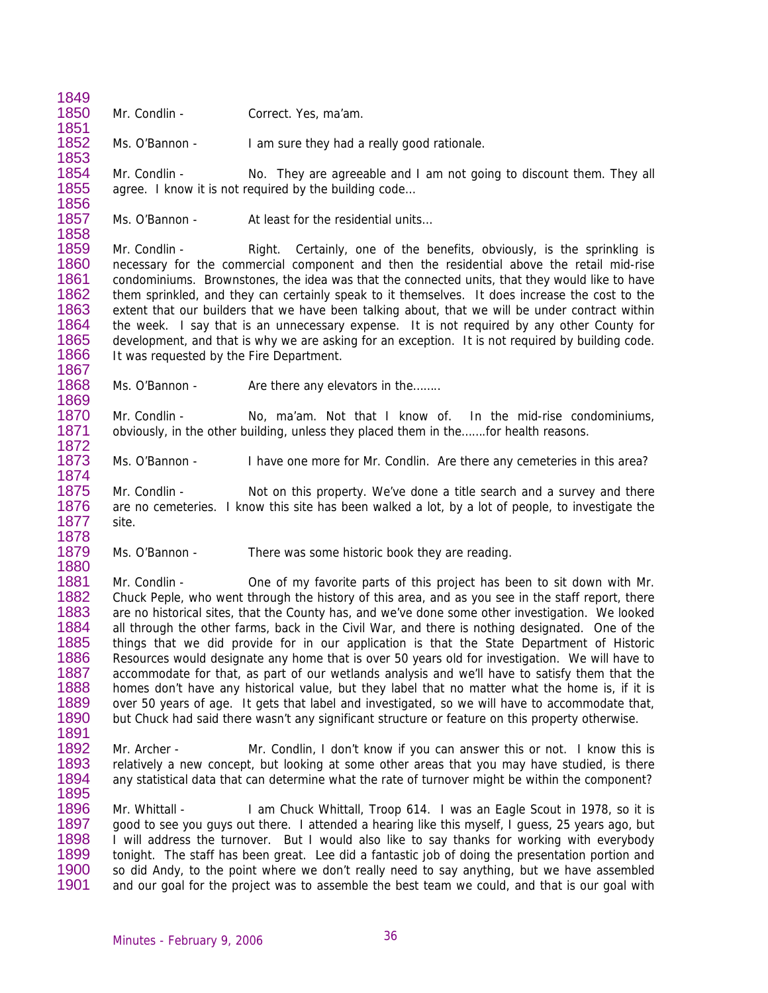1850 1851 Mr. Condlin - Correct. Yes, ma'am.

1849

1854 1855 1856

1873 1874

1852 1853 Ms. O'Bannon - I am sure they had a really good rationale.

Mr. Condlin - No. They are agreeable and I am not going to discount them. They all agree. I know it is not required by the building code…

1857 1858 Ms. O'Bannon - At least for the residential units...

1859 1860 1861 1862 1863 1864 1865 1866 1867 Mr. Condlin - Right. Certainly, one of the benefits, obviously, is the sprinkling is necessary for the commercial component and then the residential above the retail mid-rise condominiums. Brownstones, the idea was that the connected units, that they would like to have them sprinkled, and they can certainly speak to it themselves. It does increase the cost to the extent that our builders that we have been talking about, that we will be under contract within the week. I say that is an unnecessary expense. It is not required by any other County for development, and that is why we are asking for an exception. It is not required by building code. It was requested by the Fire Department.

1868 1869 Ms. O'Bannon - Are there any elevators in the........

1870 1871 1872 Mr. Condlin - No, ma'am. Not that I know of. In the mid-rise condominiums, obviously, in the other building, unless they placed them in the…….for health reasons.

Ms. O'Bannon - I have one more for Mr. Condlin. Are there any cemeteries in this area?

1875 1876 1877 1878 Mr. Condlin - Not on this property. We've done a title search and a survey and there are no cemeteries. I know this site has been walked a lot, by a lot of people, to investigate the site.

1879 1880 Ms. O'Bannon - There was some historic book they are reading.

1881 1882 1883 1884 1885 1886 1887 1888 1889 1890 1891 Mr. Condlin - One of my favorite parts of this project has been to sit down with Mr. Chuck Peple, who went through the history of this area, and as you see in the staff report, there are no historical sites, that the County has, and we've done some other investigation. We looked all through the other farms, back in the Civil War, and there is nothing designated. One of the things that we did provide for in our application is that the State Department of Historic Resources would designate any home that is over 50 years old for investigation. We will have to accommodate for that, as part of our wetlands analysis and we'll have to satisfy them that the homes don't have any historical value, but they label that no matter what the home is, if it is over 50 years of age. It gets that label and investigated, so we will have to accommodate that, but Chuck had said there wasn't any significant structure or feature on this property otherwise.

1892 1893 1894 1895 Mr. Archer - Mr. Condlin, I don't know if you can answer this or not. I know this is relatively a new concept, but looking at some other areas that you may have studied, is there any statistical data that can determine what the rate of turnover might be within the component?

1896 1897 1898 1899 1900 1901 Mr. Whittall - I am Chuck Whittall, Troop 614. I was an Eagle Scout in 1978, so it is good to see you guys out there. I attended a hearing like this myself, I guess, 25 years ago, but I will address the turnover. But I would also like to say thanks for working with everybody tonight. The staff has been great. Lee did a fantastic job of doing the presentation portion and so did Andy, to the point where we don't really need to say anything, but we have assembled and our goal for the project was to assemble the best team we could, and that is our goal with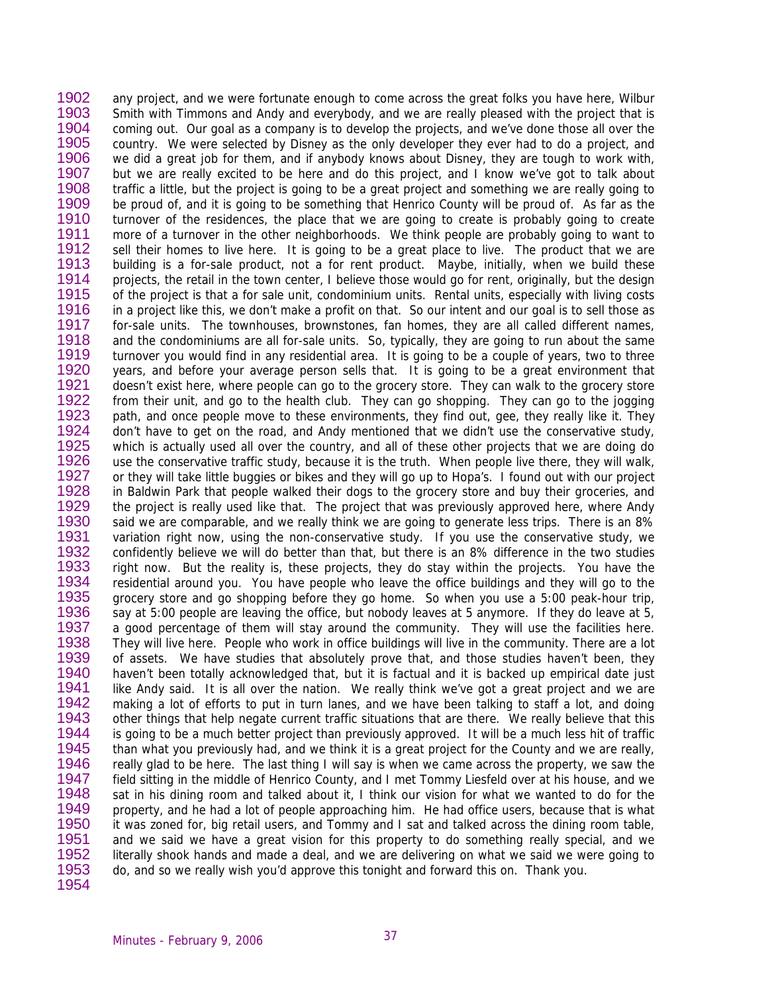1902 1903 1904 1905 1906 1907 1908 1909 1910 1911 1912 1913 1914 1915 1916 1917 1918 1919 1920 1921 1922 1923 1924 1925 1926 1927 1928 1929 1930 1931 1932 1933 1934 1935 1936 1937 1938 1939 1940 1941 1942 1943 1944 1945 1946 1947 1948 1949 1950 1951 1952 1953 1954 any project, and we were fortunate enough to come across the great folks you have here, Wilbur Smith with Timmons and Andy and everybody, and we are really pleased with the project that is coming out. Our goal as a company is to develop the projects, and we've done those all over the country. We were selected by Disney as the only developer they ever had to do a project, and we did a great job for them, and if anybody knows about Disney, they are tough to work with, but we are really excited to be here and do this project, and I know we've got to talk about traffic a little, but the project is going to be a great project and something we are really going to be proud of, and it is going to be something that Henrico County will be proud of. As far as the turnover of the residences, the place that we are going to create is probably going to create more of a turnover in the other neighborhoods. We think people are probably going to want to sell their homes to live here. It is going to be a great place to live. The product that we are building is a for-sale product, not a for rent product. Maybe, initially, when we build these projects, the retail in the town center, I believe those would go for rent, originally, but the design of the project is that a for sale unit, condominium units. Rental units, especially with living costs in a project like this, we don't make a profit on that. So our intent and our goal is to sell those as for-sale units. The townhouses, brownstones, fan homes, they are all called different names, and the condominiums are all for-sale units. So, typically, they are going to run about the same turnover you would find in any residential area. It is going to be a couple of years, two to three years, and before your average person sells that. It is going to be a great environment that doesn't exist here, where people can go to the grocery store. They can walk to the grocery store from their unit, and go to the health club. They can go shopping. They can go to the jogging path, and once people move to these environments, they find out, gee, they really like it. They don't have to get on the road, and Andy mentioned that we didn't use the conservative study, which is actually used all over the country, and all of these other projects that we are doing do use the conservative traffic study, because it is the truth. When people live there, they will walk, or they will take little buggies or bikes and they will go up to Hopa's. I found out with our project in Baldwin Park that people walked their dogs to the grocery store and buy their groceries, and the project is really used like that. The project that was previously approved here, where Andy said we are comparable, and we really think we are going to generate less trips. There is an 8% variation right now, using the non-conservative study. If you use the conservative study, we confidently believe we will do better than that, but there is an 8% difference in the two studies right now. But the reality is, these projects, they do stay within the projects. You have the residential around you. You have people who leave the office buildings and they will go to the grocery store and go shopping before they go home. So when you use a 5:00 peak-hour trip, say at 5:00 people are leaving the office, but nobody leaves at 5 anymore. If they do leave at 5, a good percentage of them will stay around the community. They will use the facilities here. They will live here. People who work in office buildings will live in the community. There are a lot of assets. We have studies that absolutely prove that, and those studies haven't been, they haven't been totally acknowledged that, but it is factual and it is backed up empirical date just like Andy said. It is all over the nation. We really think we've got a great project and we are making a lot of efforts to put in turn lanes, and we have been talking to staff a lot, and doing other things that help negate current traffic situations that are there. We really believe that this is going to be a much better project than previously approved. It will be a much less hit of traffic than what you previously had, and we think it is a great project for the County and we are really, really glad to be here. The last thing I will say is when we came across the property, we saw the field sitting in the middle of Henrico County, and I met Tommy Liesfeld over at his house, and we sat in his dining room and talked about it, I think our vision for what we wanted to do for the property, and he had a lot of people approaching him. He had office users, because that is what it was zoned for, big retail users, and Tommy and I sat and talked across the dining room table, and we said we have a great vision for this property to do something really special, and we literally shook hands and made a deal, and we are delivering on what we said we were going to do, and so we really wish you'd approve this tonight and forward this on. Thank you.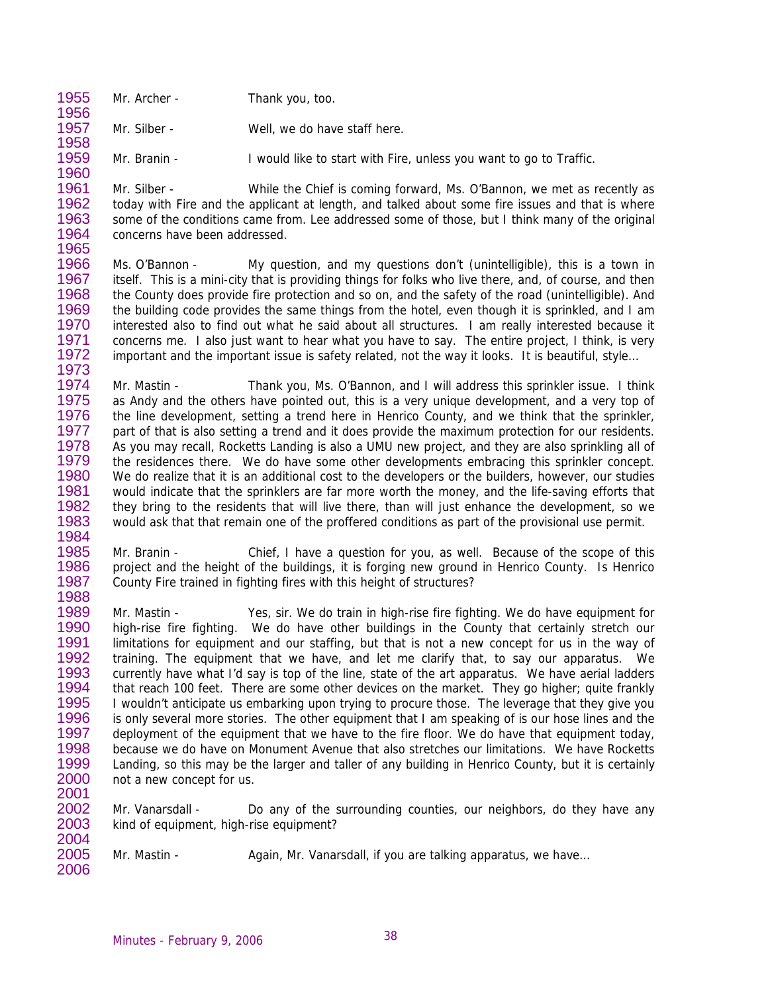1955 1956 Mr. Archer - Thank you, too.

1958

- 1957 Mr. Silber - Well, we do have staff here.
- 1959 1960 Mr. Branin - I would like to start with Fire, unless you want to go to Traffic.

1961 1962 1963 1964 1965 Mr. Silber - While the Chief is coming forward, Ms. O'Bannon, we met as recently as today with Fire and the applicant at length, and talked about some fire issues and that is where some of the conditions came from. Lee addressed some of those, but I think many of the original concerns have been addressed.

1966 1967 1968 1969 1970 1971 1972 1973 Ms. O'Bannon - My question, and my questions don't (unintelligible), this is a town in itself. This is a mini-city that is providing things for folks who live there, and, of course, and then the County does provide fire protection and so on, and the safety of the road (unintelligible). And the building code provides the same things from the hotel, even though it is sprinkled, and I am interested also to find out what he said about all structures. I am really interested because it concerns me. I also just want to hear what you have to say. The entire project, I think, is very important and the important issue is safety related, not the way it looks. It is beautiful, style…

1974 1975 1976 1977 1978 1979 1980 1981 1982 1983 1984 Mr. Mastin - Thank you, Ms. O'Bannon, and I will address this sprinkler issue. I think as Andy and the others have pointed out, this is a very unique development, and a very top of the line development, setting a trend here in Henrico County, and we think that the sprinkler, part of that is also setting a trend and it does provide the maximum protection for our residents. As you may recall, Rocketts Landing is also a UMU new project, and they are also sprinkling all of the residences there. We do have some other developments embracing this sprinkler concept. We do realize that it is an additional cost to the developers or the builders, however, our studies would indicate that the sprinklers are far more worth the money, and the life-saving efforts that they bring to the residents that will live there, than will just enhance the development, so we would ask that that remain one of the proffered conditions as part of the provisional use permit.

1985 1986 1987 1988 Mr. Branin - Chief, I have a question for you, as well. Because of the scope of this project and the height of the buildings, it is forging new ground in Henrico County. Is Henrico County Fire trained in fighting fires with this height of structures?

1989 1990 1991 1992 1993 1994 1995 1996 1997 1998 1999 2000 2001 Mr. Mastin - Yes, sir. We do train in high-rise fire fighting. We do have equipment for high-rise fire fighting. We do have other buildings in the County that certainly stretch our limitations for equipment and our staffing, but that is not a new concept for us in the way of training. The equipment that we have, and let me clarify that, to say our apparatus. We currently have what I'd say is top of the line, state of the art apparatus. We have aerial ladders that reach 100 feet. There are some other devices on the market. They go higher; quite frankly I wouldn't anticipate us embarking upon trying to procure those. The leverage that they give you is only several more stories. The other equipment that I am speaking of is our hose lines and the deployment of the equipment that we have to the fire floor. We do have that equipment today, because we do have on Monument Avenue that also stretches our limitations. We have Rocketts Landing, so this may be the larger and taller of any building in Henrico County, but it is certainly not a new concept for us.

2002 2003 2004 Mr. Vanarsdall - Do any of the surrounding counties, our neighbors, do they have any kind of equipment, high-rise equipment?

- Mr. Mastin Again, Mr. Vanarsdall, if you are talking apparatus, we have...
- 2005 2006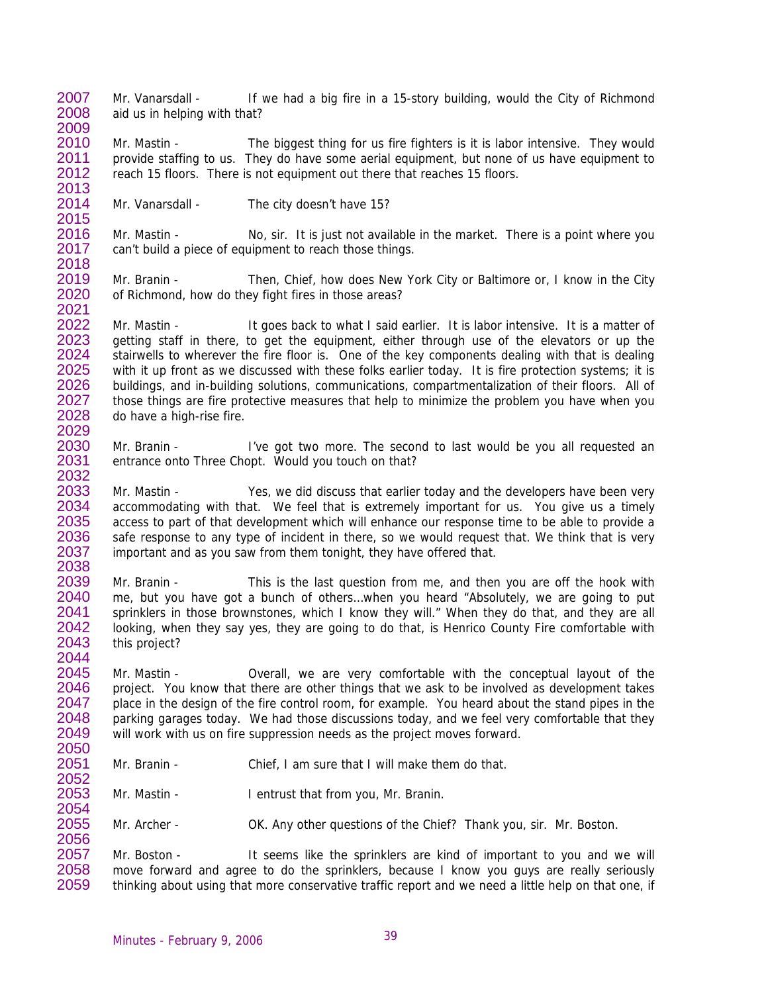2007 2008 2009 Mr. Vanarsdall - If we had a big fire in a 15-story building, would the City of Richmond aid us in helping with that?

2010 2011 2012 2013 Mr. Mastin - The biggest thing for us fire fighters is it is labor intensive. They would provide staffing to us. They do have some aerial equipment, but none of us have equipment to reach 15 floors. There is not equipment out there that reaches 15 floors.

2014 Mr. Vanarsdall - The city doesn't have 15?

2015

2054

2056

2016 2017 2018 Mr. Mastin - No, sir. It is just not available in the market. There is a point where you can't build a piece of equipment to reach those things.

2019 2020 2021 Mr. Branin - Then, Chief, how does New York City or Baltimore or, I know in the City of Richmond, how do they fight fires in those areas?

2022 2023 2024 2025 2026 2027 2028 2029 Mr. Mastin - It goes back to what I said earlier. It is labor intensive. It is a matter of getting staff in there, to get the equipment, either through use of the elevators or up the stairwells to wherever the fire floor is. One of the key components dealing with that is dealing with it up front as we discussed with these folks earlier today. It is fire protection systems; it is buildings, and in-building solutions, communications, compartmentalization of their floors. All of those things are fire protective measures that help to minimize the problem you have when you do have a high-rise fire.

2030 2031 2032 Mr. Branin - I've got two more. The second to last would be you all requested an entrance onto Three Chopt. Would you touch on that?

2033 2034 2035 2036 2037 2038 Mr. Mastin - Yes, we did discuss that earlier today and the developers have been very accommodating with that. We feel that is extremely important for us. You give us a timely access to part of that development which will enhance our response time to be able to provide a safe response to any type of incident in there, so we would request that. We think that is very important and as you saw from them tonight, they have offered that.

2039 2040 2041 2042 2043 2044 Mr. Branin - This is the last question from me, and then you are off the hook with me, but you have got a bunch of others…when you heard "Absolutely, we are going to put sprinklers in those brownstones, which I know they will." When they do that, and they are all looking, when they say yes, they are going to do that, is Henrico County Fire comfortable with this project?

2045 2046 2047 2048 2049 2050 Mr. Mastin - **Overall**, we are very comfortable with the conceptual layout of the project. You know that there are other things that we ask to be involved as development takes place in the design of the fire control room, for example. You heard about the stand pipes in the parking garages today. We had those discussions today, and we feel very comfortable that they will work with us on fire suppression needs as the project moves forward.

2051 2052 Mr. Branin - Chief, I am sure that I will make them do that.

2053 Mr. Mastin - I entrust that from you, Mr. Branin.

2055 Mr. Archer - OK. Any other questions of the Chief? Thank you, sir. Mr. Boston.

2057 2058 2059 Mr. Boston - It seems like the sprinklers are kind of important to you and we will move forward and agree to do the sprinklers, because I know you guys are really seriously thinking about using that more conservative traffic report and we need a little help on that one, if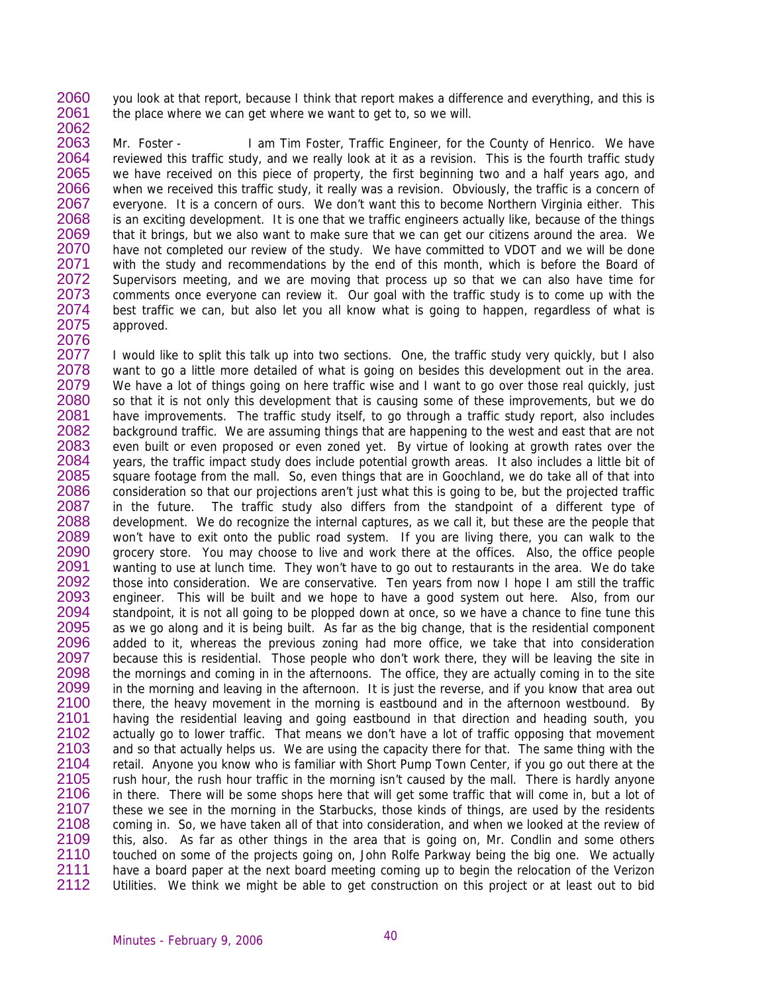2060 2061 2062 you look at that report, because I think that report makes a difference and everything, and this is the place where we can get where we want to get to, so we will.

2063 2064 2065 2066 2067 2068 2069 2070 2071 2072 2073 2074 2075 2076 Mr. Foster - I am Tim Foster, Traffic Engineer, for the County of Henrico. We have reviewed this traffic study, and we really look at it as a revision. This is the fourth traffic study we have received on this piece of property, the first beginning two and a half years ago, and when we received this traffic study, it really was a revision. Obviously, the traffic is a concern of everyone. It is a concern of ours. We don't want this to become Northern Virginia either. This is an exciting development. It is one that we traffic engineers actually like, because of the things that it brings, but we also want to make sure that we can get our citizens around the area. We have not completed our review of the study. We have committed to VDOT and we will be done with the study and recommendations by the end of this month, which is before the Board of Supervisors meeting, and we are moving that process up so that we can also have time for comments once everyone can review it. Our goal with the traffic study is to come up with the best traffic we can, but also let you all know what is going to happen, regardless of what is approved.

2077 2078 2079 2080 2081 2082 2083 2084 2085 2086 2087 2088 2089 2090 2091 2092 2093 2094 2095 2096 2097 2098 2099 2100 2101 2102 2103 2104 2105 2106 2107 2108 2109 2110 2111 2112 I would like to split this talk up into two sections. One, the traffic study very quickly, but I also want to go a little more detailed of what is going on besides this development out in the area. We have a lot of things going on here traffic wise and I want to go over those real quickly, just so that it is not only this development that is causing some of these improvements, but we do have improvements. The traffic study itself, to go through a traffic study report, also includes background traffic. We are assuming things that are happening to the west and east that are not even built or even proposed or even zoned yet. By virtue of looking at growth rates over the years, the traffic impact study does include potential growth areas. It also includes a little bit of square footage from the mall. So, even things that are in Goochland, we do take all of that into consideration so that our projections aren't just what this is going to be, but the projected traffic in the future. The traffic study also differs from the standpoint of a different type of development. We do recognize the internal captures, as we call it, but these are the people that won't have to exit onto the public road system. If you are living there, you can walk to the grocery store. You may choose to live and work there at the offices. Also, the office people wanting to use at lunch time. They won't have to go out to restaurants in the area. We do take those into consideration. We are conservative. Ten years from now I hope I am still the traffic engineer. This will be built and we hope to have a good system out here. Also, from our standpoint, it is not all going to be plopped down at once, so we have a chance to fine tune this as we go along and it is being built. As far as the big change, that is the residential component added to it, whereas the previous zoning had more office, we take that into consideration because this is residential. Those people who don't work there, they will be leaving the site in the mornings and coming in in the afternoons. The office, they are actually coming in to the site in the morning and leaving in the afternoon. It is just the reverse, and if you know that area out there, the heavy movement in the morning is eastbound and in the afternoon westbound. By having the residential leaving and going eastbound in that direction and heading south, you actually go to lower traffic. That means we don't have a lot of traffic opposing that movement and so that actually helps us. We are using the capacity there for that. The same thing with the retail. Anyone you know who is familiar with Short Pump Town Center, if you go out there at the rush hour, the rush hour traffic in the morning isn't caused by the mall. There is hardly anyone in there. There will be some shops here that will get some traffic that will come in, but a lot of these we see in the morning in the Starbucks, those kinds of things, are used by the residents coming in. So, we have taken all of that into consideration, and when we looked at the review of this, also. As far as other things in the area that is going on, Mr. Condlin and some others touched on some of the projects going on, John Rolfe Parkway being the big one. We actually have a board paper at the next board meeting coming up to begin the relocation of the Verizon Utilities. We think we might be able to get construction on this project or at least out to bid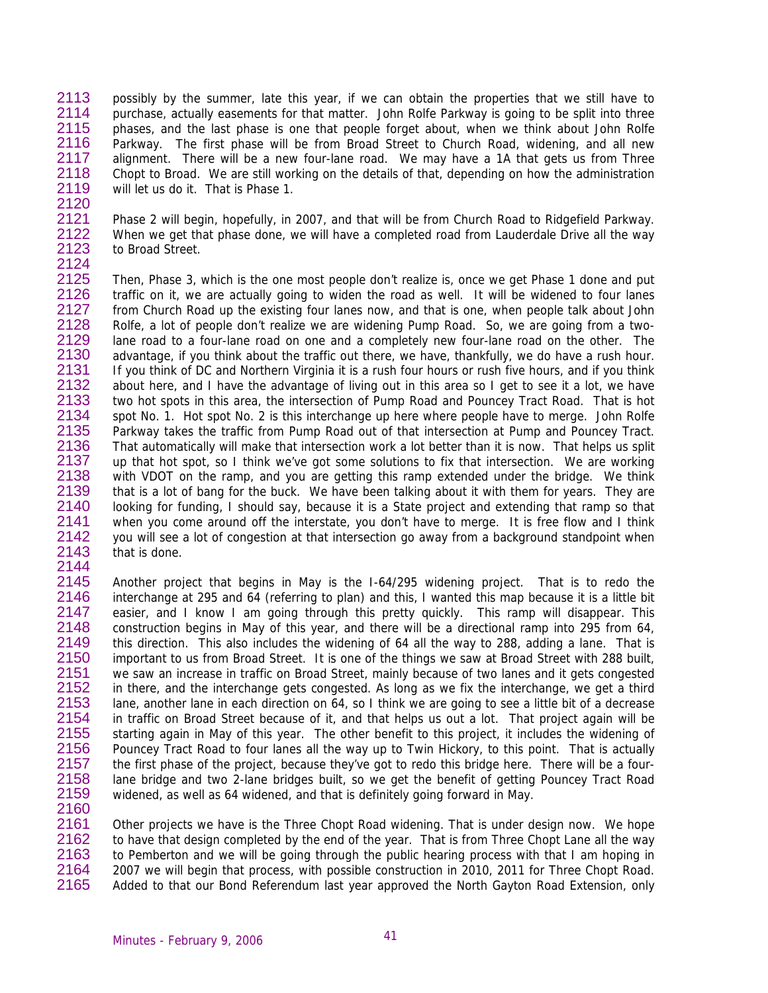2113 2114 2115 2116 2117 2118 2119 2120 possibly by the summer, late this year, if we can obtain the properties that we still have to purchase, actually easements for that matter. John Rolfe Parkway is going to be split into three phases, and the last phase is one that people forget about, when we think about John Rolfe Parkway. The first phase will be from Broad Street to Church Road, widening, and all new alignment. There will be a new four-lane road. We may have a 1A that gets us from Three Chopt to Broad. We are still working on the details of that, depending on how the administration will let us do it. That is Phase 1.

2121 2122 2123 2124 Phase 2 will begin, hopefully, in 2007, and that will be from Church Road to Ridgefield Parkway. When we get that phase done, we will have a completed road from Lauderdale Drive all the way to Broad Street.

2125 2126 2127 2128 2129 2130 2131 2132 2133 2134 2135 2136 2137 2138 2139 2140 2141 2142 2143 2144 Then, Phase 3, which is the one most people don't realize is, once we get Phase 1 done and put traffic on it, we are actually going to widen the road as well. It will be widened to four lanes from Church Road up the existing four lanes now, and that is one, when people talk about John Rolfe, a lot of people don't realize we are widening Pump Road. So, we are going from a twolane road to a four-lane road on one and a completely new four-lane road on the other. The advantage, if you think about the traffic out there, we have, thankfully, we do have a rush hour. If you think of DC and Northern Virginia it is a rush four hours or rush five hours, and if you think about here, and I have the advantage of living out in this area so I get to see it a lot, we have two hot spots in this area, the intersection of Pump Road and Pouncey Tract Road. That is hot spot No. 1. Hot spot No. 2 is this interchange up here where people have to merge. John Rolfe Parkway takes the traffic from Pump Road out of that intersection at Pump and Pouncey Tract. That automatically will make that intersection work a lot better than it is now. That helps us split up that hot spot, so I think we've got some solutions to fix that intersection. We are working with VDOT on the ramp, and you are getting this ramp extended under the bridge. We think that is a lot of bang for the buck. We have been talking about it with them for years. They are looking for funding, I should say, because it is a State project and extending that ramp so that when you come around off the interstate, you don't have to merge. It is free flow and I think you will see a lot of congestion at that intersection go away from a background standpoint when that is done.

2145 2146 2147 2148 2149 2150 2151 2152 2153 2154 2155 2156 2157 2158 2159 2160 Another project that begins in May is the I-64/295 widening project. That is to redo the interchange at 295 and 64 (referring to plan) and this, I wanted this map because it is a little bit easier, and I know I am going through this pretty quickly. This ramp will disappear. This construction begins in May of this year, and there will be a directional ramp into 295 from 64, this direction. This also includes the widening of 64 all the way to 288, adding a lane. That is important to us from Broad Street. It is one of the things we saw at Broad Street with 288 built, we saw an increase in traffic on Broad Street, mainly because of two lanes and it gets congested in there, and the interchange gets congested. As long as we fix the interchange, we get a third lane, another lane in each direction on 64, so I think we are going to see a little bit of a decrease in traffic on Broad Street because of it, and that helps us out a lot. That project again will be starting again in May of this year. The other benefit to this project, it includes the widening of Pouncey Tract Road to four lanes all the way up to Twin Hickory, to this point. That is actually the first phase of the project, because they've got to redo this bridge here. There will be a fourlane bridge and two 2-lane bridges built, so we get the benefit of getting Pouncey Tract Road widened, as well as 64 widened, and that is definitely going forward in May.

2161 2162 2163 2164 2165 Other projects we have is the Three Chopt Road widening. That is under design now. We hope to have that design completed by the end of the year. That is from Three Chopt Lane all the way to Pemberton and we will be going through the public hearing process with that I am hoping in 2007 we will begin that process, with possible construction in 2010, 2011 for Three Chopt Road. Added to that our Bond Referendum last year approved the North Gayton Road Extension, only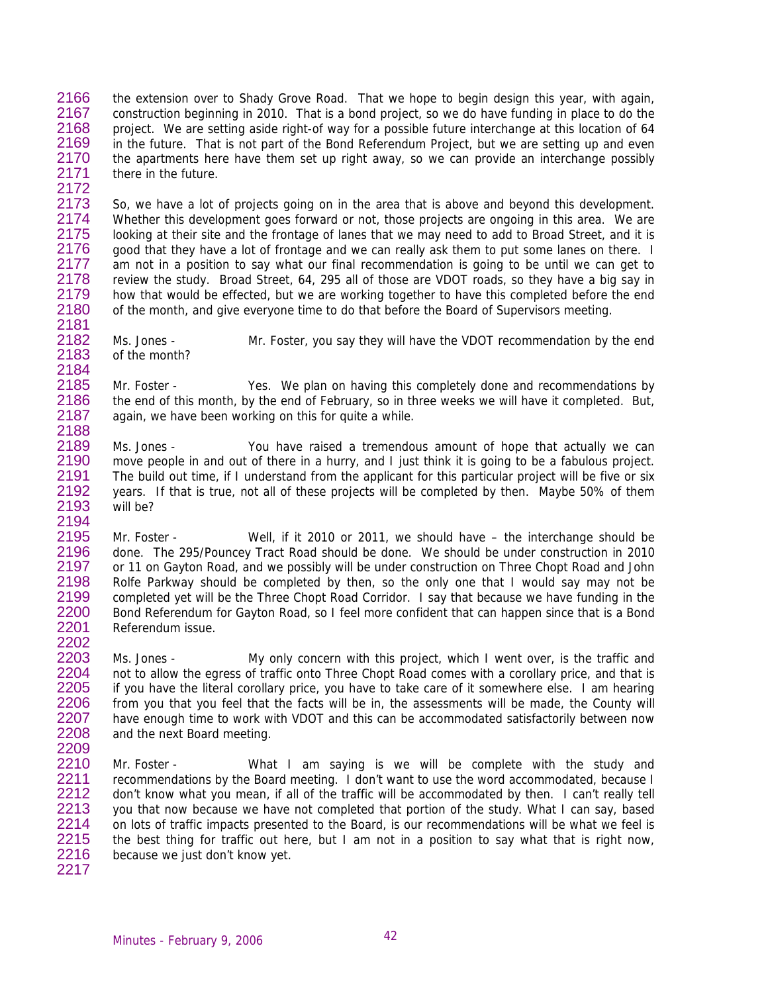2166 2167 2168 2169 2170 2171 2172 the extension over to Shady Grove Road. That we hope to begin design this year, with again, construction beginning in 2010. That is a bond project, so we do have funding in place to do the project. We are setting aside right-of way for a possible future interchange at this location of 64 in the future. That is not part of the Bond Referendum Project, but we are setting up and even the apartments here have them set up right away, so we can provide an interchange possibly there in the future.

2173 2174 2175 2176 2177 2178 2179 2180 2181 So, we have a lot of projects going on in the area that is above and beyond this development. Whether this development goes forward or not, those projects are ongoing in this area. We are looking at their site and the frontage of lanes that we may need to add to Broad Street, and it is good that they have a lot of frontage and we can really ask them to put some lanes on there. I am not in a position to say what our final recommendation is going to be until we can get to review the study. Broad Street, 64, 295 all of those are VDOT roads, so they have a big say in how that would be effected, but we are working together to have this completed before the end of the month, and give everyone time to do that before the Board of Supervisors meeting.

2182 2183 Ms. Jones - Mr. Foster, you say they will have the VDOT recommendation by the end of the month?

2185 2186 2187 2188 Mr. Foster - Yes. We plan on having this completely done and recommendations by the end of this month, by the end of February, so in three weeks we will have it completed. But, again, we have been working on this for quite a while.

2189 2190 2191 2192 2193 2194 Ms. Jones - You have raised a tremendous amount of hope that actually we can move people in and out of there in a hurry, and I just think it is going to be a fabulous project. The build out time, if I understand from the applicant for this particular project will be five or six years. If that is true, not all of these projects will be completed by then. Maybe 50% of them will be?

2195 2196 2197 2198 2199 2200 2201 Mr. Foster - Well, if it 2010 or 2011, we should have – the interchange should be done. The 295/Pouncey Tract Road should be done. We should be under construction in 2010 or 11 on Gayton Road, and we possibly will be under construction on Three Chopt Road and John Rolfe Parkway should be completed by then, so the only one that I would say may not be completed yet will be the Three Chopt Road Corridor. I say that because we have funding in the Bond Referendum for Gayton Road, so I feel more confident that can happen since that is a Bond Referendum issue.

2203 2204 2205 2206 2207 2208 2209 Ms. Jones - My only concern with this project, which I went over, is the traffic and not to allow the egress of traffic onto Three Chopt Road comes with a corollary price, and that is if you have the literal corollary price, you have to take care of it somewhere else. I am hearing from you that you feel that the facts will be in, the assessments will be made, the County will have enough time to work with VDOT and this can be accommodated satisfactorily between now and the next Board meeting.

2210 2211 2212 2213 2214 2215 2216 2217 Mr. Foster - What I am saying is we will be complete with the study and recommendations by the Board meeting. I don't want to use the word accommodated, because I don't know what you mean, if all of the traffic will be accommodated by then. I can't really tell you that now because we have not completed that portion of the study. What I can say, based on lots of traffic impacts presented to the Board, is our recommendations will be what we feel is the best thing for traffic out here, but I am not in a position to say what that is right now, because we just don't know yet.

Minutes - February 9, 2006 **1998** 

2184

2202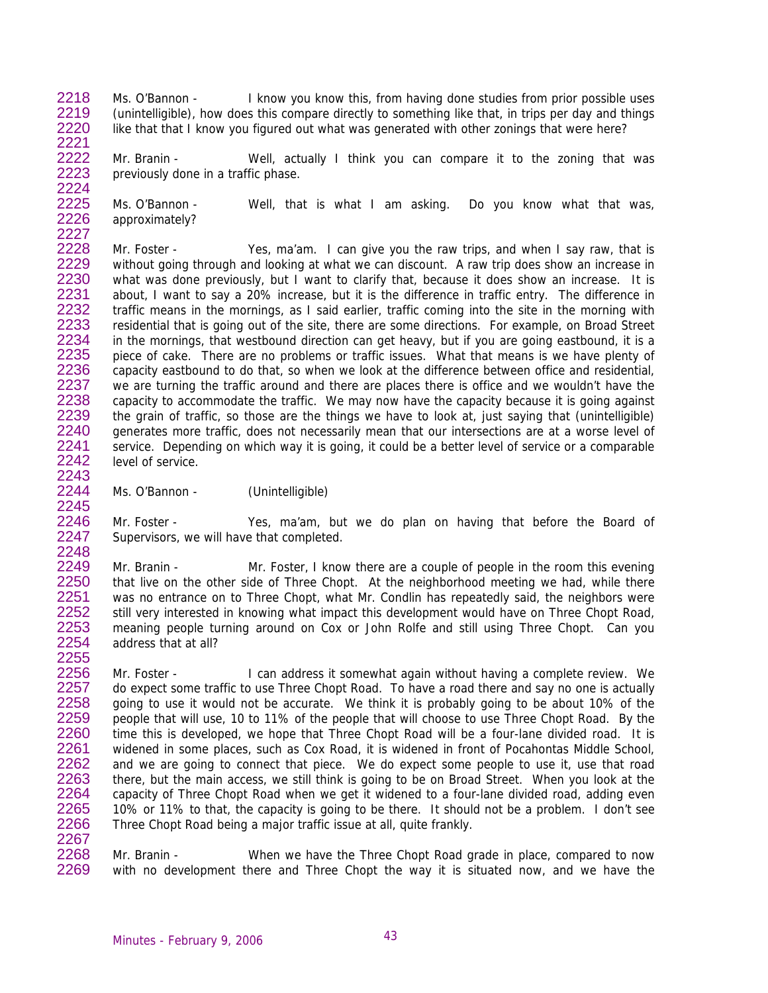2218 2219 2220 2221 Ms. O'Bannon - I know you know this, from having done studies from prior possible uses (unintelligible), how does this compare directly to something like that, in trips per day and things like that that I know you figured out what was generated with other zonings that were here?

2222 2223 2224 Mr. Branin - Well, actually I think you can compare it to the zoning that was previously done in a traffic phase.

2225 2226 2227 Ms. O'Bannon - Well, that is what I am asking. Do you know what that was, approximately?

2228 2229 2230 2231 2232 2233 2234 2235 2236 2237 2238 2239 2240 2241 2242 2243 Mr. Foster - Yes, ma'am. I can give you the raw trips, and when I say raw, that is without going through and looking at what we can discount. A raw trip does show an increase in what was done previously, but I want to clarify that, because it does show an increase. It is about, I want to say a 20% increase, but it is the difference in traffic entry. The difference in traffic means in the mornings, as I said earlier, traffic coming into the site in the morning with residential that is going out of the site, there are some directions. For example, on Broad Street in the mornings, that westbound direction can get heavy, but if you are going eastbound, it is a piece of cake. There are no problems or traffic issues. What that means is we have plenty of capacity eastbound to do that, so when we look at the difference between office and residential, we are turning the traffic around and there are places there is office and we wouldn't have the capacity to accommodate the traffic. We may now have the capacity because it is going against the grain of traffic, so those are the things we have to look at, just saying that (unintelligible) generates more traffic, does not necessarily mean that our intersections are at a worse level of service. Depending on which way it is going, it could be a better level of service or a comparable level of service.

2244 2245 Ms. O'Bannon - (Unintelligible)

2246 2247 2248

Mr. Foster - Yes, ma'am, but we do plan on having that before the Board of Supervisors, we will have that completed.

2249 2250 2251 2252 2253 2254 2255 Mr. Branin - Mr. Foster, I know there are a couple of people in the room this evening that live on the other side of Three Chopt. At the neighborhood meeting we had, while there was no entrance on to Three Chopt, what Mr. Condlin has repeatedly said, the neighbors were still very interested in knowing what impact this development would have on Three Chopt Road, meaning people turning around on Cox or John Rolfe and still using Three Chopt. Can you address that at all?

2256 2257 2258 2259 2260 2261 2262 2263 2264 2265 2266 2267 Mr. Foster - I can address it somewhat again without having a complete review. We do expect some traffic to use Three Chopt Road. To have a road there and say no one is actually going to use it would not be accurate. We think it is probably going to be about 10% of the people that will use, 10 to 11% of the people that will choose to use Three Chopt Road. By the time this is developed, we hope that Three Chopt Road will be a four-lane divided road. It is widened in some places, such as Cox Road, it is widened in front of Pocahontas Middle School, and we are going to connect that piece. We do expect some people to use it, use that road there, but the main access, we still think is going to be on Broad Street. When you look at the capacity of Three Chopt Road when we get it widened to a four-lane divided road, adding even 10% or 11% to that, the capacity is going to be there. It should not be a problem. I don't see Three Chopt Road being a major traffic issue at all, quite frankly.

2268 2269 Mr. Branin - When we have the Three Chopt Road grade in place, compared to now with no development there and Three Chopt the way it is situated now, and we have the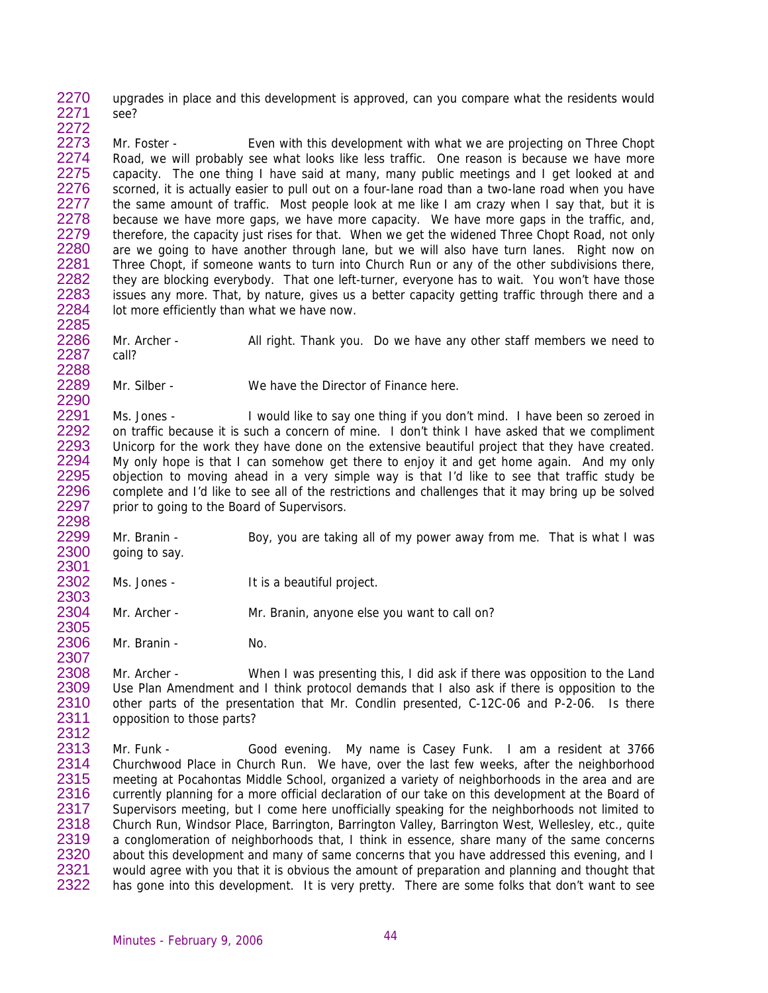2270 2271 2272 upgrades in place and this development is approved, can you compare what the residents would see?

2273 2274 2275 2276 2277 2278 2279 2280 2281 2282 2283 2284 2285 Mr. Foster - Even with this development with what we are projecting on Three Chopt Road, we will probably see what looks like less traffic. One reason is because we have more capacity. The one thing I have said at many, many public meetings and I get looked at and scorned, it is actually easier to pull out on a four-lane road than a two-lane road when you have the same amount of traffic. Most people look at me like I am crazy when I say that, but it is because we have more gaps, we have more capacity. We have more gaps in the traffic, and, therefore, the capacity just rises for that. When we get the widened Three Chopt Road, not only are we going to have another through lane, but we will also have turn lanes. Right now on Three Chopt, if someone wants to turn into Church Run or any of the other subdivisions there, they are blocking everybody. That one left-turner, everyone has to wait. You won't have those issues any more. That, by nature, gives us a better capacity getting traffic through there and a lot more efficiently than what we have now.

2286 2287 2288 Mr. Archer - All right. Thank you. Do we have any other staff members we need to call?

Mr. Silber - We have the Director of Finance here.

2291 2292 2293 2294 2295 2296 2297 2298 Ms. Jones - I would like to say one thing if you don't mind. I have been so zeroed in on traffic because it is such a concern of mine. I don't think I have asked that we compliment Unicorp for the work they have done on the extensive beautiful project that they have created. My only hope is that I can somehow get there to enjoy it and get home again. And my only objection to moving ahead in a very simple way is that I'd like to see that traffic study be complete and I'd like to see all of the restrictions and challenges that it may bring up be solved prior to going to the Board of Supervisors.

Mr. Branin - Boy, you are taking all of my power away from me. That is what I was going to say.

Ms. Jones - It is a beautiful project.

Mr. Archer - Mr. Branin, anyone else you want to call on?

Mr. Branin - No.

2289 2290

2308 2309 2310 2311 2312 Mr. Archer - When I was presenting this, I did ask if there was opposition to the Land Use Plan Amendment and I think protocol demands that I also ask if there is opposition to the other parts of the presentation that Mr. Condlin presented, C-12C-06 and P-2-06. Is there opposition to those parts?

2313 2314 2315 2316 2317 2318 2319 2320 2321 2322 Mr. Funk - Good evening. My name is Casey Funk. I am a resident at 3766 Churchwood Place in Church Run. We have, over the last few weeks, after the neighborhood meeting at Pocahontas Middle School, organized a variety of neighborhoods in the area and are currently planning for a more official declaration of our take on this development at the Board of Supervisors meeting, but I come here unofficially speaking for the neighborhoods not limited to Church Run, Windsor Place, Barrington, Barrington Valley, Barrington West, Wellesley, etc., quite a conglomeration of neighborhoods that, I think in essence, share many of the same concerns about this development and many of same concerns that you have addressed this evening, and I would agree with you that it is obvious the amount of preparation and planning and thought that has gone into this development. It is very pretty. There are some folks that don't want to see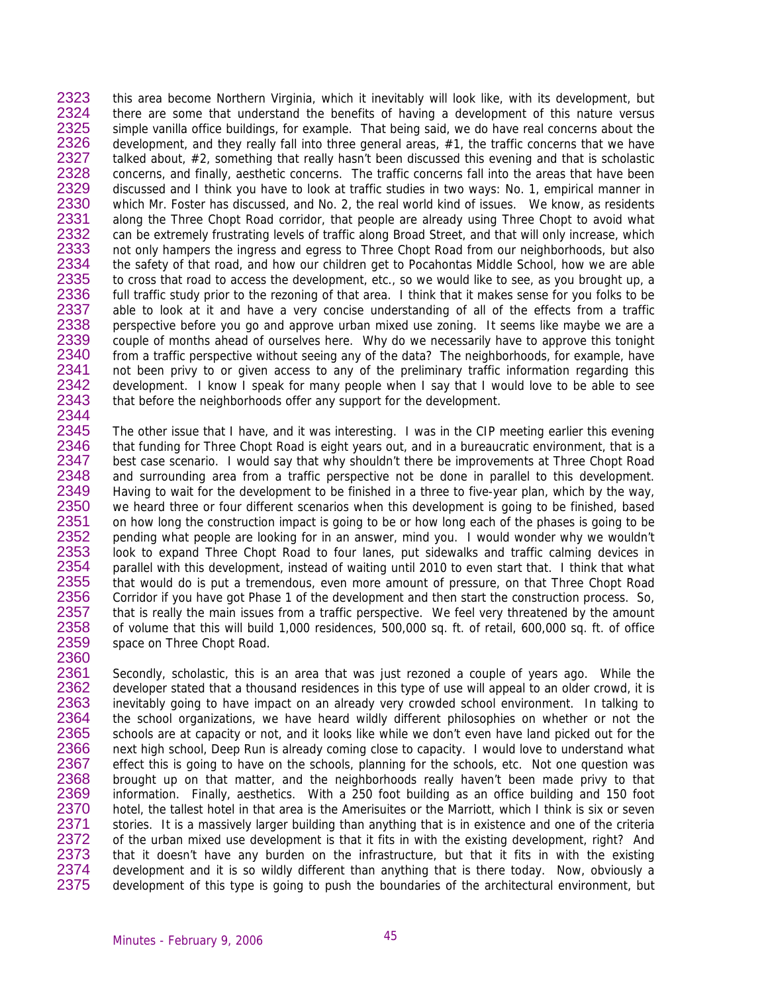2323 2324 2325 2326 2327 2328 2329 2330 2331 2332 2333 2334 2335 2336 2337 2338 2339 2340 2341 2342 2343 2344 this area become Northern Virginia, which it inevitably will look like, with its development, but there are some that understand the benefits of having a development of this nature versus simple vanilla office buildings, for example. That being said, we do have real concerns about the development, and they really fall into three general areas, #1, the traffic concerns that we have talked about, #2, something that really hasn't been discussed this evening and that is scholastic concerns, and finally, aesthetic concerns. The traffic concerns fall into the areas that have been discussed and I think you have to look at traffic studies in two ways: No. 1, empirical manner in which Mr. Foster has discussed, and No. 2, the real world kind of issues. We know, as residents along the Three Chopt Road corridor, that people are already using Three Chopt to avoid what can be extremely frustrating levels of traffic along Broad Street, and that will only increase, which not only hampers the ingress and egress to Three Chopt Road from our neighborhoods, but also the safety of that road, and how our children get to Pocahontas Middle School, how we are able to cross that road to access the development, etc., so we would like to see, as you brought up, a full traffic study prior to the rezoning of that area. I think that it makes sense for you folks to be able to look at it and have a very concise understanding of all of the effects from a traffic perspective before you go and approve urban mixed use zoning. It seems like maybe we are a couple of months ahead of ourselves here. Why do we necessarily have to approve this tonight from a traffic perspective without seeing any of the data? The neighborhoods, for example, have not been privy to or given access to any of the preliminary traffic information regarding this development. I know I speak for many people when I say that I would love to be able to see that before the neighborhoods offer any support for the development.

2345 2346 2347 2348 2349 2350 2351 2352 2353 2354 2355 2356 2357 2358 2359 2360 The other issue that I have, and it was interesting. I was in the CIP meeting earlier this evening that funding for Three Chopt Road is eight years out, and in a bureaucratic environment, that is a best case scenario. I would say that why shouldn't there be improvements at Three Chopt Road and surrounding area from a traffic perspective not be done in parallel to this development. Having to wait for the development to be finished in a three to five-year plan, which by the way, we heard three or four different scenarios when this development is going to be finished, based on how long the construction impact is going to be or how long each of the phases is going to be pending what people are looking for in an answer, mind you. I would wonder why we wouldn't look to expand Three Chopt Road to four lanes, put sidewalks and traffic calming devices in parallel with this development, instead of waiting until 2010 to even start that. I think that what that would do is put a tremendous, even more amount of pressure, on that Three Chopt Road Corridor if you have got Phase 1 of the development and then start the construction process. So, that is really the main issues from a traffic perspective. We feel very threatened by the amount of volume that this will build 1,000 residences, 500,000 sq. ft. of retail, 600,000 sq. ft. of office space on Three Chopt Road.

2361 2362 2363 2364 2365 2366 2367 2368 2369 2370 2371 2372 2373 2374 2375 Secondly, scholastic, this is an area that was just rezoned a couple of years ago. While the developer stated that a thousand residences in this type of use will appeal to an older crowd, it is inevitably going to have impact on an already very crowded school environment. In talking to the school organizations, we have heard wildly different philosophies on whether or not the schools are at capacity or not, and it looks like while we don't even have land picked out for the next high school, Deep Run is already coming close to capacity. I would love to understand what effect this is going to have on the schools, planning for the schools, etc. Not one question was brought up on that matter, and the neighborhoods really haven't been made privy to that information. Finally, aesthetics. With a 250 foot building as an office building and 150 foot hotel, the tallest hotel in that area is the Amerisuites or the Marriott, which I think is six or seven stories. It is a massively larger building than anything that is in existence and one of the criteria of the urban mixed use development is that it fits in with the existing development, right? And that it doesn't have any burden on the infrastructure, but that it fits in with the existing development and it is so wildly different than anything that is there today. Now, obviously a development of this type is going to push the boundaries of the architectural environment, but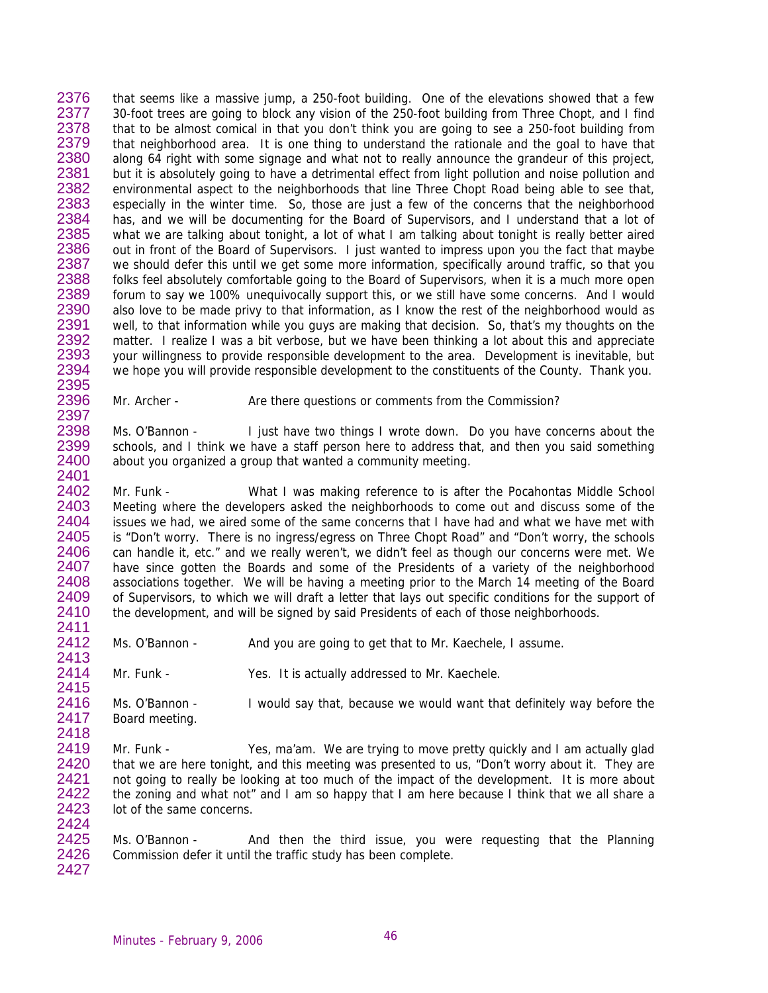2376 2377 2378 2379 2380 2381 2382 2383 2384 2385 2386 2387 2388 2389 2390 2391 2392 2393 2394 2395 that seems like a massive jump, a 250-foot building. One of the elevations showed that a few 30-foot trees are going to block any vision of the 250-foot building from Three Chopt, and I find that to be almost comical in that you don't think you are going to see a 250-foot building from that neighborhood area. It is one thing to understand the rationale and the goal to have that along 64 right with some signage and what not to really announce the grandeur of this project, but it is absolutely going to have a detrimental effect from light pollution and noise pollution and environmental aspect to the neighborhoods that line Three Chopt Road being able to see that, especially in the winter time. So, those are just a few of the concerns that the neighborhood has, and we will be documenting for the Board of Supervisors, and I understand that a lot of what we are talking about tonight, a lot of what I am talking about tonight is really better aired out in front of the Board of Supervisors. I just wanted to impress upon you the fact that maybe we should defer this until we get some more information, specifically around traffic, so that you folks feel absolutely comfortable going to the Board of Supervisors, when it is a much more open forum to say we 100% unequivocally support this, or we still have some concerns. And I would also love to be made privy to that information, as I know the rest of the neighborhood would as well, to that information while you guys are making that decision. So, that's my thoughts on the matter. I realize I was a bit verbose, but we have been thinking a lot about this and appreciate your willingness to provide responsible development to the area. Development is inevitable, but we hope you will provide responsible development to the constituents of the County. Thank you.

2396 2397 Mr. Archer - Are there questions or comments from the Commission?

2398 2399 2400 2401 Ms. O'Bannon - I just have two things I wrote down. Do you have concerns about the schools, and I think we have a staff person here to address that, and then you said something about you organized a group that wanted a community meeting.

2402 2403 2404 2405 2406 2407 2408 2409 2410 2411 Mr. Funk - What I was making reference to is after the Pocahontas Middle School Meeting where the developers asked the neighborhoods to come out and discuss some of the issues we had, we aired some of the same concerns that I have had and what we have met with is "Don't worry. There is no ingress/egress on Three Chopt Road" and "Don't worry, the schools can handle it, etc." and we really weren't, we didn't feel as though our concerns were met. We have since gotten the Boards and some of the Presidents of a variety of the neighborhood associations together. We will be having a meeting prior to the March 14 meeting of the Board of Supervisors, to which we will draft a letter that lays out specific conditions for the support of the development, and will be signed by said Presidents of each of those neighborhoods.

2412 Ms. O'Bannon - And you are going to get that to Mr. Kaechele, I assume.

2414 Mr. Funk - Yes. It is actually addressed to Mr. Kaechele.

2416 2417 2418 Ms. O'Bannon - I would say that, because we would want that definitely way before the Board meeting.

2419 2420 2421 2422 2423 2424 Mr. Funk - Yes, ma'am. We are trying to move pretty quickly and I am actually glad that we are here tonight, and this meeting was presented to us, "Don't worry about it. They are not going to really be looking at too much of the impact of the development. It is more about the zoning and what not" and I am so happy that I am here because I think that we all share a lot of the same concerns.

2425 2426 2427 Ms. O'Bannon - And then the third issue, you were requesting that the Planning Commission defer it until the traffic study has been complete.

2413

2415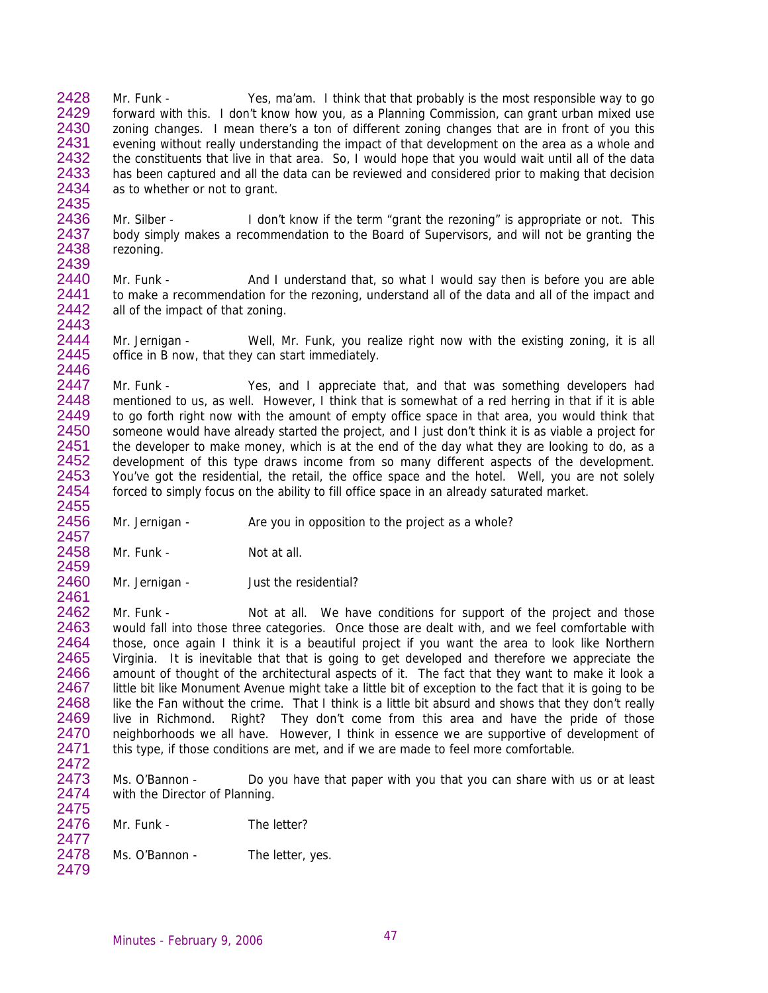2428 2429 2430 2431 2432 2433 2434 Mr. Funk - Yes, ma'am. I think that that probably is the most responsible way to go forward with this. I don't know how you, as a Planning Commission, can grant urban mixed use zoning changes. I mean there's a ton of different zoning changes that are in front of you this evening without really understanding the impact of that development on the area as a whole and the constituents that live in that area. So, I would hope that you would wait until all of the data has been captured and all the data can be reviewed and considered prior to making that decision as to whether or not to grant.

2436 2437 2438 2439 Mr. Silber - I don't know if the term "grant the rezoning" is appropriate or not. This body simply makes a recommendation to the Board of Supervisors, and will not be granting the rezoning.

2440 2441 2442 2443 Mr. Funk - And I understand that, so what I would say then is before you are able to make a recommendation for the rezoning, understand all of the data and all of the impact and all of the impact of that zoning.

2444 2445 2446 Mr. Jernigan - Well, Mr. Funk, you realize right now with the existing zoning, it is all office in B now, that they can start immediately.

2447 2448 2449 2450 2451 2452 2453 2454 2455 Mr. Funk - Yes, and I appreciate that, and that was something developers had mentioned to us, as well. However, I think that is somewhat of a red herring in that if it is able to go forth right now with the amount of empty office space in that area, you would think that someone would have already started the project, and I just don't think it is as viable a project for the developer to make money, which is at the end of the day what they are looking to do, as a development of this type draws income from so many different aspects of the development. You've got the residential, the retail, the office space and the hotel. Well, you are not solely forced to simply focus on the ability to fill office space in an already saturated market.

2456 Mr. Jernigan - Are you in opposition to the project as a whole?

2458 2459 Mr. Funk - Not at all.

2435

2457

2461

2472

2477

2460 Mr. Jernigan - Just the residential?

2462 2463 2464 2465 2466 2467 2468 2469 2470 2471 Mr. Funk - Not at all. We have conditions for support of the project and those would fall into those three categories. Once those are dealt with, and we feel comfortable with those, once again I think it is a beautiful project if you want the area to look like Northern Virginia. It is inevitable that that is going to get developed and therefore we appreciate the amount of thought of the architectural aspects of it. The fact that they want to make it look a little bit like Monument Avenue might take a little bit of exception to the fact that it is going to be like the Fan without the crime. That I think is a little bit absurd and shows that they don't really live in Richmond. Right? They don't come from this area and have the pride of those neighborhoods we all have. However, I think in essence we are supportive of development of this type, if those conditions are met, and if we are made to feel more comfortable.

2473 2474 2475 Ms. O'Bannon - Do you have that paper with you that you can share with us or at least with the Director of Planning.

2476 Mr. Funk - The letter?

2478 2479 Ms. O'Bannon - The letter, yes.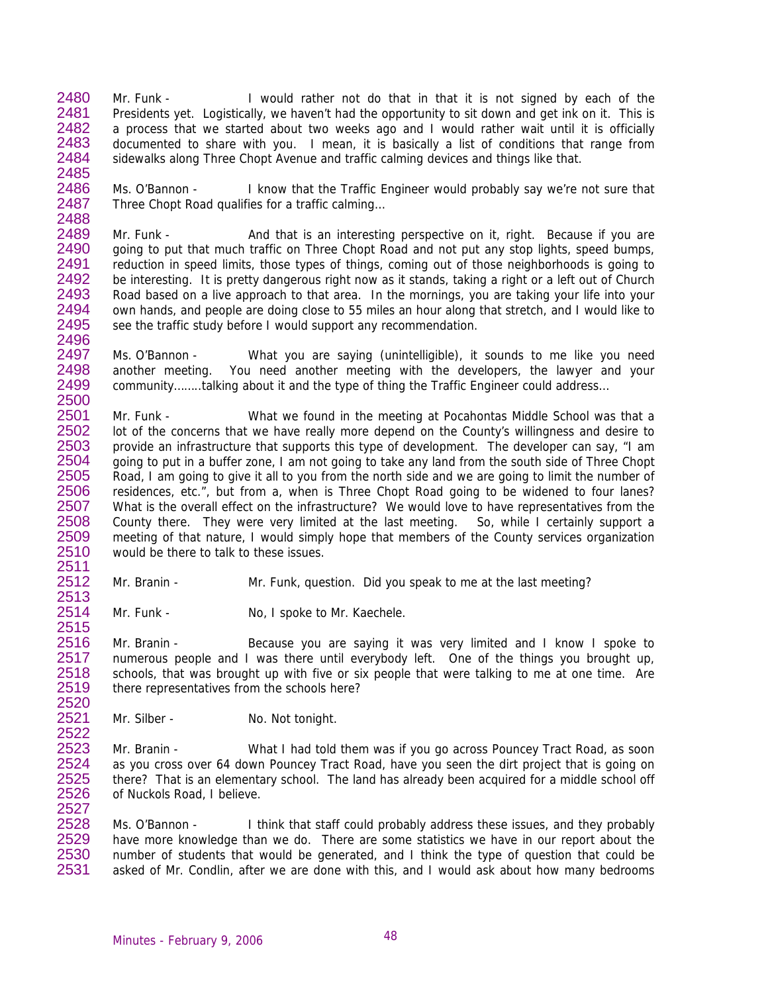2480 2481 2482 2483 2484 2485 Mr. Funk - I would rather not do that in that it is not signed by each of the Presidents yet. Logistically, we haven't had the opportunity to sit down and get ink on it. This is a process that we started about two weeks ago and I would rather wait until it is officially documented to share with you. I mean, it is basically a list of conditions that range from sidewalks along Three Chopt Avenue and traffic calming devices and things like that.

2486 2487 2488 Ms. O'Bannon - I know that the Traffic Engineer would probably say we're not sure that Three Chopt Road qualifies for a traffic calming…

2489 2490 2491 2492 2493 2494 2495 2496 Mr. Funk - And that is an interesting perspective on it, right. Because if you are going to put that much traffic on Three Chopt Road and not put any stop lights, speed bumps, reduction in speed limits, those types of things, coming out of those neighborhoods is going to be interesting. It is pretty dangerous right now as it stands, taking a right or a left out of Church Road based on a live approach to that area. In the mornings, you are taking your life into your own hands, and people are doing close to 55 miles an hour along that stretch, and I would like to see the traffic study before I would support any recommendation.

2497 2498 2499 2500 Ms. O'Bannon - What you are saying (unintelligible), it sounds to me like you need another meeting. You need another meeting with the developers, the lawyer and your community……..talking about it and the type of thing the Traffic Engineer could address…

2501 2502 2503 2504 2505 2506 2507 2508 2509 2510 Mr. Funk - What we found in the meeting at Pocahontas Middle School was that a lot of the concerns that we have really more depend on the County's willingness and desire to provide an infrastructure that supports this type of development. The developer can say, "I am going to put in a buffer zone, I am not going to take any land from the south side of Three Chopt Road, I am going to give it all to you from the north side and we are going to limit the number of residences, etc.", but from a, when is Three Chopt Road going to be widened to four lanes? What is the overall effect on the infrastructure? We would love to have representatives from the County there. They were very limited at the last meeting. So, while I certainly support a meeting of that nature, I would simply hope that members of the County services organization would be there to talk to these issues.

Mr. Branin - Mr. Funk, question. Did you speak to me at the last meeting?

2514 2515 Mr. Funk - No, I spoke to Mr. Kaechele.

2516 2517 2518 2519 2520 Mr. Branin - Because you are saying it was very limited and I know I spoke to numerous people and I was there until everybody left. One of the things you brought up, schools, that was brought up with five or six people that were talking to me at one time. Are there representatives from the schools here?

2521 2522 Mr. Silber - No. Not tonight.

2511 2512 2513

2523 2524 2525 2526 2527 Mr. Branin - What I had told them was if you go across Pouncey Tract Road, as soon as you cross over 64 down Pouncey Tract Road, have you seen the dirt project that is going on there? That is an elementary school. The land has already been acquired for a middle school off of Nuckols Road, I believe.

2528 2529 2530 2531 Ms. O'Bannon - I think that staff could probably address these issues, and they probably have more knowledge than we do. There are some statistics we have in our report about the number of students that would be generated, and I think the type of question that could be asked of Mr. Condlin, after we are done with this, and I would ask about how many bedrooms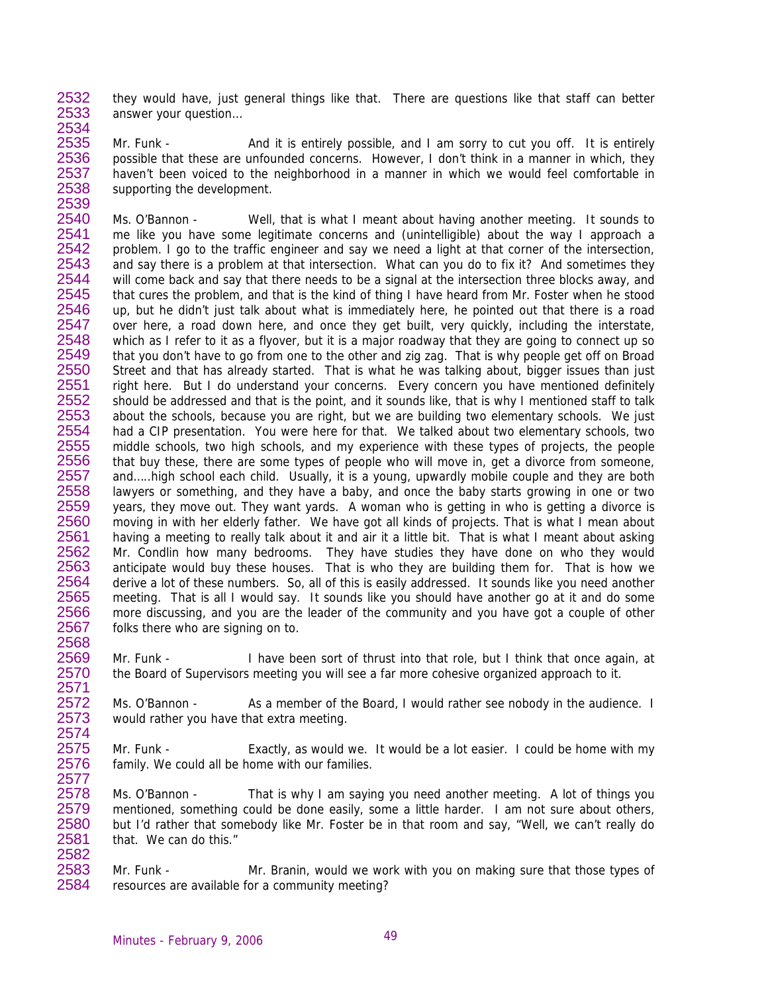2532 2533 2534 they would have, just general things like that. There are questions like that staff can better answer your question…

2535 2536 2537 2538 Mr. Funk - And it is entirely possible, and I am sorry to cut you off. It is entirely possible that these are unfounded concerns. However, I don't think in a manner in which, they haven't been voiced to the neighborhood in a manner in which we would feel comfortable in supporting the development.

2540 2541 2542 2543 2544 2545 2546 2547 2548 2549 2550 2551 2552 2553 2554 2555 2556 2557 2558 2559 2560 2561 2562 2563 2564 2565 2566 2567 Ms. O'Bannon - Well, that is what I meant about having another meeting. It sounds to me like you have some legitimate concerns and (unintelligible) about the way I approach a problem. I go to the traffic engineer and say we need a light at that corner of the intersection, and say there is a problem at that intersection. What can you do to fix it? And sometimes they will come back and say that there needs to be a signal at the intersection three blocks away, and that cures the problem, and that is the kind of thing I have heard from Mr. Foster when he stood up, but he didn't just talk about what is immediately here, he pointed out that there is a road over here, a road down here, and once they get built, very quickly, including the interstate, which as I refer to it as a flyover, but it is a major roadway that they are going to connect up so that you don't have to go from one to the other and zig zag. That is why people get off on Broad Street and that has already started. That is what he was talking about, bigger issues than just right here. But I do understand your concerns. Every concern you have mentioned definitely should be addressed and that is the point, and it sounds like, that is why I mentioned staff to talk about the schools, because you are right, but we are building two elementary schools. We just had a CIP presentation. You were here for that. We talked about two elementary schools, two middle schools, two high schools, and my experience with these types of projects, the people that buy these, there are some types of people who will move in, get a divorce from someone, and…..high school each child. Usually, it is a young, upwardly mobile couple and they are both lawyers or something, and they have a baby, and once the baby starts growing in one or two years, they move out. They want yards. A woman who is getting in who is getting a divorce is moving in with her elderly father. We have got all kinds of projects. That is what I mean about having a meeting to really talk about it and air it a little bit. That is what I meant about asking Mr. Condlin how many bedrooms. They have studies they have done on who they would anticipate would buy these houses. That is who they are building them for. That is how we derive a lot of these numbers. So, all of this is easily addressed. It sounds like you need another meeting. That is all I would say. It sounds like you should have another go at it and do some more discussing, and you are the leader of the community and you have got a couple of other folks there who are signing on to.

Mr. Funk - I have been sort of thrust into that role, but I think that once again, at the Board of Supervisors meeting you will see a far more cohesive organized approach to it.

2572 2573 2574 Ms. O'Bannon - As a member of the Board, I would rather see nobody in the audience. I would rather you have that extra meeting.

2575 2576 2577 Mr. Funk - Exactly, as would we. It would be a lot easier. I could be home with my family. We could all be home with our families.

2578 2579 2580 2581 2582 Ms. O'Bannon - That is why I am saying you need another meeting. A lot of things you mentioned, something could be done easily, some a little harder. I am not sure about others, but I'd rather that somebody like Mr. Foster be in that room and say, "Well, we can't really do that. We can do this."

2583 2584 Mr. Funk - Mr. Branin, would we work with you on making sure that those types of resources are available for a community meeting?

2539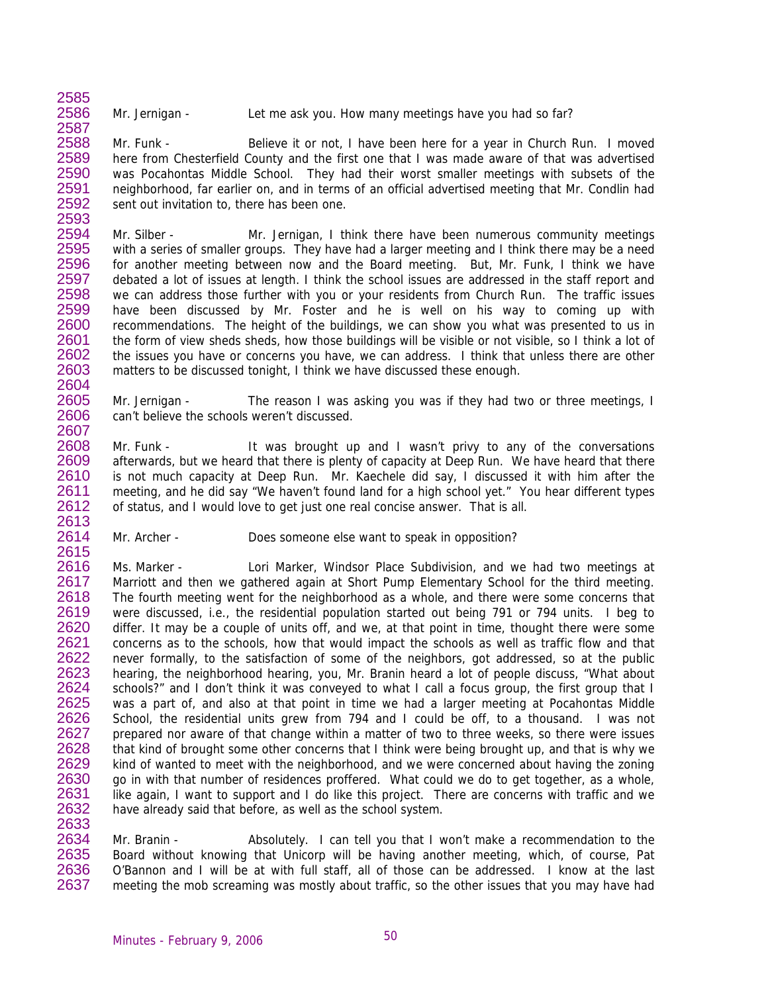2586 Mr. Jernigan - Let me ask you. How many meetings have you had so far?

2585

2587

2614 2615

2588 2589 2590 2591 2592 2593 Mr. Funk - Believe it or not, I have been here for a year in Church Run. I moved here from Chesterfield County and the first one that I was made aware of that was advertised was Pocahontas Middle School. They had their worst smaller meetings with subsets of the neighborhood, far earlier on, and in terms of an official advertised meeting that Mr. Condlin had sent out invitation to, there has been one.

2594 2595 2596 2597 2598 2599 2600 2601 2602 2603 2604 Mr. Silber - Mr. Jernigan, I think there have been numerous community meetings with a series of smaller groups. They have had a larger meeting and I think there may be a need for another meeting between now and the Board meeting. But, Mr. Funk, I think we have debated a lot of issues at length. I think the school issues are addressed in the staff report and we can address those further with you or your residents from Church Run. The traffic issues have been discussed by Mr. Foster and he is well on his way to coming up with recommendations. The height of the buildings, we can show you what was presented to us in the form of view sheds sheds, how those buildings will be visible or not visible, so I think a lot of the issues you have or concerns you have, we can address. I think that unless there are other matters to be discussed tonight, I think we have discussed these enough.

2605 2606 2607 Mr. Jernigan - The reason I was asking you was if they had two or three meetings, I can't believe the schools weren't discussed.

2608 2609 2610 2611 2612 2613 Mr. Funk - It was brought up and I wasn't privy to any of the conversations afterwards, but we heard that there is plenty of capacity at Deep Run. We have heard that there is not much capacity at Deep Run. Mr. Kaechele did say, I discussed it with him after the meeting, and he did say "We haven't found land for a high school yet." You hear different types of status, and I would love to get just one real concise answer. That is all.

Mr. Archer - Does someone else want to speak in opposition?

2616 2617 2618 2619 2620 2621 2622 2623 2624 2625 2626 2627 2628 2629 2630 2631 2632 2633 Ms. Marker - Lori Marker, Windsor Place Subdivision, and we had two meetings at Marriott and then we gathered again at Short Pump Elementary School for the third meeting. The fourth meeting went for the neighborhood as a whole, and there were some concerns that were discussed, i.e., the residential population started out being 791 or 794 units. I beg to differ. It may be a couple of units off, and we, at that point in time, thought there were some concerns as to the schools, how that would impact the schools as well as traffic flow and that never formally, to the satisfaction of some of the neighbors, got addressed, so at the public hearing, the neighborhood hearing, you, Mr. Branin heard a lot of people discuss, "What about schools?" and I don't think it was conveyed to what I call a focus group, the first group that I was a part of, and also at that point in time we had a larger meeting at Pocahontas Middle School, the residential units grew from 794 and I could be off, to a thousand. I was not prepared nor aware of that change within a matter of two to three weeks, so there were issues that kind of brought some other concerns that I think were being brought up, and that is why we kind of wanted to meet with the neighborhood, and we were concerned about having the zoning go in with that number of residences proffered. What could we do to get together, as a whole, like again, I want to support and I do like this project. There are concerns with traffic and we have already said that before, as well as the school system.

2634 2635 2636 2637 Mr. Branin - Absolutely. I can tell you that I won't make a recommendation to the Board without knowing that Unicorp will be having another meeting, which, of course, Pat O'Bannon and I will be at with full staff, all of those can be addressed. I know at the last meeting the mob screaming was mostly about traffic, so the other issues that you may have had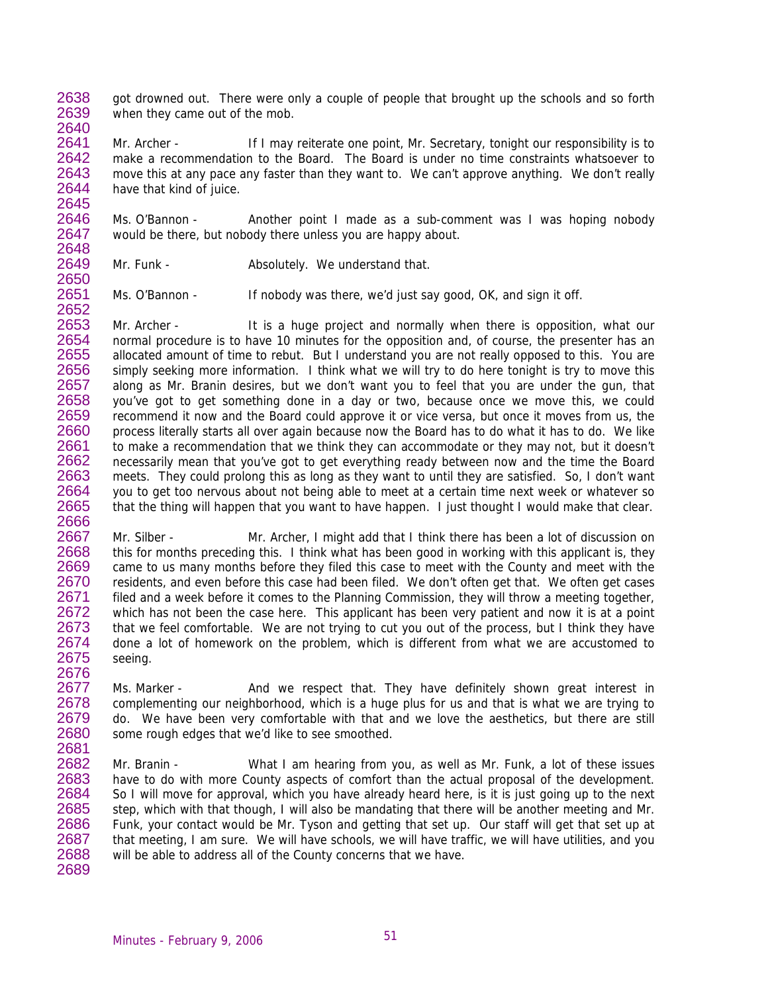2638 2639 2640 got drowned out. There were only a couple of people that brought up the schools and so forth when they came out of the mob.

2641 2642 2643 2644 2645 Mr. Archer - If I may reiterate one point, Mr. Secretary, tonight our responsibility is to make a recommendation to the Board. The Board is under no time constraints whatsoever to move this at any pace any faster than they want to. We can't approve anything. We don't really have that kind of juice.

2646 2647 Ms. O'Bannon - Another point I made as a sub-comment was I was hoping nobody would be there, but nobody there unless you are happy about.

2648 2649 2650

2676

Mr. Funk - **Absolutely.** We understand that.

2651 2652 Ms. O'Bannon - If nobody was there, we'd just say good, OK, and sign it off.

2653 2654 2655 2656 2657 2658 2659 2660 2661 2662 2663 2664 2665 2666 Mr. Archer - It is a huge project and normally when there is opposition, what our normal procedure is to have 10 minutes for the opposition and, of course, the presenter has an allocated amount of time to rebut. But I understand you are not really opposed to this. You are simply seeking more information. I think what we will try to do here tonight is try to move this along as Mr. Branin desires, but we don't want you to feel that you are under the gun, that you've got to get something done in a day or two, because once we move this, we could recommend it now and the Board could approve it or vice versa, but once it moves from us, the process literally starts all over again because now the Board has to do what it has to do. We like to make a recommendation that we think they can accommodate or they may not, but it doesn't necessarily mean that you've got to get everything ready between now and the time the Board meets. They could prolong this as long as they want to until they are satisfied. So, I don't want you to get too nervous about not being able to meet at a certain time next week or whatever so that the thing will happen that you want to have happen. I just thought I would make that clear.

2667 2668 2669 2670 2671 2672 2673 2674 2675 Mr. Silber - Mr. Archer, I might add that I think there has been a lot of discussion on this for months preceding this. I think what has been good in working with this applicant is, they came to us many months before they filed this case to meet with the County and meet with the residents, and even before this case had been filed. We don't often get that. We often get cases filed and a week before it comes to the Planning Commission, they will throw a meeting together, which has not been the case here. This applicant has been very patient and now it is at a point that we feel comfortable. We are not trying to cut you out of the process, but I think they have done a lot of homework on the problem, which is different from what we are accustomed to seeing.

2677 2678 2679 2680 2681 Ms. Marker - And we respect that. They have definitely shown great interest in complementing our neighborhood, which is a huge plus for us and that is what we are trying to do. We have been very comfortable with that and we love the aesthetics, but there are still some rough edges that we'd like to see smoothed.

2682 2683 2684 2685 2686 2687 2688 2689 Mr. Branin - What I am hearing from you, as well as Mr. Funk, a lot of these issues have to do with more County aspects of comfort than the actual proposal of the development. So I will move for approval, which you have already heard here, is it is just going up to the next step, which with that though, I will also be mandating that there will be another meeting and Mr. Funk, your contact would be Mr. Tyson and getting that set up. Our staff will get that set up at that meeting, I am sure. We will have schools, we will have traffic, we will have utilities, and you will be able to address all of the County concerns that we have.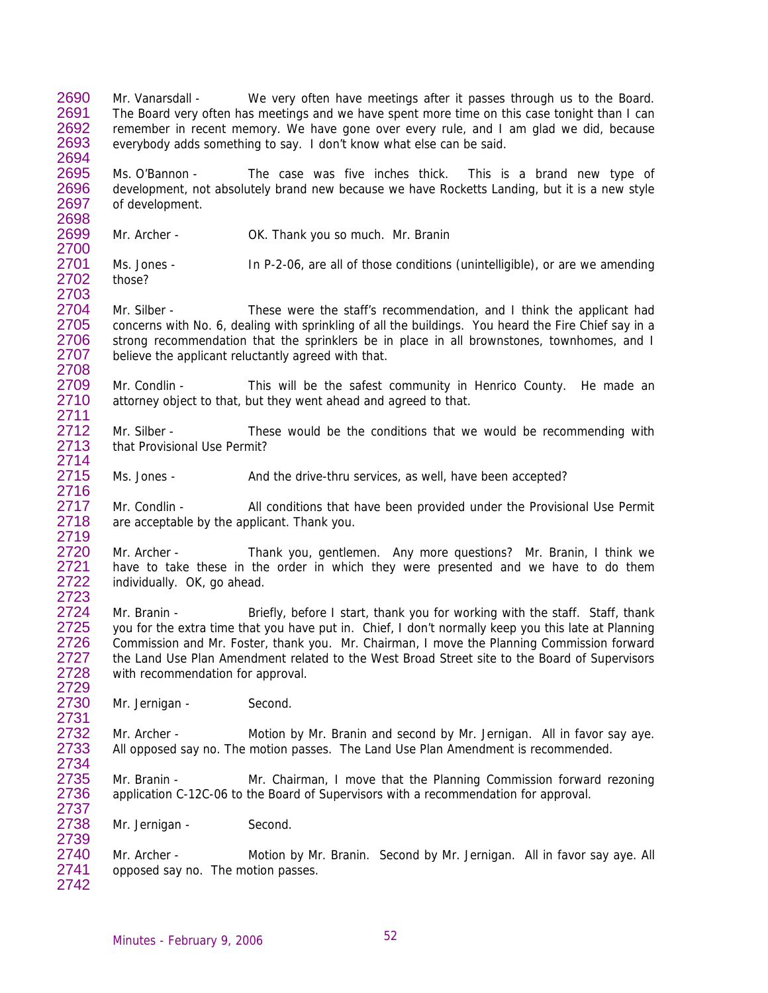2690 2691 2692 2693 2694 Mr. Vanarsdall - We very often have meetings after it passes through us to the Board. The Board very often has meetings and we have spent more time on this case tonight than I can remember in recent memory. We have gone over every rule, and I am glad we did, because everybody adds something to say. I don't know what else can be said.

2695 2696 2697 Ms. O'Bannon - The case was five inches thick. This is a brand new type of development, not absolutely brand new because we have Rocketts Landing, but it is a new style of development.

2699 2700 Mr. Archer - **OK. Thank you so much.** Mr. Branin

2698

2714 2715 2716

2723

2729

2731

2734

2701 2702 2703 Ms. Jones - In P-2-06, are all of those conditions (unintelligible), or are we amending those?

2704 2705 2706 2707 2708 Mr. Silber - These were the staff's recommendation, and I think the applicant had concerns with No. 6, dealing with sprinkling of all the buildings. You heard the Fire Chief say in a strong recommendation that the sprinklers be in place in all brownstones, townhomes, and I believe the applicant reluctantly agreed with that.

2709 2710 2711 Mr. Condlin - This will be the safest community in Henrico County. He made an attorney object to that, but they went ahead and agreed to that.

2712 2713 Mr. Silber - These would be the conditions that we would be recommending with that Provisional Use Permit?

Ms. Jones - And the drive-thru services, as well, have been accepted?

2717 2718 2719 Mr. Condlin - All conditions that have been provided under the Provisional Use Permit are acceptable by the applicant. Thank you.

2720 2721 2722 Mr. Archer - Thank you, gentlemen. Any more questions? Mr. Branin, I think we have to take these in the order in which they were presented and we have to do them individually. OK, go ahead.

2724 2725 2726 2727 2728 Mr. Branin - Briefly, before I start, thank you for working with the staff. Staff, thank you for the extra time that you have put in. Chief, I don't normally keep you this late at Planning Commission and Mr. Foster, thank you. Mr. Chairman, I move the Planning Commission forward the Land Use Plan Amendment related to the West Broad Street site to the Board of Supervisors with recommendation for approval.

2730 Mr. Jernigan - Second.

2732 2733 Mr. Archer - Motion by Mr. Branin and second by Mr. Jernigan. All in favor say aye. All opposed say no. The motion passes. The Land Use Plan Amendment is recommended.

2735 2736 2737 Mr. Branin - Mr. Chairman, I move that the Planning Commission forward rezoning application C-12C-06 to the Board of Supervisors with a recommendation for approval.

2738 2739 Mr. Jernigan - Second.

2740 2741 2742 Mr. Archer - Motion by Mr. Branin. Second by Mr. Jernigan. All in favor say aye. All opposed say no. The motion passes.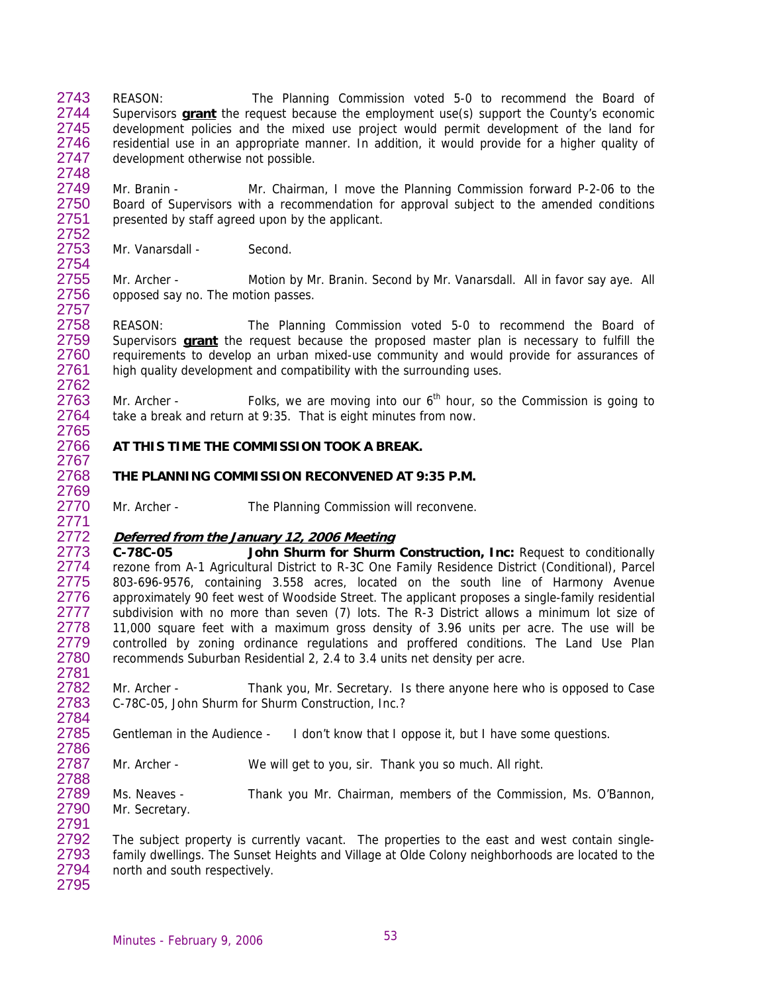REASON: The Planning Commission voted 5-0 to recommend the Board of Supervisors **grant** the request because the employment use(s) support the County's economic 2743 development policies and the mixed use project would permit development of the land for residential use in an appropriate manner. In addition, it would provide for a higher quality of development otherwise not possible. 2744 2745 2746 2747 2748

2749 2750 2751 2752 Mr. Branin - Mr. Chairman, I move the Planning Commission forward P-2-06 to the Board of Supervisors with a recommendation for approval subject to the amended conditions presented by staff agreed upon by the applicant.

2753 2754 Mr. Vanarsdall - Second.

2765

2781

2784

2786

2791

2755 2756 2757 Mr. Archer - Motion by Mr. Branin. Second by Mr. Vanarsdall. All in favor say aye. All opposed say no. The motion passes.

2758 REASON: The Planning Commission voted 5-0 to recommend the Board of Supervisors **grant** the request because the proposed master plan is necessary to fulfill the requirements to develop an urban mixed-use community and would provide for assurances of high quality development and compatibility with the surrounding uses. 2759 2760 2761 2762

2763 2764 Mr. Archer - Folks, we are moving into our  $6<sup>th</sup>$  hour, so the Commission is going to take a break and return at 9:35. That is eight minutes from now.

### 2766 **AT THIS TIME THE COMMISSION TOOK A BREAK.**

# **THE PLANNING COMMISSION RECONVENED AT 9:35 P.M.**

Mr. Archer - The Planning Commission will reconvene.

### 2772 **Deferred from the January 12, 2006 Meeting**

2773 2774 2775 2776 2777 2778 2779 2780 **C-78C-05 John Shurm for Shurm Construction, Inc:** Request to conditionally rezone from A-1 Agricultural District to R-3C One Family Residence District (Conditional), Parcel 803-696-9576, containing 3.558 acres, located on the south line of Harmony Avenue approximately 90 feet west of Woodside Street. The applicant proposes a single-family residential subdivision with no more than seven (7) lots. The R-3 District allows a minimum lot size of 11,000 square feet with a maximum gross density of 3.96 units per acre. The use will be controlled by zoning ordinance regulations and proffered conditions. The Land Use Plan recommends Suburban Residential 2, 2.4 to 3.4 units net density per acre.

2782 2783 Mr. Archer - Thank you, Mr. Secretary. Is there anyone here who is opposed to Case C-78C-05, John Shurm for Shurm Construction, Inc.?

2785 Gentleman in the Audience - I don't know that I oppose it, but I have some questions.

2787 2788 Mr. Archer - We will get to you, sir. Thank you so much. All right.

2789 2790 Ms. Neaves - Thank you Mr. Chairman, members of the Commission, Ms. O'Bannon, Mr. Secretary.

2792 2793 2794 2795 The subject property is currently vacant. The properties to the east and west contain singlefamily dwellings. The Sunset Heights and Village at Olde Colony neighborhoods are located to the north and south respectively.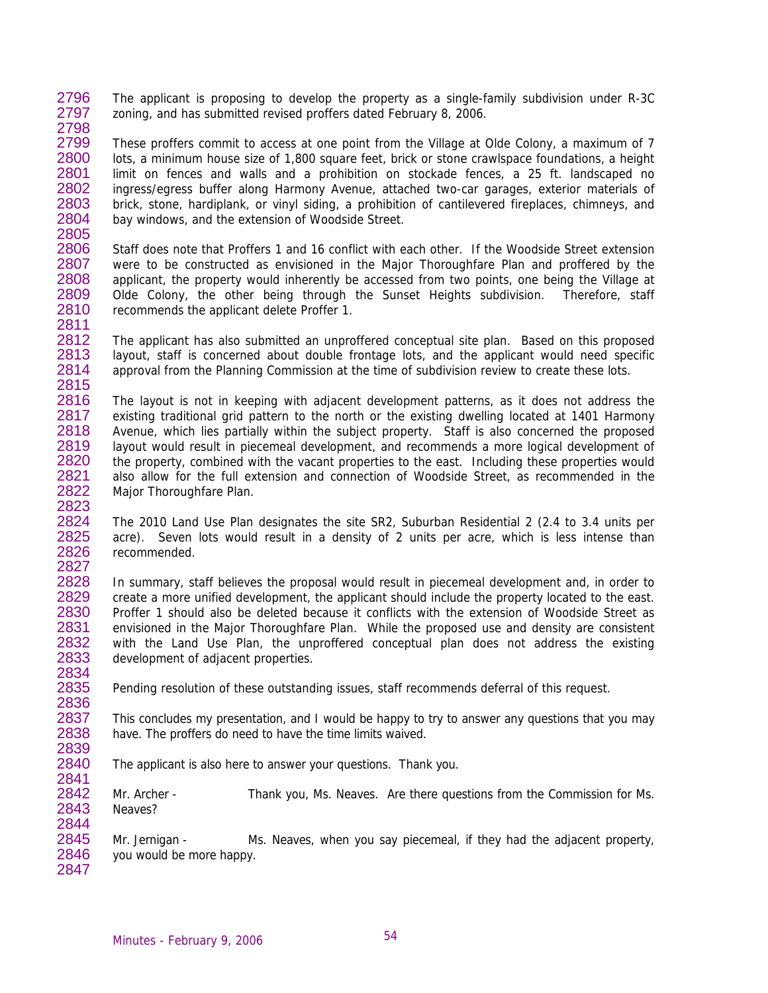2796 2797 2798 The applicant is proposing to develop the property as a single-family subdivision under R-3C zoning, and has submitted revised proffers dated February 8, 2006.

2799 2800 2801 2802 2803 2804 2805 These proffers commit to access at one point from the Village at Olde Colony, a maximum of 7 lots, a minimum house size of 1,800 square feet, brick or stone crawlspace foundations, a height limit on fences and walls and a prohibition on stockade fences, a 25 ft. landscaped no ingress/egress buffer along Harmony Avenue, attached two-car garages, exterior materials of brick, stone, hardiplank, or vinyl siding, a prohibition of cantilevered fireplaces, chimneys, and bay windows, and the extension of Woodside Street.

2806 2807 2808 2809 2810 2811 Staff does note that Proffers 1 and 16 conflict with each other. If the Woodside Street extension were to be constructed as envisioned in the Major Thoroughfare Plan and proffered by the applicant, the property would inherently be accessed from two points, one being the Village at Olde Colony, the other being through the Sunset Heights subdivision. Therefore, staff recommends the applicant delete Proffer 1.

2812 2813 2814 2815 The applicant has also submitted an unproffered conceptual site plan. Based on this proposed layout, staff is concerned about double frontage lots, and the applicant would need specific approval from the Planning Commission at the time of subdivision review to create these lots.

2816 2817 2818 2819 2820 2821 2822 2823 The layout is not in keeping with adjacent development patterns, as it does not address the existing traditional grid pattern to the north or the existing dwelling located at 1401 Harmony Avenue, which lies partially within the subject property. Staff is also concerned the proposed layout would result in piecemeal development, and recommends a more logical development of the property, combined with the vacant properties to the east. Including these properties would also allow for the full extension and connection of Woodside Street, as recommended in the Major Thoroughfare Plan.

2824 2825 2826 2827 The 2010 Land Use Plan designates the site SR2, Suburban Residential 2 (2.4 to 3.4 units per acre). Seven lots would result in a density of 2 units per acre, which is less intense than recommended.

2828 2829 2830 2831 2832 2833 In summary, staff believes the proposal would result in piecemeal development and, in order to create a more unified development, the applicant should include the property located to the east. Proffer 1 should also be deleted because it conflicts with the extension of Woodside Street as envisioned in the Major Thoroughfare Plan. While the proposed use and density are consistent with the Land Use Plan, the unproffered conceptual plan does not address the existing development of adjacent properties.

Pending resolution of these outstanding issues, staff recommends deferral of this request.

2837 2838 2839 This concludes my presentation, and I would be happy to try to answer any questions that you may have. The proffers do need to have the time limits waived.

2840 2841 The applicant is also here to answer your questions. Thank you.

2842 2843 2844 Mr. Archer - Thank you, Ms. Neaves. Are there questions from the Commission for Ms. Neaves?

2845 2846 2847 Mr. Jernigan - Ms. Neaves, when you say piecemeal, if they had the adjacent property, you would be more happy.

2834 2835 2836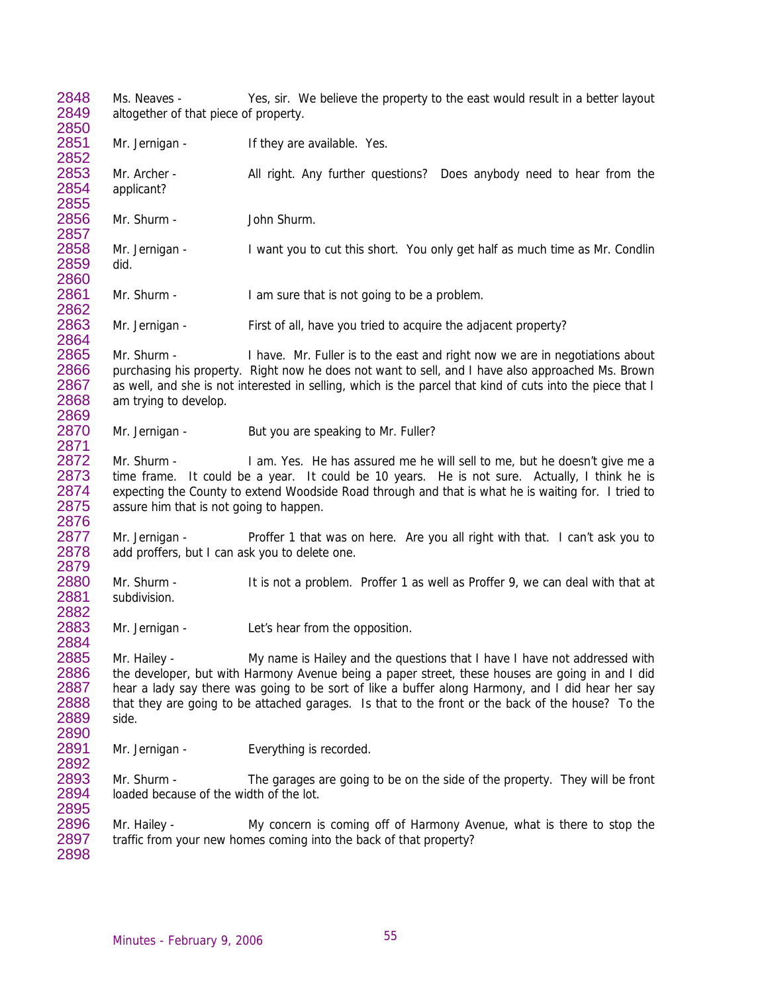2848 2849 2850 2851 2852 2853 2854 2855 2856 2857 2858 2859 2860 2861 2862 2863 2864 2865 2866 2867 2868 2869 2870 2871 2872 2873 2874 2875 2876 2877 2878 2879 2880 2881 2882 2883 2884 2885 2886 2887 2888 2889 2890 2891 2892 2893 2894 2895 2896 2897 2898 Ms. Neaves - Yes, sir. We believe the property to the east would result in a better layout altogether of that piece of property. Mr. Jernigan - If they are available. Yes. Mr. Archer - All right. Any further questions? Does anybody need to hear from the applicant? Mr. Shurm - John Shurm. Mr. Jernigan - I want you to cut this short. You only get half as much time as Mr. Condlin did. Mr. Shurm - I am sure that is not going to be a problem. Mr. Jernigan - First of all, have you tried to acquire the adjacent property? Mr. Shurm - I have. Mr. Fuller is to the east and right now we are in negotiations about purchasing his property. Right now he does not want to sell, and I have also approached Ms. Brown as well, and she is not interested in selling, which is the parcel that kind of cuts into the piece that I am trying to develop. Mr. Jernigan - But you are speaking to Mr. Fuller? Mr. Shurm - I am. Yes. He has assured me he will sell to me, but he doesn't give me a time frame. It could be a year. It could be 10 years. He is not sure. Actually, I think he is expecting the County to extend Woodside Road through and that is what he is waiting for. I tried to assure him that is not going to happen. Mr. Jernigan - Proffer 1 that was on here. Are you all right with that. I can't ask you to add proffers, but I can ask you to delete one. Mr. Shurm - It is not a problem. Proffer 1 as well as Proffer 9, we can deal with that at subdivision. Mr. Jernigan - Let's hear from the opposition. Mr. Hailey - My name is Hailey and the questions that I have I have not addressed with the developer, but with Harmony Avenue being a paper street, these houses are going in and I did hear a lady say there was going to be sort of like a buffer along Harmony, and I did hear her say that they are going to be attached garages. Is that to the front or the back of the house? To the side. Mr. Jernigan - Everything is recorded. Mr. Shurm - The garages are going to be on the side of the property. They will be front loaded because of the width of the lot. Mr. Hailey - My concern is coming off of Harmony Avenue, what is there to stop the traffic from your new homes coming into the back of that property?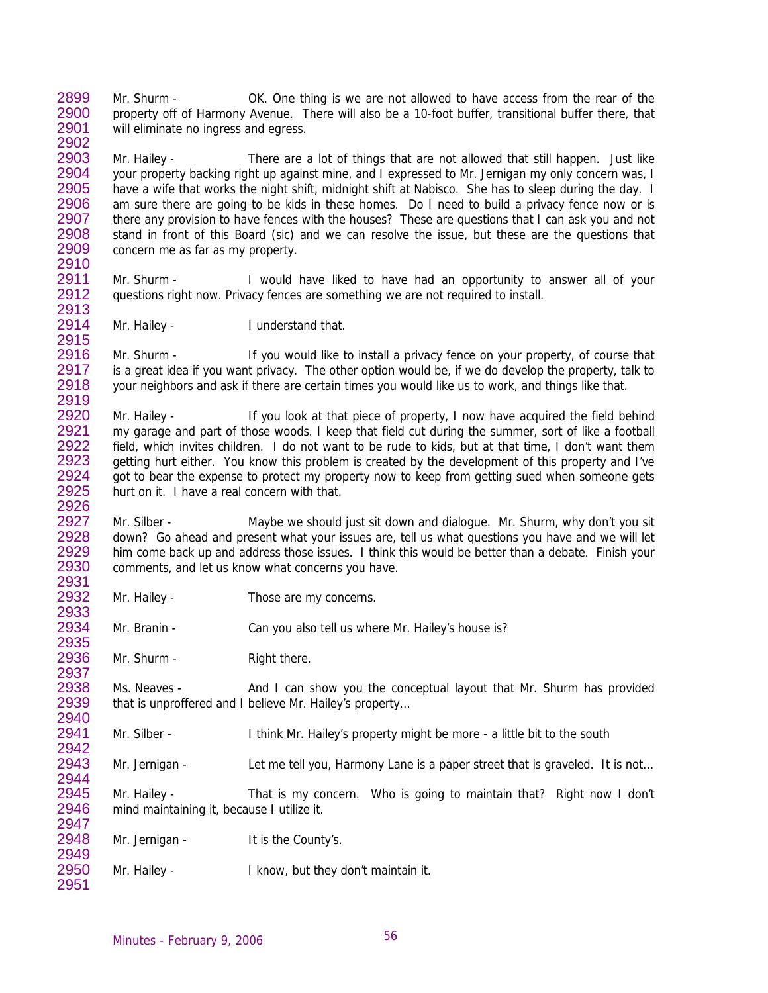2899 2900 2901 Mr. Shurm - OK. One thing is we are not allowed to have access from the rear of the property off of Harmony Avenue. There will also be a 10-foot buffer, transitional buffer there, that will eliminate no ingress and egress.

2903 2904 2905 2906 2907 2908 2909 2910 Mr. Hailey - There are a lot of things that are not allowed that still happen. Just like your property backing right up against mine, and I expressed to Mr. Jernigan my only concern was, I have a wife that works the night shift, midnight shift at Nabisco. She has to sleep during the day. I am sure there are going to be kids in these homes. Do I need to build a privacy fence now or is there any provision to have fences with the houses? These are questions that I can ask you and not stand in front of this Board (sic) and we can resolve the issue, but these are the questions that concern me as far as my property.

2911 2912 2913 Mr. Shurm - I would have liked to have had an opportunity to answer all of your questions right now. Privacy fences are something we are not required to install.

2914 2915 Mr. Hailey - I understand that.

2902

2933 2934 2935

2938 2939 2940

2942

2949

2951

2916 2917 2918 2919 Mr. Shurm - If you would like to install a privacy fence on your property, of course that is a great idea if you want privacy. The other option would be, if we do develop the property, talk to your neighbors and ask if there are certain times you would like us to work, and things like that.

2920 2921 2922 2923 2924 2925 2926 Mr. Hailey - If you look at that piece of property, I now have acquired the field behind my garage and part of those woods. I keep that field cut during the summer, sort of like a football field, which invites children. I do not want to be rude to kids, but at that time, I don't want them getting hurt either. You know this problem is created by the development of this property and I've got to bear the expense to protect my property now to keep from getting sued when someone gets hurt on it. I have a real concern with that.

2927 2928 2929 2930 2931 Mr. Silber - Maybe we should just sit down and dialogue. Mr. Shurm, why don't you sit down? Go ahead and present what your issues are, tell us what questions you have and we will let him come back up and address those issues. I think this would be better than a debate. Finish your comments, and let us know what concerns you have.

2932 Mr. Hailey - Those are my concerns.

Mr. Branin - Can you also tell us where Mr. Hailey's house is?

2936 2937 Mr. Shurm - Right there.

> Ms. Neaves - And I can show you the conceptual layout that Mr. Shurm has provided that is unproffered and I believe Mr. Hailey's property…

2941 Mr. Silber - I think Mr. Hailey's property might be more - a little bit to the south

2943 2944 Mr. Jernigan - Let me tell you, Harmony Lane is a paper street that is graveled. It is not...

2945 2946 2947 Mr. Hailey - That is my concern. Who is going to maintain that? Right now I don't mind maintaining it, because I utilize it.

2948 Mr. Jernigan - It is the County's.

2950 Mr. Hailey - I know, but they don't maintain it.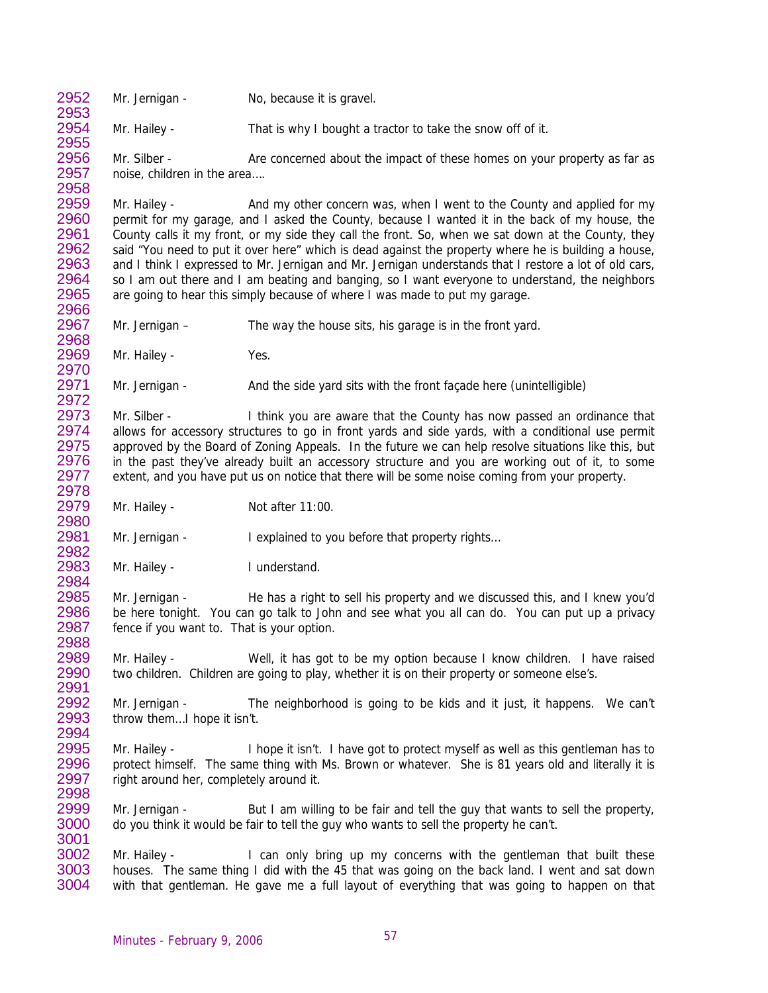2952 2953

2980 2981 2982

2984

Mr. Jernigan - No, because it is gravel.

2954 2955 Mr. Hailey - That is why I bought a tractor to take the snow off of it.

2956 2957 2958 Mr. Silber - Are concerned about the impact of these homes on your property as far as noise, children in the area….

2959 2960 2961 2962 2963 2964 2965 2966 Mr. Hailey - And my other concern was, when I went to the County and applied for my permit for my garage, and I asked the County, because I wanted it in the back of my house, the County calls it my front, or my side they call the front. So, when we sat down at the County, they said "You need to put it over here" which is dead against the property where he is building a house, and I think I expressed to Mr. Jernigan and Mr. Jernigan understands that I restore a lot of old cars, so I am out there and I am beating and banging, so I want everyone to understand, the neighbors are going to hear this simply because of where I was made to put my garage.

2967 Mr. Jernigan – The way the house sits, his garage is in the front yard.

Mr. Hailey - Yes.

Mr. Jernigan - And the side yard sits with the front façade here (unintelligible)

2973 2974 2975 2976 2977 2978 Mr. Silber - I think you are aware that the County has now passed an ordinance that allows for accessory structures to go in front yards and side yards, with a conditional use permit approved by the Board of Zoning Appeals. In the future we can help resolve situations like this, but in the past they've already built an accessory structure and you are working out of it, to some extent, and you have put us on notice that there will be some noise coming from your property.

2979 Mr. Hailey - Not after 11:00.

Mr. Jernigan - I explained to you before that property rights...

2983 Mr. Hailey - I understand.

2985 2986 2987 2988 Mr. Jernigan - He has a right to sell his property and we discussed this, and I knew you'd be here tonight. You can go talk to John and see what you all can do. You can put up a privacy fence if you want to. That is your option.

2989 2990 2991 Mr. Hailey - Well, it has got to be my option because I know children. I have raised two children. Children are going to play, whether it is on their property or someone else's.

2992 2993 2994 Mr. Jernigan - The neighborhood is going to be kids and it just, it happens. We can't throw them…I hope it isn't.

2995 2996 2997 2998 Mr. Hailey - I hope it isn't. I have got to protect myself as well as this gentleman has to protect himself. The same thing with Ms. Brown or whatever. She is 81 years old and literally it is right around her, completely around it.

2999 3000 3001 Mr. Jernigan - But I am willing to be fair and tell the guy that wants to sell the property, do you think it would be fair to tell the guy who wants to sell the property he can't.

3002 3003 3004 Mr. Hailey - I can only bring up my concerns with the gentleman that built these houses. The same thing I did with the 45 that was going on the back land. I went and sat down with that gentleman. He gave me a full layout of everything that was going to happen on that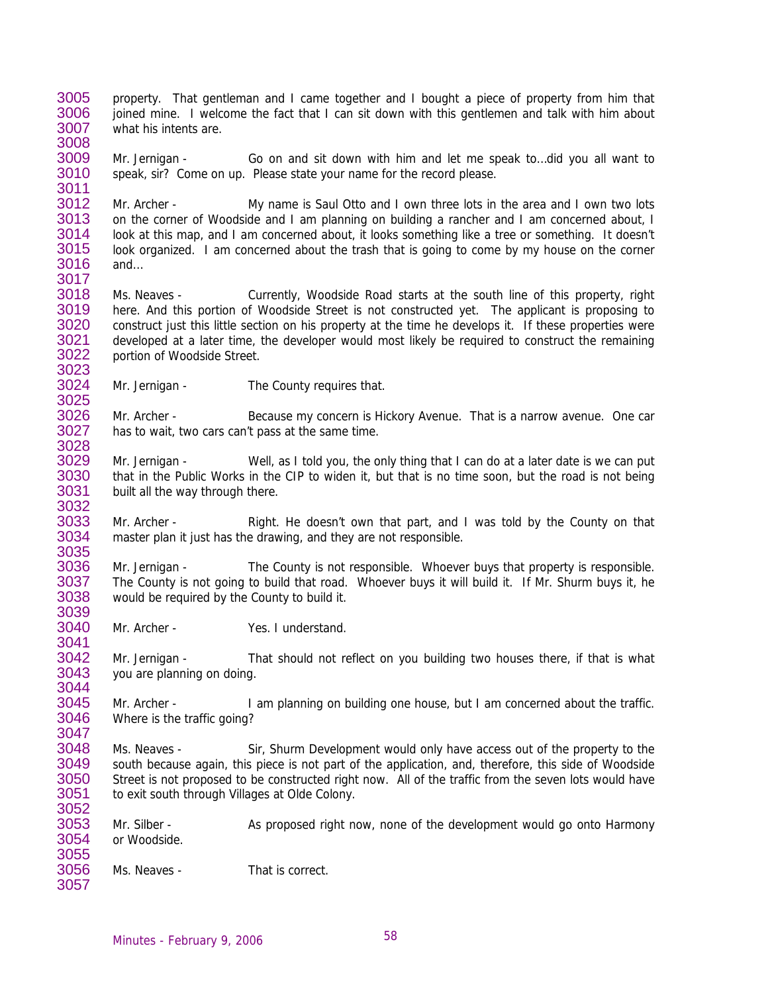3005 3006 3007 property. That gentleman and I came together and I bought a piece of property from him that joined mine. I welcome the fact that I can sit down with this gentlemen and talk with him about what his intents are.

3009 3010 3011 Mr. Jernigan - Go on and sit down with him and let me speak to…did you all want to speak, sir? Come on up. Please state your name for the record please.

3012 3013 3014 3015 3016 3017 Mr. Archer - My name is Saul Otto and I own three lots in the area and I own two lots on the corner of Woodside and I am planning on building a rancher and I am concerned about, I look at this map, and I am concerned about, it looks something like a tree or something. It doesn't look organized. I am concerned about the trash that is going to come by my house on the corner and…

3018 3019 3020 3021 3022 3023 Ms. Neaves - Currently, Woodside Road starts at the south line of this property, right here. And this portion of Woodside Street is not constructed yet. The applicant is proposing to construct just this little section on his property at the time he develops it. If these properties were developed at a later time, the developer would most likely be required to construct the remaining portion of Woodside Street.

3024 3025 Mr. Jernigan - The County requires that.

3008

3039

3041

3052

3026 3027 3028 Mr. Archer - Because my concern is Hickory Avenue. That is a narrow avenue. One car has to wait, two cars can't pass at the same time.

3029 3030 3031 3032 Mr. Jernigan - Well, as I told you, the only thing that I can do at a later date is we can put that in the Public Works in the CIP to widen it, but that is no time soon, but the road is not being built all the way through there.

3033 3034 3035 Mr. Archer - Right. He doesn't own that part, and I was told by the County on that master plan it just has the drawing, and they are not responsible.

3036 3037 3038 Mr. Jernigan - The County is not responsible. Whoever buys that property is responsible. The County is not going to build that road. Whoever buys it will build it. If Mr. Shurm buys it, he would be required by the County to build it.

3040 Mr. Archer - Yes. I understand.

3042 3043 3044 Mr. Jernigan - That should not reflect on you building two houses there, if that is what you are planning on doing.

3045 3046 3047 Mr. Archer - I am planning on building one house, but I am concerned about the traffic. Where is the traffic going?

3048 3049 3050 3051 Ms. Neaves - Sir, Shurm Development would only have access out of the property to the south because again, this piece is not part of the application, and, therefore, this side of Woodside Street is not proposed to be constructed right now. All of the traffic from the seven lots would have to exit south through Villages at Olde Colony.

3053 3054 3055 Mr. Silber - As proposed right now, none of the development would go onto Harmony or Woodside.

3056 3057 Ms. Neaves - That is correct.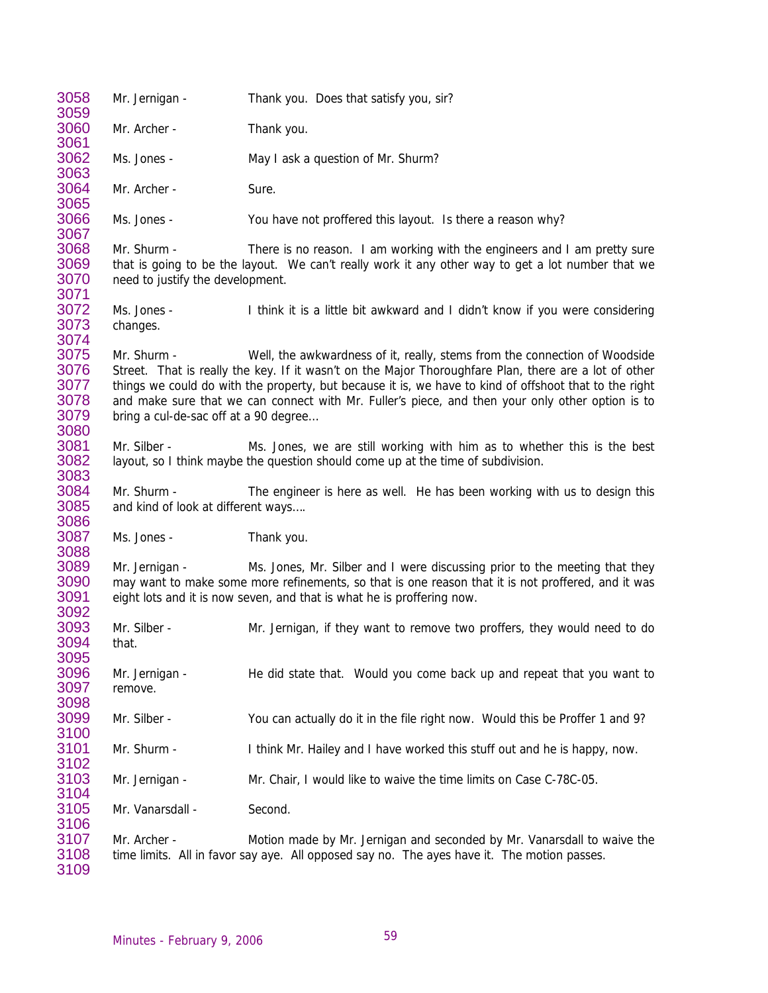| 3058<br>3059                                 | Mr. Jernigan -                                       | Thank you. Does that satisfy you, sir?                                                                                                                                                                                                                                                                                                                                                            |
|----------------------------------------------|------------------------------------------------------|---------------------------------------------------------------------------------------------------------------------------------------------------------------------------------------------------------------------------------------------------------------------------------------------------------------------------------------------------------------------------------------------------|
| 3060<br>3061                                 | Mr. Archer -                                         | Thank you.                                                                                                                                                                                                                                                                                                                                                                                        |
| 3062<br>3063                                 | Ms. Jones -                                          | May I ask a question of Mr. Shurm?                                                                                                                                                                                                                                                                                                                                                                |
| 3064<br>3065                                 | Mr. Archer -                                         | Sure.                                                                                                                                                                                                                                                                                                                                                                                             |
| 3066<br>3067                                 | Ms. Jones -                                          | You have not proffered this layout. Is there a reason why?                                                                                                                                                                                                                                                                                                                                        |
| 3068<br>3069<br>3070                         | Mr. Shurm -<br>need to justify the development.      | There is no reason. I am working with the engineers and I am pretty sure<br>that is going to be the layout. We can't really work it any other way to get a lot number that we                                                                                                                                                                                                                     |
| 3071<br>3072<br>3073<br>3074                 | Ms. Jones -<br>changes.                              | I think it is a little bit awkward and I didn't know if you were considering                                                                                                                                                                                                                                                                                                                      |
| 3075<br>3076<br>3077<br>3078<br>3079<br>3080 | Mr. Shurm -<br>bring a cul-de-sac off at a 90 degree | Well, the awkwardness of it, really, stems from the connection of Woodside<br>Street. That is really the key. If it wasn't on the Major Thoroughfare Plan, there are a lot of other<br>things we could do with the property, but because it is, we have to kind of offshoot that to the right<br>and make sure that we can connect with Mr. Fuller's piece, and then your only other option is to |
| 3081<br>3082                                 | Mr. Silber -                                         | Ms. Jones, we are still working with him as to whether this is the best<br>layout, so I think maybe the question should come up at the time of subdivision.                                                                                                                                                                                                                                       |
| 3083<br>3084<br>3085                         | Mr. Shurm -<br>and kind of look at different ways    | The engineer is here as well. He has been working with us to design this                                                                                                                                                                                                                                                                                                                          |
| 3086<br>3087<br>3088                         | Ms. Jones -                                          | Thank you.                                                                                                                                                                                                                                                                                                                                                                                        |
| 3089<br>3090<br>3091                         | Mr. Jernigan -                                       | Ms. Jones, Mr. Silber and I were discussing prior to the meeting that they<br>may want to make some more refinements, so that is one reason that it is not proffered, and it was<br>eight lots and it is now seven, and that is what he is proffering now.                                                                                                                                        |
| 3092<br>3093<br>3094<br>3095                 | Mr. Silber -<br>that.                                | Mr. Jernigan, if they want to remove two proffers, they would need to do                                                                                                                                                                                                                                                                                                                          |
| 3096<br>3097<br>3098                         | Mr. Jernigan -<br>remove.                            | He did state that. Would you come back up and repeat that you want to                                                                                                                                                                                                                                                                                                                             |
| 3099<br>3100                                 | Mr. Silber -                                         | You can actually do it in the file right now. Would this be Proffer 1 and 9?                                                                                                                                                                                                                                                                                                                      |
| 3101<br>3102                                 | Mr. Shurm -                                          | I think Mr. Hailey and I have worked this stuff out and he is happy, now.                                                                                                                                                                                                                                                                                                                         |
| 3103<br>3104                                 | Mr. Jernigan -                                       | Mr. Chair, I would like to waive the time limits on Case C-78C-05.                                                                                                                                                                                                                                                                                                                                |
| 3105<br>3106                                 | Mr. Vanarsdall -                                     | Second.                                                                                                                                                                                                                                                                                                                                                                                           |
| 3107<br>3108<br>3109                         | Mr. Archer -                                         | Motion made by Mr. Jernigan and seconded by Mr. Vanarsdall to waive the<br>time limits. All in favor say aye. All opposed say no. The ayes have it. The motion passes.                                                                                                                                                                                                                            |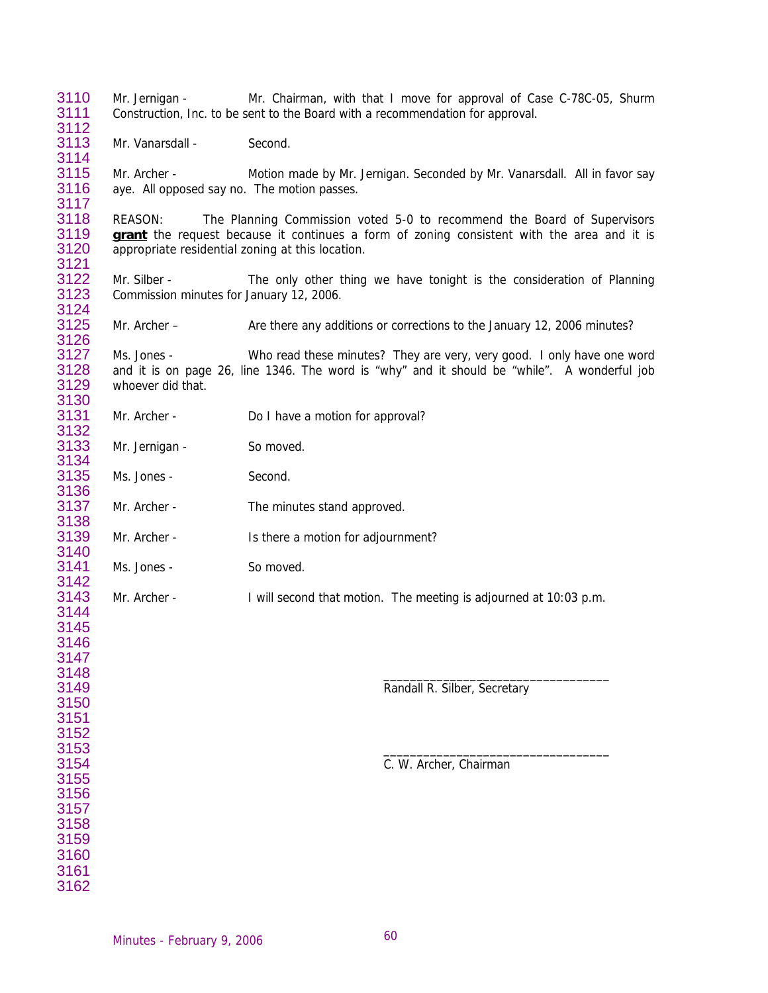| 3110<br>3111                                                         | Mr. Jernigan -                                                     | Mr. Chairman, with that I move for approval of Case C-78C-05, Shurm<br>Construction, Inc. to be sent to the Board with a recommendation for approval.                  |
|----------------------------------------------------------------------|--------------------------------------------------------------------|------------------------------------------------------------------------------------------------------------------------------------------------------------------------|
| 3112<br>3113                                                         | Mr. Vanarsdall -                                                   | Second.                                                                                                                                                                |
| 3114<br>3115<br>3116<br>3117                                         | Mr. Archer -<br>aye. All opposed say no. The motion passes.        | Motion made by Mr. Jernigan. Seconded by Mr. Vanarsdall. All in favor say                                                                                              |
| 3118<br>3119<br>3120                                                 | <b>REASON:</b><br>appropriate residential zoning at this location. | The Planning Commission voted 5-0 to recommend the Board of Supervisors<br>grant the request because it continues a form of zoning consistent with the area and it is  |
| 3121<br>3122<br>3123                                                 | Mr. Silber -<br>Commission minutes for January 12, 2006.           | The only other thing we have tonight is the consideration of Planning                                                                                                  |
| 3124<br>3125<br>3126                                                 | Mr. Archer -                                                       | Are there any additions or corrections to the January 12, 2006 minutes?                                                                                                |
| 3127<br>3128<br>3129<br>3130                                         | Ms. Jones -<br>whoever did that.                                   | Who read these minutes? They are very, very good. I only have one word<br>and it is on page 26, line 1346. The word is "why" and it should be "while". A wonderful job |
| 3131<br>3132                                                         | Mr. Archer -                                                       | Do I have a motion for approval?                                                                                                                                       |
| 3133<br>3134                                                         | Mr. Jernigan -                                                     | So moved.                                                                                                                                                              |
| 3135<br>3136                                                         | Ms. Jones -                                                        | Second.                                                                                                                                                                |
| 3137<br>3138                                                         | Mr. Archer -                                                       | The minutes stand approved.                                                                                                                                            |
| 3139<br>3140                                                         | Mr. Archer -                                                       | Is there a motion for adjournment?                                                                                                                                     |
| 3141<br>3142                                                         | Ms. Jones -                                                        | So moved.                                                                                                                                                              |
| 3143<br>3144<br>3145<br>3146<br>3147<br>3148                         | Mr. Archer -                                                       | I will second that motion. The meeting is adjourned at 10:03 p.m.                                                                                                      |
| 3149<br>3150<br>3151<br>3152<br>3153                                 |                                                                    | Randall R. Silber, Secretary                                                                                                                                           |
| 3154<br>3155<br>3156<br>3157<br>3158<br>3159<br>3160<br>3161<br>3162 |                                                                    | C. W. Archer, Chairman                                                                                                                                                 |